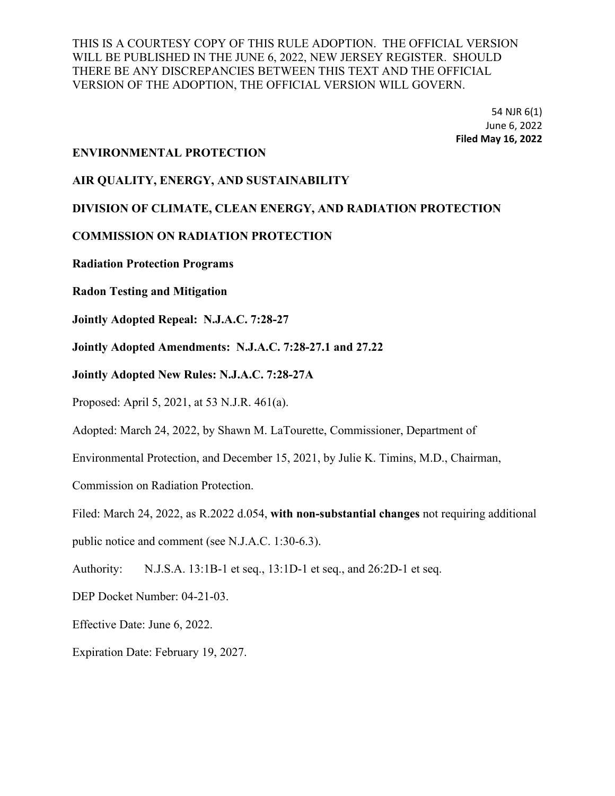> 54 NJR 6(1) June 6, 2022 **Filed May 16, 2022**

#### **ENVIRONMENTAL PROTECTION**

#### **AIR QUALITY, ENERGY, AND SUSTAINABILITY**

#### **DIVISION OF CLIMATE, CLEAN ENERGY, AND RADIATION PROTECTION**

#### **COMMISSION ON RADIATION PROTECTION**

**Radiation Protection Programs**

**Radon Testing and Mitigation**

**Jointly Adopted Repeal: N.J.A.C. 7:28-27**

**Jointly Adopted Amendments: N.J.A.C. 7:28-27.1 and 27.22**

**Jointly Adopted New Rules: N.J.A.C. 7:28-27A**

Proposed: April 5, 2021, at 53 N.J.R. 461(a).

Adopted: March 24, 2022, by Shawn M. LaTourette, Commissioner, Department of

Environmental Protection, and December 15, 2021, by Julie K. Timins, M.D., Chairman,

Commission on Radiation Protection.

Filed: March 24, 2022, as R.2022 d.054, **with non-substantial changes** not requiring additional

public notice and comment (see N.J.A.C. 1:30-6.3).

Authority: N.J.S.A. 13:1B-1 et seq., 13:1D-1 et seq., and 26:2D-1 et seq.

DEP Docket Number: 04-21-03.

Effective Date: June 6, 2022.

Expiration Date: February 19, 2027.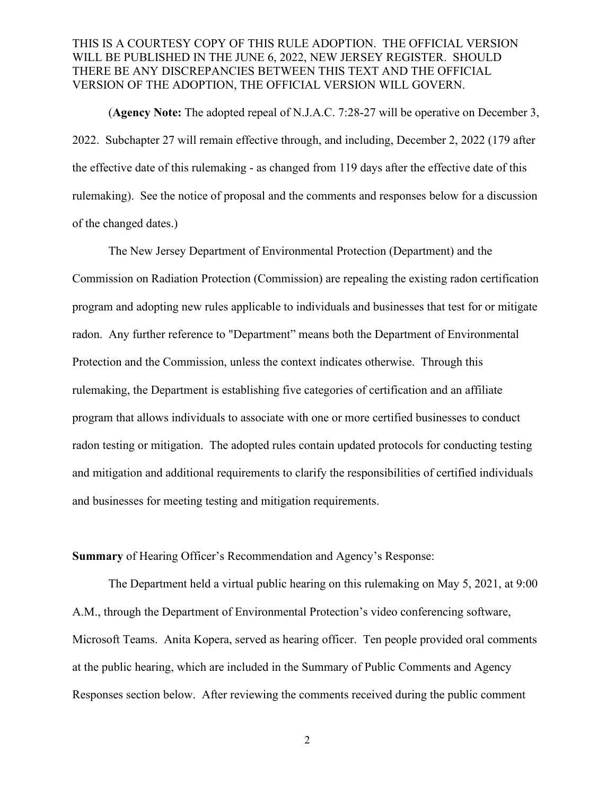(**Agency Note:** The adopted repeal of N.J.A.C. 7:28-27 will be operative on December 3, 2022. Subchapter 27 will remain effective through, and including, December 2, 2022 (179 after the effective date of this rulemaking - as changed from 119 days after the effective date of this rulemaking). See the notice of proposal and the comments and responses below for a discussion of the changed dates.)

The New Jersey Department of Environmental Protection (Department) and the Commission on Radiation Protection (Commission) are repealing the existing radon certification program and adopting new rules applicable to individuals and businesses that test for or mitigate radon. Any further reference to "Department" means both the Department of Environmental Protection and the Commission, unless the context indicates otherwise. Through this rulemaking, the Department is establishing five categories of certification and an affiliate program that allows individuals to associate with one or more certified businesses to conduct radon testing or mitigation. The adopted rules contain updated protocols for conducting testing and mitigation and additional requirements to clarify the responsibilities of certified individuals and businesses for meeting testing and mitigation requirements.

**Summary** of Hearing Officer's Recommendation and Agency's Response:

The Department held a virtual public hearing on this rulemaking on May 5, 2021, at 9:00 A.M., through the Department of Environmental Protection's video conferencing software, Microsoft Teams. Anita Kopera, served as hearing officer. Ten people provided oral comments at the public hearing, which are included in the Summary of Public Comments and Agency Responses section below. After reviewing the comments received during the public comment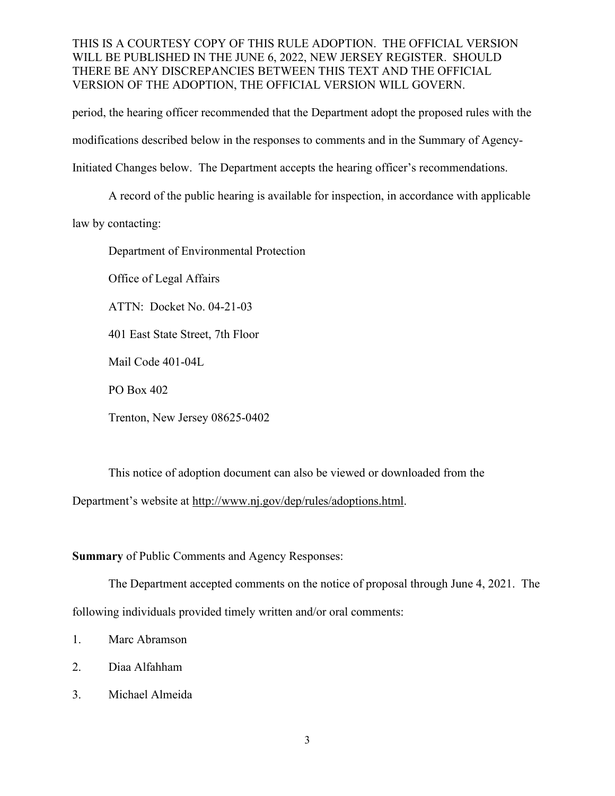period, the hearing officer recommended that the Department adopt the proposed rules with the modifications described below in the responses to comments and in the Summary of Agency-Initiated Changes below. The Department accepts the hearing officer's recommendations.

A record of the public hearing is available for inspection, in accordance with applicable

law by contacting:

Department of Environmental Protection

Office of Legal Affairs

ATTN: Docket No. 04-21-03

401 East State Street, 7th Floor

Mail Code 401-04L

PO Box 402

Trenton, New Jersey 08625-0402

This notice of adoption document can also be viewed or downloaded from the Department's website at http://www.nj.gov/dep/rules/adoptions.html.

**Summary** of Public Comments and Agency Responses:

The Department accepted comments on the notice of proposal through June 4, 2021. The following individuals provided timely written and/or oral comments:

- 1. Marc Abramson
- 2. Diaa Alfahham
- 3. Michael Almeida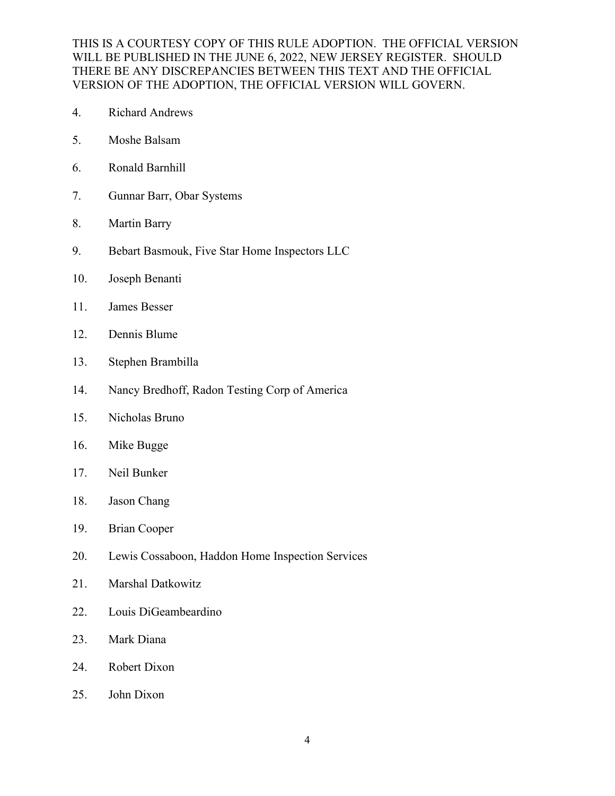- 4. Richard Andrews
- 5. Moshe Balsam
- 6. Ronald Barnhill
- 7. Gunnar Barr, Obar Systems
- 8. Martin Barry
- 9. Bebart Basmouk, Five Star Home Inspectors LLC
- 10. Joseph Benanti
- 11. James Besser
- 12. Dennis Blume
- 13. Stephen Brambilla
- 14. Nancy Bredhoff, Radon Testing Corp of America
- 15. Nicholas Bruno
- 16. Mike Bugge
- 17. Neil Bunker
- 18. Jason Chang
- 19. Brian Cooper
- 20. Lewis Cossaboon, Haddon Home Inspection Services
- 21. Marshal Datkowitz
- 22. Louis DiGeambeardino
- 23. Mark Diana
- 24. Robert Dixon
- 25. John Dixon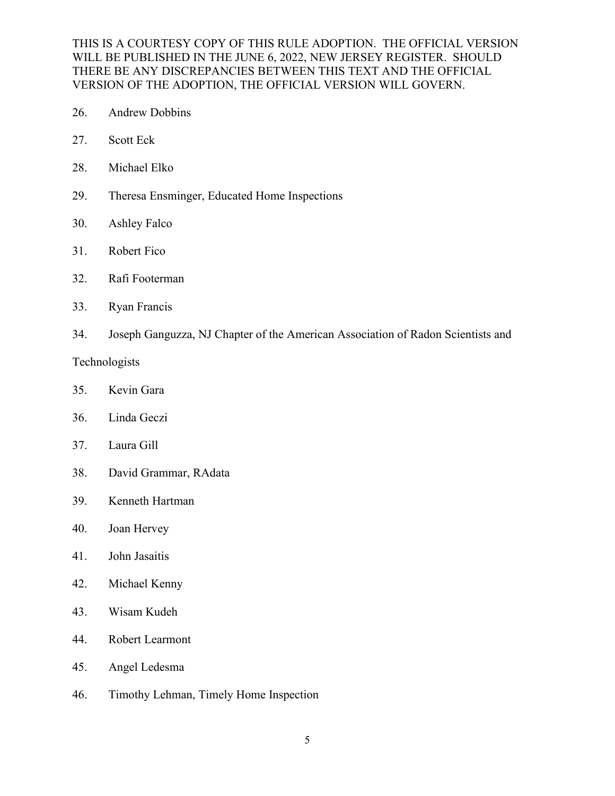- 26. Andrew Dobbins
- 27. Scott Eck
- 28. Michael Elko
- 29. Theresa Ensminger, Educated Home Inspections
- 30. Ashley Falco
- 31. Robert Fico
- 32. Rafi Footerman
- 33. Ryan Francis
- 34. Joseph Ganguzza, NJ Chapter of the American Association of Radon Scientists and

#### Technologists

- 35. Kevin Gara
- 36. Linda Geczi
- 37. Laura Gill
- 38. David Grammar, RAdata
- 39. Kenneth Hartman
- 40. Joan Hervey
- 41. John Jasaitis
- 42. Michael Kenny
- 43. Wisam Kudeh
- 44. Robert Learmont
- 45. Angel Ledesma
- 46. Timothy Lehman, Timely Home Inspection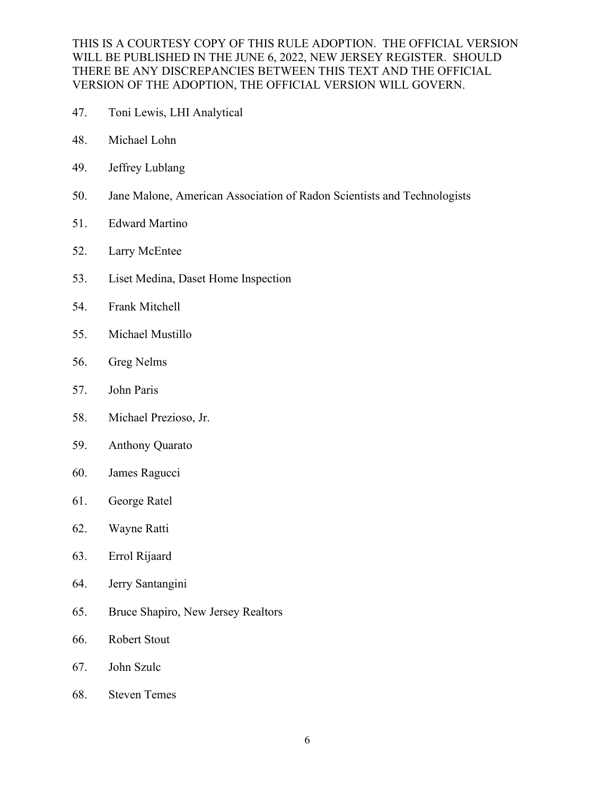- 47. Toni Lewis, LHI Analytical
- 48. Michael Lohn
- 49. Jeffrey Lublang
- 50. Jane Malone, American Association of Radon Scientists and Technologists
- 51. Edward Martino
- 52. Larry McEntee
- 53. Liset Medina, Daset Home Inspection
- 54. Frank Mitchell
- 55. Michael Mustillo
- 56. Greg Nelms
- 57. John Paris
- 58. Michael Prezioso, Jr.
- 59. Anthony Quarato
- 60. James Ragucci
- 61. George Ratel
- 62. Wayne Ratti
- 63. Errol Rijaard
- 64. Jerry Santangini
- 65. Bruce Shapiro, New Jersey Realtors
- 66. Robert Stout
- 67. John Szulc
- 68. Steven Temes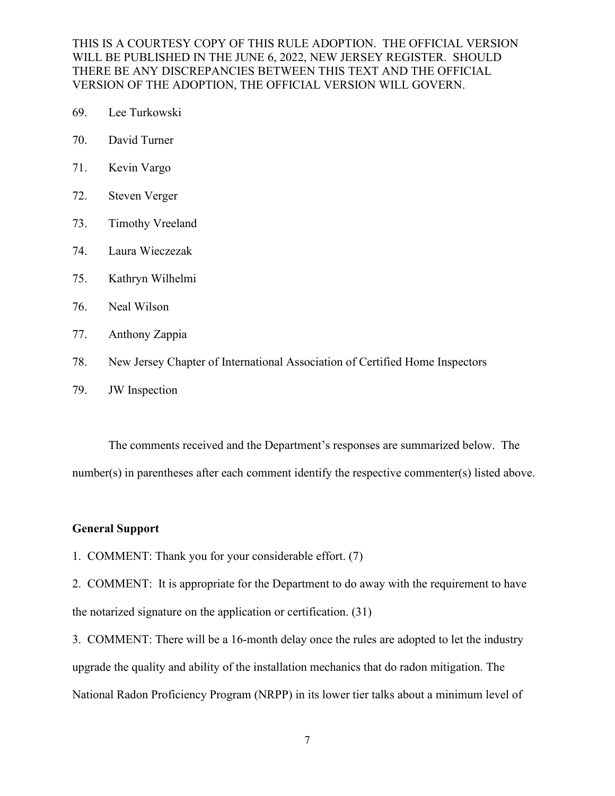- 69. Lee Turkowski
- 70. David Turner
- 71. Kevin Vargo
- 72. Steven Verger
- 73. Timothy Vreeland
- 74. Laura Wieczezak
- 75. Kathryn Wilhelmi
- 76. Neal Wilson
- 77. Anthony Zappia
- 78. New Jersey Chapter of International Association of Certified Home Inspectors
- 79. JW Inspection

The comments received and the Department's responses are summarized below. The number(s) in parentheses after each comment identify the respective commenter(s) listed above.

#### **General Support**

1. COMMENT: Thank you for your considerable effort. (7)

2. COMMENT: It is appropriate for the Department to do away with the requirement to have the notarized signature on the application or certification. (31)

3. COMMENT: There will be a 16-month delay once the rules are adopted to let the industry upgrade the quality and ability of the installation mechanics that do radon mitigation. The National Radon Proficiency Program (NRPP) in its lower tier talks about a minimum level of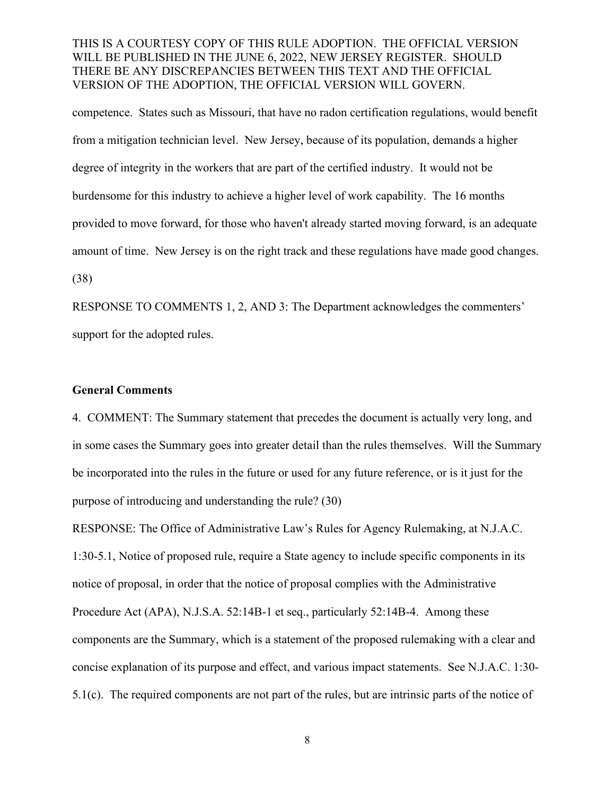competence. States such as Missouri, that have no radon certification regulations, would benefit from a mitigation technician level. New Jersey, because of its population, demands a higher degree of integrity in the workers that are part of the certified industry. It would not be burdensome for this industry to achieve a higher level of work capability. The 16 months provided to move forward, for those who haven't already started moving forward, is an adequate amount of time. New Jersey is on the right track and these regulations have made good changes. (38)

RESPONSE TO COMMENTS 1, 2, AND 3: The Department acknowledges the commenters' support for the adopted rules.

#### **General Comments**

4. COMMENT: The Summary statement that precedes the document is actually very long, and in some cases the Summary goes into greater detail than the rules themselves. Will the Summary be incorporated into the rules in the future or used for any future reference, or is it just for the purpose of introducing and understanding the rule? (30)

RESPONSE: The Office of Administrative Law's Rules for Agency Rulemaking, at N.J.A.C. 1:30-5.1, Notice of proposed rule, require a State agency to include specific components in its notice of proposal, in order that the notice of proposal complies with the Administrative Procedure Act (APA), N.J.S.A. 52:14B-1 et seq., particularly 52:14B-4. Among these components are the Summary, which is a statement of the proposed rulemaking with a clear and concise explanation of its purpose and effect, and various impact statements. See N.J.A.C. 1:30- 5.1(c). The required components are not part of the rules, but are intrinsic parts of the notice of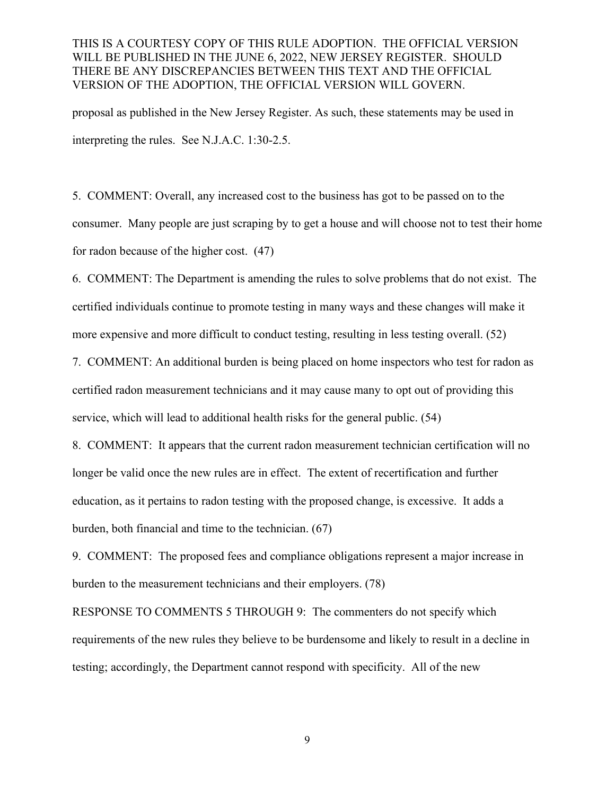proposal as published in the New Jersey Register. As such, these statements may be used in interpreting the rules. See N.J.A.C. 1:30-2.5.

5. COMMENT: Overall, any increased cost to the business has got to be passed on to the consumer. Many people are just scraping by to get a house and will choose not to test their home for radon because of the higher cost. (47)

6. COMMENT: The Department is amending the rules to solve problems that do not exist. The certified individuals continue to promote testing in many ways and these changes will make it more expensive and more difficult to conduct testing, resulting in less testing overall. (52)

7. COMMENT: An additional burden is being placed on home inspectors who test for radon as certified radon measurement technicians and it may cause many to opt out of providing this service, which will lead to additional health risks for the general public. (54)

8. COMMENT: It appears that the current radon measurement technician certification will no longer be valid once the new rules are in effect. The extent of recertification and further education, as it pertains to radon testing with the proposed change, is excessive. It adds a burden, both financial and time to the technician. (67)

9. COMMENT: The proposed fees and compliance obligations represent a major increase in burden to the measurement technicians and their employers. (78)

RESPONSE TO COMMENTS 5 THROUGH 9: The commenters do not specify which requirements of the new rules they believe to be burdensome and likely to result in a decline in testing; accordingly, the Department cannot respond with specificity. All of the new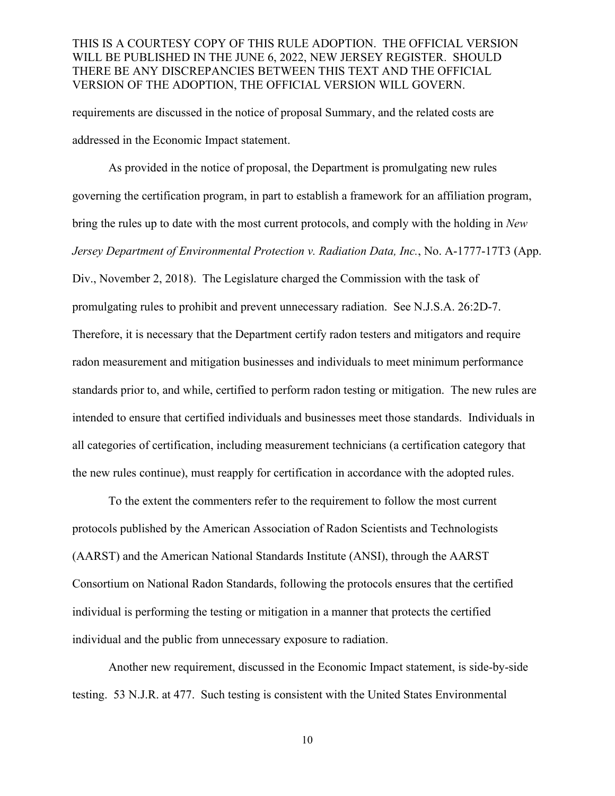requirements are discussed in the notice of proposal Summary, and the related costs are addressed in the Economic Impact statement.

As provided in the notice of proposal, the Department is promulgating new rules governing the certification program, in part to establish a framework for an affiliation program, bring the rules up to date with the most current protocols, and comply with the holding in *New Jersey Department of Environmental Protection v. Radiation Data, Inc.*, No. A-1777-17T3 (App. Div., November 2, 2018). The Legislature charged the Commission with the task of promulgating rules to prohibit and prevent unnecessary radiation. See N.J.S.A. 26:2D-7. Therefore, it is necessary that the Department certify radon testers and mitigators and require radon measurement and mitigation businesses and individuals to meet minimum performance standards prior to, and while, certified to perform radon testing or mitigation. The new rules are intended to ensure that certified individuals and businesses meet those standards. Individuals in all categories of certification, including measurement technicians (a certification category that the new rules continue), must reapply for certification in accordance with the adopted rules.

To the extent the commenters refer to the requirement to follow the most current protocols published by the American Association of Radon Scientists and Technologists (AARST) and the American National Standards Institute (ANSI), through the AARST Consortium on National Radon Standards, following the protocols ensures that the certified individual is performing the testing or mitigation in a manner that protects the certified individual and the public from unnecessary exposure to radiation.

Another new requirement, discussed in the Economic Impact statement, is side-by-side testing. 53 N.J.R. at 477. Such testing is consistent with the United States Environmental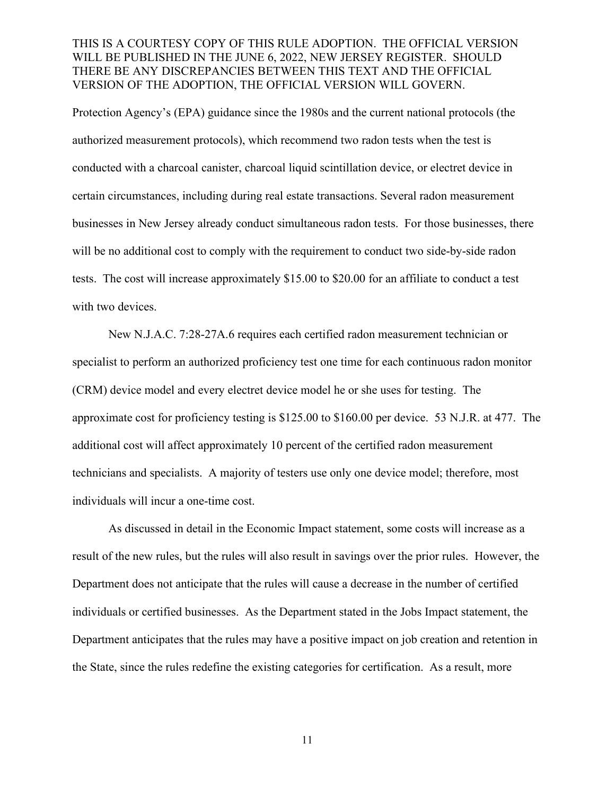Protection Agency's (EPA) guidance since the 1980s and the current national protocols (the authorized measurement protocols), which recommend two radon tests when the test is conducted with a charcoal canister, charcoal liquid scintillation device, or electret device in certain circumstances, including during real estate transactions. Several radon measurement businesses in New Jersey already conduct simultaneous radon tests. For those businesses, there will be no additional cost to comply with the requirement to conduct two side-by-side radon tests. The cost will increase approximately \$15.00 to \$20.00 for an affiliate to conduct a test with two devices.

New N.J.A.C. 7:28-27A.6 requires each certified radon measurement technician or specialist to perform an authorized proficiency test one time for each continuous radon monitor (CRM) device model and every electret device model he or she uses for testing. The approximate cost for proficiency testing is \$125.00 to \$160.00 per device. 53 N.J.R. at 477. The additional cost will affect approximately 10 percent of the certified radon measurement technicians and specialists. A majority of testers use only one device model; therefore, most individuals will incur a one-time cost.

As discussed in detail in the Economic Impact statement, some costs will increase as a result of the new rules, but the rules will also result in savings over the prior rules. However, the Department does not anticipate that the rules will cause a decrease in the number of certified individuals or certified businesses. As the Department stated in the Jobs Impact statement, the Department anticipates that the rules may have a positive impact on job creation and retention in the State, since the rules redefine the existing categories for certification. As a result, more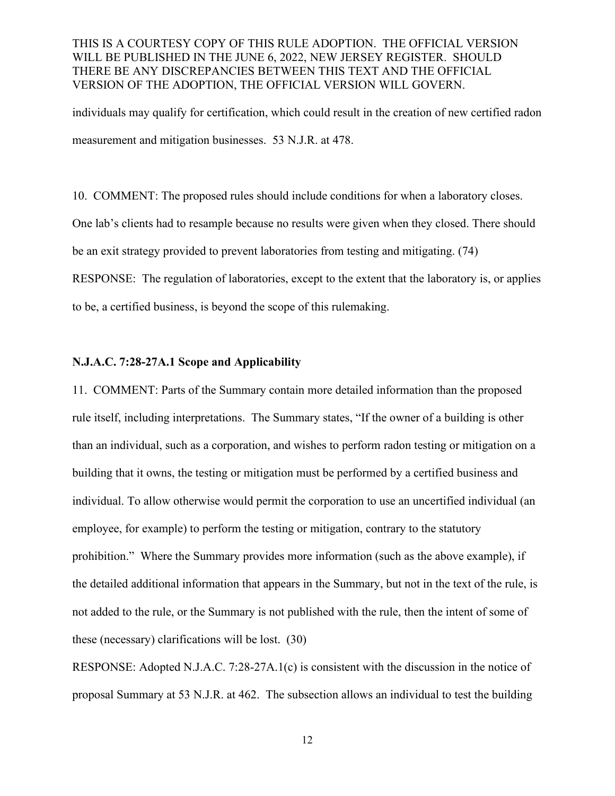individuals may qualify for certification, which could result in the creation of new certified radon measurement and mitigation businesses. 53 N.J.R. at 478.

10. COMMENT: The proposed rules should include conditions for when a laboratory closes. One lab's clients had to resample because no results were given when they closed. There should be an exit strategy provided to prevent laboratories from testing and mitigating. (74) RESPONSE: The regulation of laboratories, except to the extent that the laboratory is, or applies to be, a certified business, is beyond the scope of this rulemaking.

#### **N.J.A.C. 7:28-27A.1 Scope and Applicability**

11. COMMENT: Parts of the Summary contain more detailed information than the proposed rule itself, including interpretations. The Summary states, "If the owner of a building is other than an individual, such as a corporation, and wishes to perform radon testing or mitigation on a building that it owns, the testing or mitigation must be performed by a certified business and individual. To allow otherwise would permit the corporation to use an uncertified individual (an employee, for example) to perform the testing or mitigation, contrary to the statutory prohibition." Where the Summary provides more information (such as the above example), if the detailed additional information that appears in the Summary, but not in the text of the rule, is not added to the rule, or the Summary is not published with the rule, then the intent of some of these (necessary) clarifications will be lost. (30)

RESPONSE: Adopted N.J.A.C. 7:28-27A.1(c) is consistent with the discussion in the notice of proposal Summary at 53 N.J.R. at 462. The subsection allows an individual to test the building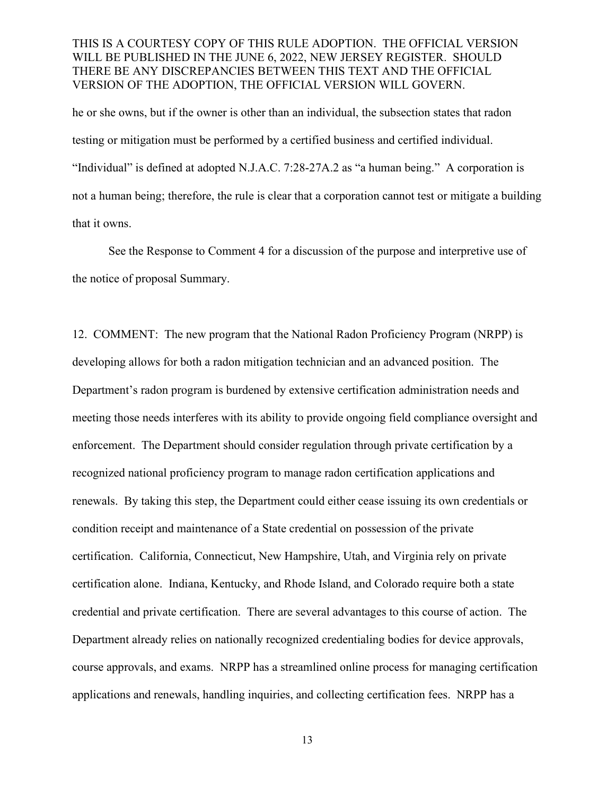he or she owns, but if the owner is other than an individual, the subsection states that radon testing or mitigation must be performed by a certified business and certified individual. "Individual" is defined at adopted N.J.A.C. 7:28-27A.2 as "a human being." A corporation is not a human being; therefore, the rule is clear that a corporation cannot test or mitigate a building that it owns.

See the Response to Comment 4 for a discussion of the purpose and interpretive use of the notice of proposal Summary.

12. COMMENT: The new program that the National Radon Proficiency Program (NRPP) is developing allows for both a radon mitigation technician and an advanced position. The Department's radon program is burdened by extensive certification administration needs and meeting those needs interferes with its ability to provide ongoing field compliance oversight and enforcement. The Department should consider regulation through private certification by a recognized national proficiency program to manage radon certification applications and renewals. By taking this step, the Department could either cease issuing its own credentials or condition receipt and maintenance of a State credential on possession of the private certification. California, Connecticut, New Hampshire, Utah, and Virginia rely on private certification alone. Indiana, Kentucky, and Rhode Island, and Colorado require both a state credential and private certification. There are several advantages to this course of action. The Department already relies on nationally recognized credentialing bodies for device approvals, course approvals, and exams. NRPP has a streamlined online process for managing certification applications and renewals, handling inquiries, and collecting certification fees. NRPP has a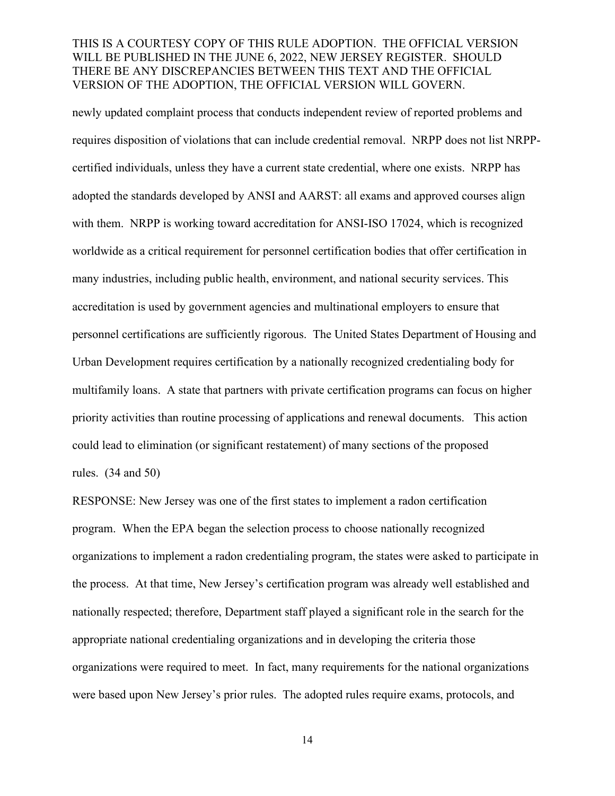newly updated complaint process that conducts independent review of reported problems and requires disposition of violations that can include credential removal. NRPP does not list NRPPcertified individuals, unless they have a current state credential, where one exists. NRPP has adopted the standards developed by ANSI and AARST: all exams and approved courses align with them. NRPP is working toward accreditation for ANSI-ISO 17024, which is recognized worldwide as a critical requirement for personnel certification bodies that offer certification in many industries, including public health, environment, and national security services. This accreditation is used by government agencies and multinational employers to ensure that personnel certifications are sufficiently rigorous. The United States Department of Housing and Urban Development requires certification by a nationally recognized credentialing body for multifamily loans. A state that partners with private certification programs can focus on higher priority activities than routine processing of applications and renewal documents. This action could lead to elimination (or significant restatement) of many sections of the proposed rules. (34 and 50)

RESPONSE: New Jersey was one of the first states to implement a radon certification program. When the EPA began the selection process to choose nationally recognized organizations to implement a radon credentialing program, the states were asked to participate in the process. At that time, New Jersey's certification program was already well established and nationally respected; therefore, Department staff played a significant role in the search for the appropriate national credentialing organizations and in developing the criteria those organizations were required to meet. In fact, many requirements for the national organizations were based upon New Jersey's prior rules. The adopted rules require exams, protocols, and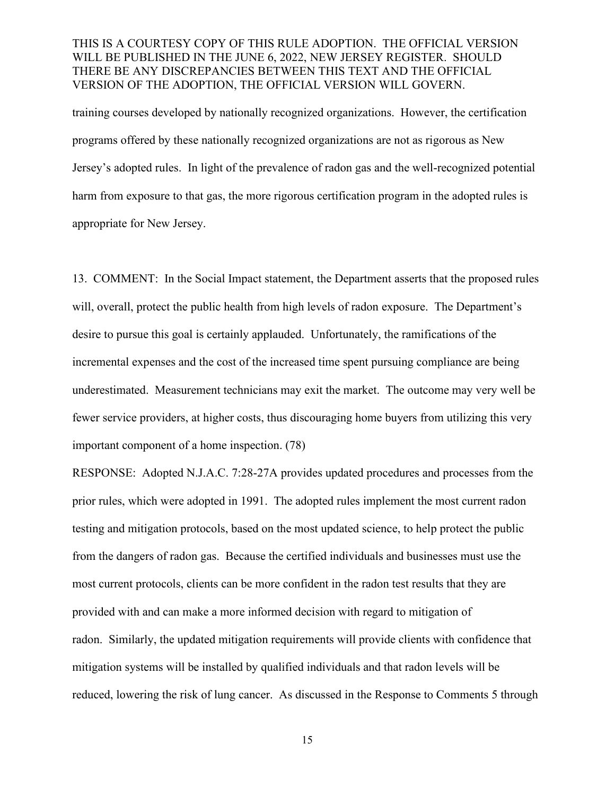training courses developed by nationally recognized organizations. However, the certification programs offered by these nationally recognized organizations are not as rigorous as New Jersey's adopted rules. In light of the prevalence of radon gas and the well-recognized potential harm from exposure to that gas, the more rigorous certification program in the adopted rules is appropriate for New Jersey.

13. COMMENT: In the Social Impact statement, the Department asserts that the proposed rules will, overall, protect the public health from high levels of radon exposure. The Department's desire to pursue this goal is certainly applauded. Unfortunately, the ramifications of the incremental expenses and the cost of the increased time spent pursuing compliance are being underestimated. Measurement technicians may exit the market. The outcome may very well be fewer service providers, at higher costs, thus discouraging home buyers from utilizing this very important component of a home inspection. (78)

RESPONSE: Adopted N.J.A.C. 7:28-27A provides updated procedures and processes from the prior rules, which were adopted in 1991. The adopted rules implement the most current radon testing and mitigation protocols, based on the most updated science, to help protect the public from the dangers of radon gas. Because the certified individuals and businesses must use the most current protocols, clients can be more confident in the radon test results that they are provided with and can make a more informed decision with regard to mitigation of radon. Similarly, the updated mitigation requirements will provide clients with confidence that mitigation systems will be installed by qualified individuals and that radon levels will be reduced, lowering the risk of lung cancer. As discussed in the Response to Comments 5 through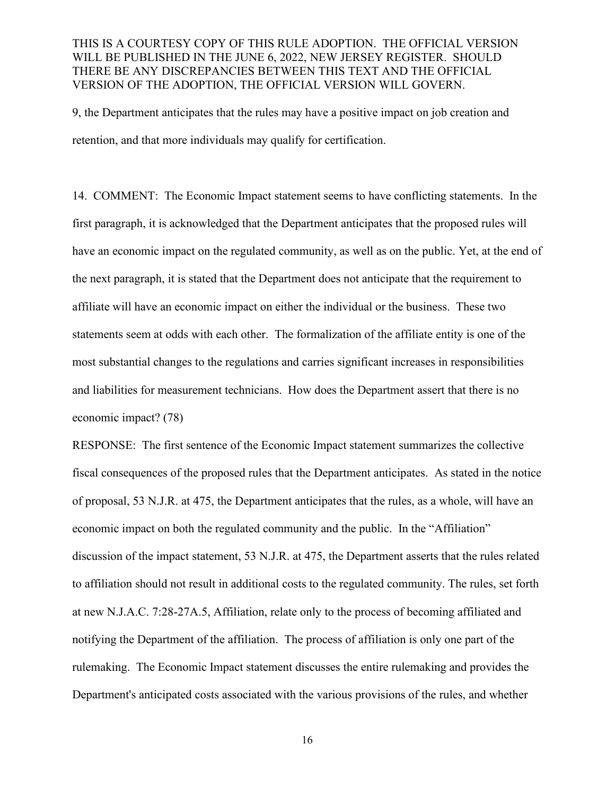9, the Department anticipates that the rules may have a positive impact on job creation and retention, and that more individuals may qualify for certification.

14. COMMENT: The Economic Impact statement seems to have conflicting statements. In the first paragraph, it is acknowledged that the Department anticipates that the proposed rules will have an economic impact on the regulated community, as well as on the public. Yet, at the end of the next paragraph, it is stated that the Department does not anticipate that the requirement to affiliate will have an economic impact on either the individual or the business. These two statements seem at odds with each other. The formalization of the affiliate entity is one of the most substantial changes to the regulations and carries significant increases in responsibilities and liabilities for measurement technicians. How does the Department assert that there is no economic impact? (78)

RESPONSE: The first sentence of the Economic Impact statement summarizes the collective fiscal consequences of the proposed rules that the Department anticipates. As stated in the notice of proposal, 53 N.J.R. at 475, the Department anticipates that the rules, as a whole, will have an economic impact on both the regulated community and the public. In the "Affiliation" discussion of the impact statement, 53 N.J.R. at 475, the Department asserts that the rules related to affiliation should not result in additional costs to the regulated community. The rules, set forth at new N.J.A.C. 7:28-27A.5, Affiliation, relate only to the process of becoming affiliated and notifying the Department of the affiliation. The process of affiliation is only one part of the rulemaking. The Economic Impact statement discusses the entire rulemaking and provides the Department's anticipated costs associated with the various provisions of the rules, and whether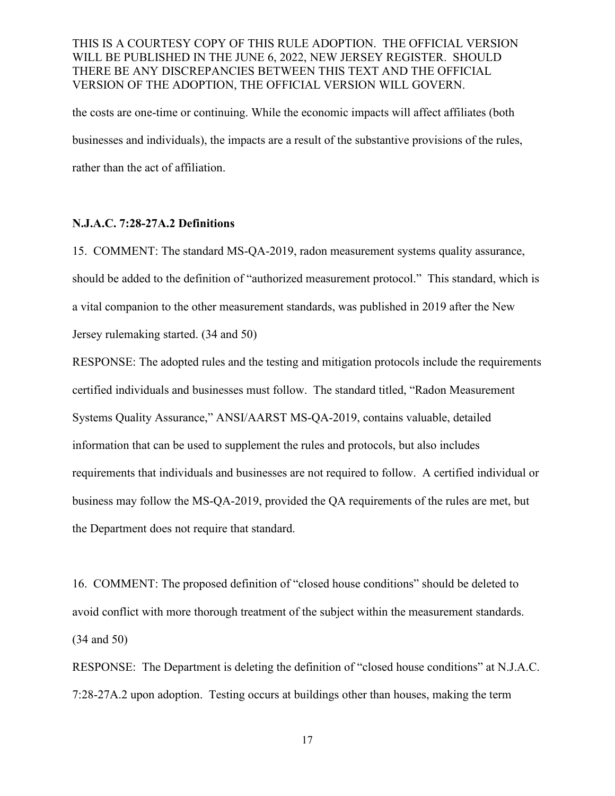the costs are one-time or continuing. While the economic impacts will affect affiliates (both businesses and individuals), the impacts are a result of the substantive provisions of the rules, rather than the act of affiliation.

#### **N.J.A.C. 7:28-27A.2 Definitions**

15. COMMENT: The standard MS-QA-2019, radon measurement systems quality assurance, should be added to the definition of "authorized measurement protocol." This standard, which is a vital companion to the other measurement standards, was published in 2019 after the New Jersey rulemaking started. (34 and 50)

RESPONSE: The adopted rules and the testing and mitigation protocols include the requirements certified individuals and businesses must follow. The standard titled, "Radon Measurement Systems Quality Assurance," ANSI/AARST MS-QA-2019, contains valuable, detailed information that can be used to supplement the rules and protocols, but also includes requirements that individuals and businesses are not required to follow. A certified individual or business may follow the MS-QA-2019, provided the QA requirements of the rules are met, but the Department does not require that standard.

16. COMMENT: The proposed definition of "closed house conditions" should be deleted to avoid conflict with more thorough treatment of the subject within the measurement standards. (34 and 50)

RESPONSE: The Department is deleting the definition of "closed house conditions" at N.J.A.C. 7:28-27A.2 upon adoption. Testing occurs at buildings other than houses, making the term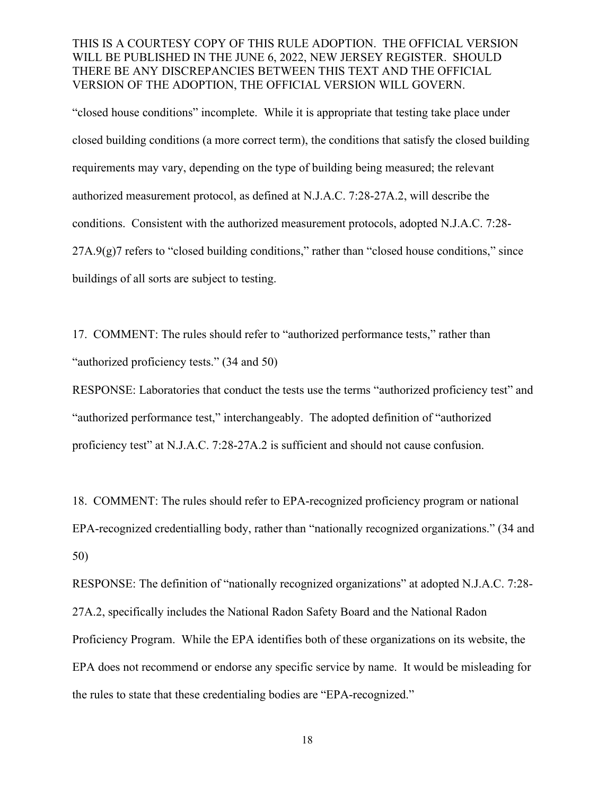"closed house conditions" incomplete. While it is appropriate that testing take place under closed building conditions (a more correct term), the conditions that satisfy the closed building requirements may vary, depending on the type of building being measured; the relevant authorized measurement protocol, as defined at N.J.A.C. 7:28-27A.2, will describe the conditions. Consistent with the authorized measurement protocols, adopted N.J.A.C. 7:28-  $27A.9(g)7$  refers to "closed building conditions," rather than "closed house conditions," since buildings of all sorts are subject to testing.

17. COMMENT: The rules should refer to "authorized performance tests," rather than "authorized proficiency tests." (34 and 50)

RESPONSE: Laboratories that conduct the tests use the terms "authorized proficiency test" and "authorized performance test," interchangeably. The adopted definition of "authorized proficiency test" at N.J.A.C. 7:28-27A.2 is sufficient and should not cause confusion.

18. COMMENT: The rules should refer to EPA-recognized proficiency program or national EPA-recognized credentialling body, rather than "nationally recognized organizations." (34 and 50)

RESPONSE: The definition of "nationally recognized organizations" at adopted N.J.A.C. 7:28- 27A.2, specifically includes the National Radon Safety Board and the National Radon Proficiency Program. While the EPA identifies both of these organizations on its website, the EPA does not recommend or endorse any specific service by name. It would be misleading for the rules to state that these credentialing bodies are "EPA-recognized."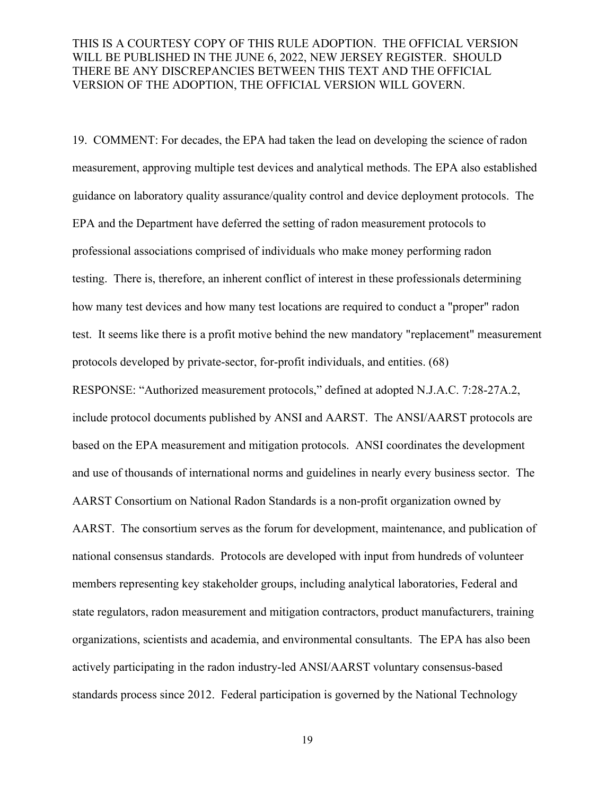19. COMMENT: For decades, the EPA had taken the lead on developing the science of radon measurement, approving multiple test devices and analytical methods. The EPA also established guidance on laboratory quality assurance/quality control and device deployment protocols. The EPA and the Department have deferred the setting of radon measurement protocols to professional associations comprised of individuals who make money performing radon testing. There is, therefore, an inherent conflict of interest in these professionals determining how many test devices and how many test locations are required to conduct a "proper" radon test. It seems like there is a profit motive behind the new mandatory "replacement" measurement protocols developed by private-sector, for-profit individuals, and entities. (68) RESPONSE: "Authorized measurement protocols," defined at adopted N.J.A.C. 7:28-27A.2, include protocol documents published by ANSI and AARST. The ANSI/AARST protocols are based on the EPA measurement and mitigation protocols. ANSI coordinates the development and use of thousands of international norms and guidelines in nearly every business sector. The AARST Consortium on National Radon Standards is a non-profit organization owned by AARST. The consortium serves as the forum for development, maintenance, and publication of national consensus standards. Protocols are developed with input from hundreds of volunteer members representing key stakeholder groups, including analytical laboratories, Federal and state regulators, radon measurement and mitigation contractors, product manufacturers, training organizations, scientists and academia, and environmental consultants. The EPA has also been actively participating in the radon industry-led ANSI/AARST voluntary consensus-based standards process since 2012. Federal participation is governed by the National Technology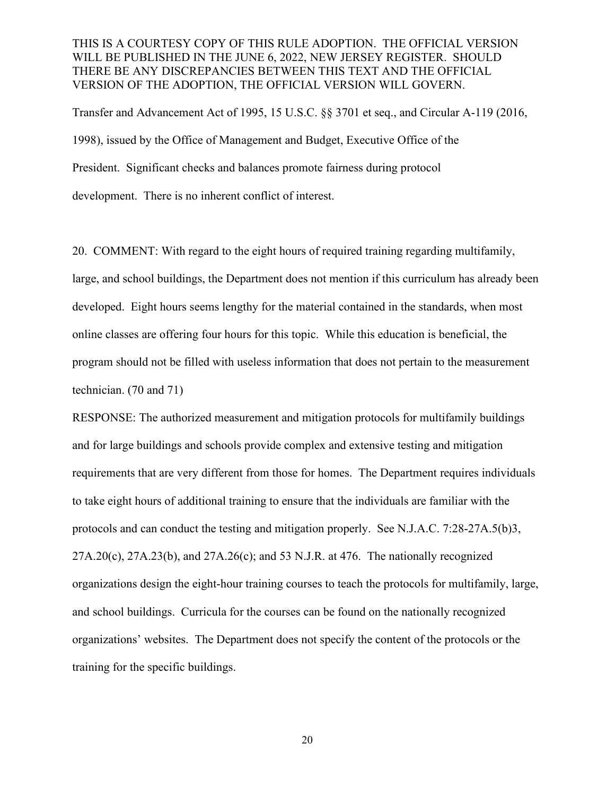Transfer and Advancement Act of 1995, 15 U.S.C. §§ 3701 et seq., and Circular A-119 (2016, 1998), issued by the Office of Management and Budget, Executive Office of the President. Significant checks and balances promote fairness during protocol development. There is no inherent conflict of interest.

20. COMMENT: With regard to the eight hours of required training regarding multifamily, large, and school buildings, the Department does not mention if this curriculum has already been developed. Eight hours seems lengthy for the material contained in the standards, when most online classes are offering four hours for this topic. While this education is beneficial, the program should not be filled with useless information that does not pertain to the measurement technician. (70 and 71)

RESPONSE: The authorized measurement and mitigation protocols for multifamily buildings and for large buildings and schools provide complex and extensive testing and mitigation requirements that are very different from those for homes. The Department requires individuals to take eight hours of additional training to ensure that the individuals are familiar with the protocols and can conduct the testing and mitigation properly. See N.J.A.C. 7:28-27A.5(b)3,  $27A.20(c)$ ,  $27A.23(b)$ , and  $27A.26(c)$ ; and 53 N.J.R. at 476. The nationally recognized organizations design the eight-hour training courses to teach the protocols for multifamily, large, and school buildings. Curricula for the courses can be found on the nationally recognized organizations' websites. The Department does not specify the content of the protocols or the training for the specific buildings.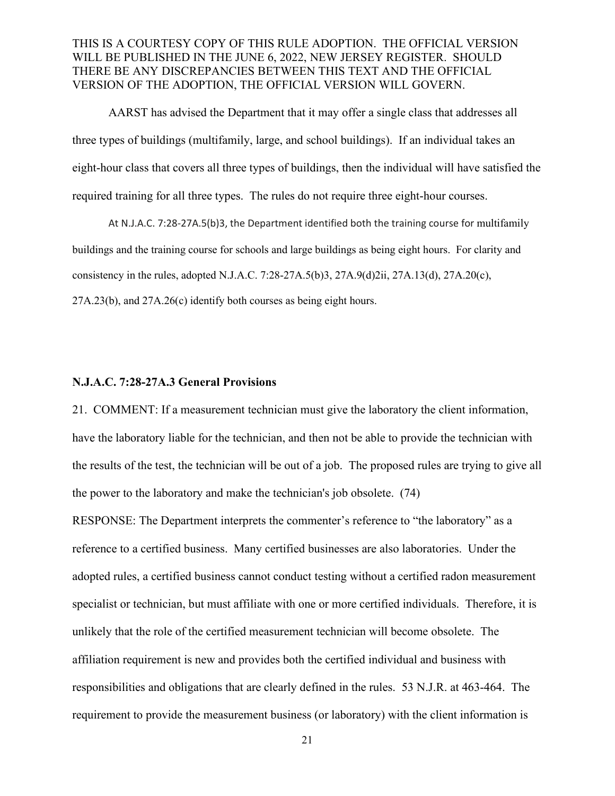AARST has advised the Department that it may offer a single class that addresses all three types of buildings (multifamily, large, and school buildings). If an individual takes an eight-hour class that covers all three types of buildings, then the individual will have satisfied the required training for all three types. The rules do not require three eight-hour courses.

At N.J.A.C. 7:28-27A.5(b)3, the Department identified both the training course for multifamily buildings and the training course for schools and large buildings as being eight hours. For clarity and consistency in the rules, adopted N.J.A.C. 7:28-27A.5(b)3, 27A.9(d)2ii, 27A.13(d), 27A.20(c), 27A.23(b), and 27A.26(c) identify both courses as being eight hours.

#### **N.J.A.C. 7:28-27A.3 General Provisions**

21. COMMENT: If a measurement technician must give the laboratory the client information, have the laboratory liable for the technician, and then not be able to provide the technician with the results of the test, the technician will be out of a job. The proposed rules are trying to give all the power to the laboratory and make the technician's job obsolete. (74)

RESPONSE: The Department interprets the commenter's reference to "the laboratory" as a reference to a certified business. Many certified businesses are also laboratories. Under the adopted rules, a certified business cannot conduct testing without a certified radon measurement specialist or technician, but must affiliate with one or more certified individuals. Therefore, it is unlikely that the role of the certified measurement technician will become obsolete. The affiliation requirement is new and provides both the certified individual and business with responsibilities and obligations that are clearly defined in the rules. 53 N.J.R. at 463-464. The requirement to provide the measurement business (or laboratory) with the client information is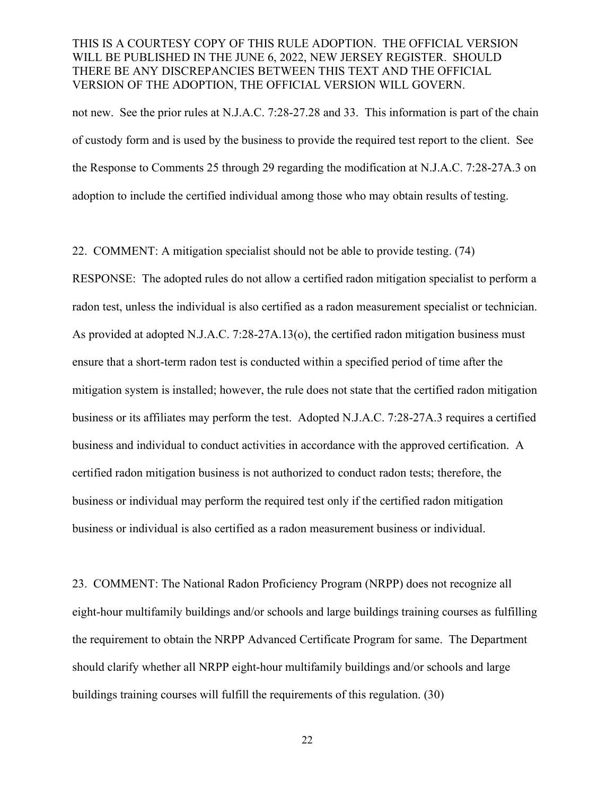not new. See the prior rules at N.J.A.C. 7:28-27.28 and 33. This information is part of the chain of custody form and is used by the business to provide the required test report to the client. See the Response to Comments 25 through 29 regarding the modification at N.J.A.C. 7:28-27A.3 on adoption to include the certified individual among those who may obtain results of testing.

22. COMMENT: A mitigation specialist should not be able to provide testing. (74)

RESPONSE: The adopted rules do not allow a certified radon mitigation specialist to perform a radon test, unless the individual is also certified as a radon measurement specialist or technician. As provided at adopted N.J.A.C. 7:28-27A.13(o), the certified radon mitigation business must ensure that a short-term radon test is conducted within a specified period of time after the mitigation system is installed; however, the rule does not state that the certified radon mitigation business or its affiliates may perform the test. Adopted N.J.A.C. 7:28-27A.3 requires a certified business and individual to conduct activities in accordance with the approved certification. A certified radon mitigation business is not authorized to conduct radon tests; therefore, the business or individual may perform the required test only if the certified radon mitigation business or individual is also certified as a radon measurement business or individual.

23. COMMENT: The National Radon Proficiency Program (NRPP) does not recognize all eight-hour multifamily buildings and/or schools and large buildings training courses as fulfilling the requirement to obtain the NRPP Advanced Certificate Program for same. The Department should clarify whether all NRPP eight-hour multifamily buildings and/or schools and large buildings training courses will fulfill the requirements of this regulation. (30)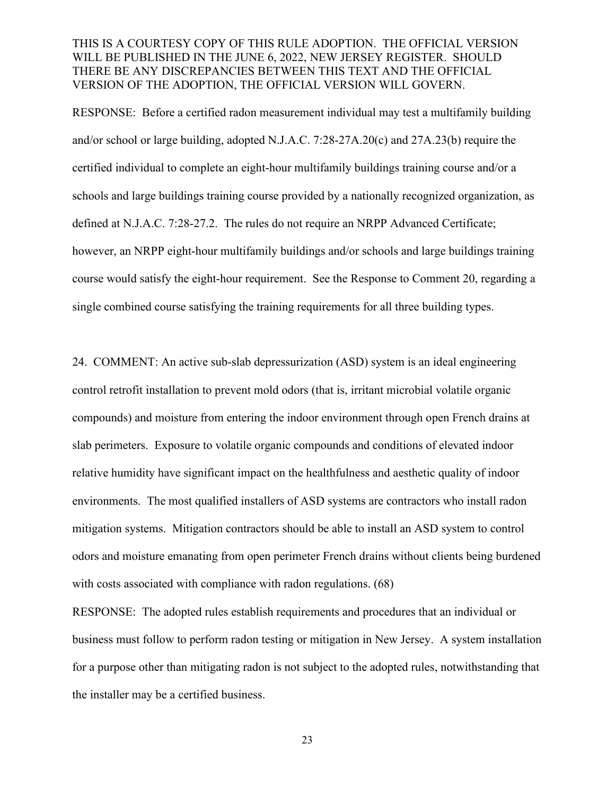RESPONSE: Before a certified radon measurement individual may test a multifamily building and/or school or large building, adopted N.J.A.C. 7:28-27A.20(c) and 27A.23(b) require the certified individual to complete an eight-hour multifamily buildings training course and/or a schools and large buildings training course provided by a nationally recognized organization, as defined at N.J.A.C. 7:28-27.2. The rules do not require an NRPP Advanced Certificate; however, an NRPP eight-hour multifamily buildings and/or schools and large buildings training course would satisfy the eight-hour requirement. See the Response to Comment 20, regarding a single combined course satisfying the training requirements for all three building types.

24. COMMENT: An active sub-slab depressurization (ASD) system is an ideal engineering control retrofit installation to prevent mold odors (that is, irritant microbial volatile organic compounds) and moisture from entering the indoor environment through open French drains at slab perimeters. Exposure to volatile organic compounds and conditions of elevated indoor relative humidity have significant impact on the healthfulness and aesthetic quality of indoor environments. The most qualified installers of ASD systems are contractors who install radon mitigation systems. Mitigation contractors should be able to install an ASD system to control odors and moisture emanating from open perimeter French drains without clients being burdened with costs associated with compliance with radon regulations. (68)

RESPONSE: The adopted rules establish requirements and procedures that an individual or business must follow to perform radon testing or mitigation in New Jersey. A system installation for a purpose other than mitigating radon is not subject to the adopted rules, notwithstanding that the installer may be a certified business.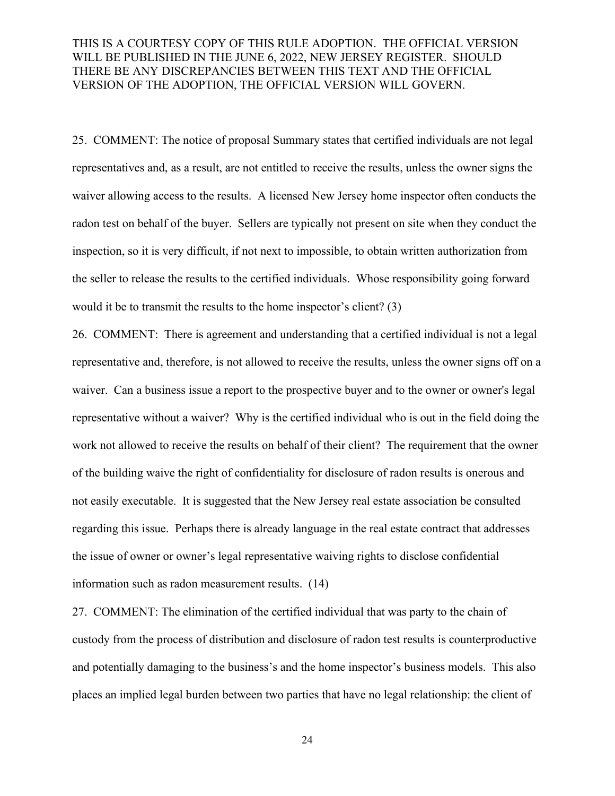25. COMMENT: The notice of proposal Summary states that certified individuals are not legal representatives and, as a result, are not entitled to receive the results, unless the owner signs the waiver allowing access to the results. A licensed New Jersey home inspector often conducts the radon test on behalf of the buyer. Sellers are typically not present on site when they conduct the inspection, so it is very difficult, if not next to impossible, to obtain written authorization from the seller to release the results to the certified individuals. Whose responsibility going forward would it be to transmit the results to the home inspector's client? (3)

26. COMMENT: There is agreement and understanding that a certified individual is not a legal representative and, therefore, is not allowed to receive the results, unless the owner signs off on a waiver. Can a business issue a report to the prospective buyer and to the owner or owner's legal representative without a waiver? Why is the certified individual who is out in the field doing the work not allowed to receive the results on behalf of their client? The requirement that the owner of the building waive the right of confidentiality for disclosure of radon results is onerous and not easily executable. It is suggested that the New Jersey real estate association be consulted regarding this issue. Perhaps there is already language in the real estate contract that addresses the issue of owner or owner's legal representative waiving rights to disclose confidential information such as radon measurement results. (14)

27. COMMENT: The elimination of the certified individual that was party to the chain of custody from the process of distribution and disclosure of radon test results is counterproductive and potentially damaging to the business's and the home inspector's business models. This also places an implied legal burden between two parties that have no legal relationship: the client of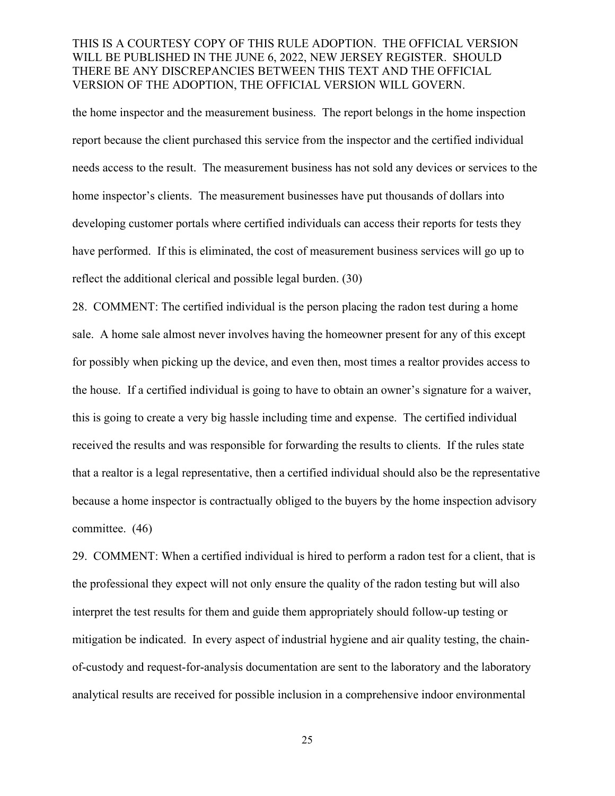the home inspector and the measurement business. The report belongs in the home inspection report because the client purchased this service from the inspector and the certified individual needs access to the result. The measurement business has not sold any devices or services to the home inspector's clients. The measurement businesses have put thousands of dollars into developing customer portals where certified individuals can access their reports for tests they have performed. If this is eliminated, the cost of measurement business services will go up to reflect the additional clerical and possible legal burden. (30)

28. COMMENT: The certified individual is the person placing the radon test during a home sale. A home sale almost never involves having the homeowner present for any of this except for possibly when picking up the device, and even then, most times a realtor provides access to the house. If a certified individual is going to have to obtain an owner's signature for a waiver, this is going to create a very big hassle including time and expense. The certified individual received the results and was responsible for forwarding the results to clients. If the rules state that a realtor is a legal representative, then a certified individual should also be the representative because a home inspector is contractually obliged to the buyers by the home inspection advisory committee. (46)

29. COMMENT: When a certified individual is hired to perform a radon test for a client, that is the professional they expect will not only ensure the quality of the radon testing but will also interpret the test results for them and guide them appropriately should follow-up testing or mitigation be indicated. In every aspect of industrial hygiene and air quality testing, the chainof-custody and request-for-analysis documentation are sent to the laboratory and the laboratory analytical results are received for possible inclusion in a comprehensive indoor environmental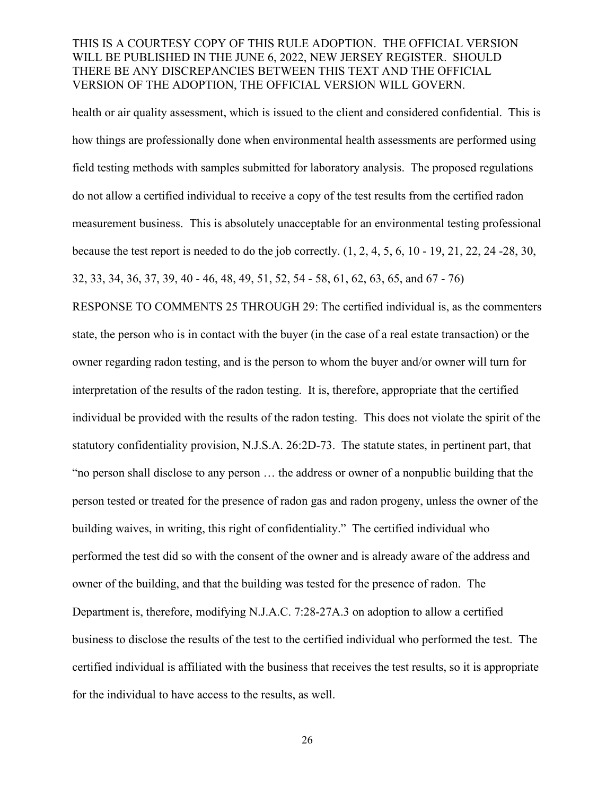health or air quality assessment, which is issued to the client and considered confidential. This is how things are professionally done when environmental health assessments are performed using field testing methods with samples submitted for laboratory analysis. The proposed regulations do not allow a certified individual to receive a copy of the test results from the certified radon measurement business. This is absolutely unacceptable for an environmental testing professional because the test report is needed to do the job correctly. (1, 2, 4, 5, 6, 10 - 19, 21, 22, 24 -28, 30, 32, 33, 34, 36, 37, 39, 40 - 46, 48, 49, 51, 52, 54 - 58, 61, 62, 63, 65, and 67 - 76) RESPONSE TO COMMENTS 25 THROUGH 29: The certified individual is, as the commenters state, the person who is in contact with the buyer (in the case of a real estate transaction) or the owner regarding radon testing, and is the person to whom the buyer and/or owner will turn for interpretation of the results of the radon testing. It is, therefore, appropriate that the certified

individual be provided with the results of the radon testing. This does not violate the spirit of the statutory confidentiality provision, N.J.S.A. 26:2D-73. The statute states, in pertinent part, that "no person shall disclose to any person … the address or owner of a nonpublic building that the person tested or treated for the presence of radon gas and radon progeny, unless the owner of the building waives, in writing, this right of confidentiality." The certified individual who performed the test did so with the consent of the owner and is already aware of the address and owner of the building, and that the building was tested for the presence of radon. The Department is, therefore, modifying N.J.A.C. 7:28-27A.3 on adoption to allow a certified business to disclose the results of the test to the certified individual who performed the test. The certified individual is affiliated with the business that receives the test results, so it is appropriate for the individual to have access to the results, as well.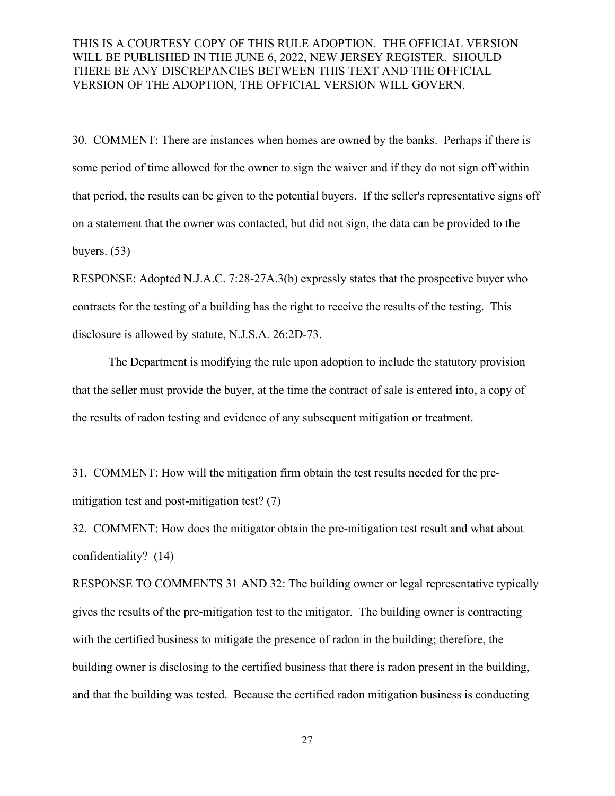30. COMMENT: There are instances when homes are owned by the banks. Perhaps if there is some period of time allowed for the owner to sign the waiver and if they do not sign off within that period, the results can be given to the potential buyers. If the seller's representative signs off on a statement that the owner was contacted, but did not sign, the data can be provided to the buyers. (53)

RESPONSE: Adopted N.J.A.C. 7:28-27A.3(b) expressly states that the prospective buyer who contracts for the testing of a building has the right to receive the results of the testing. This disclosure is allowed by statute, N.J.S.A. 26:2D-73.

The Department is modifying the rule upon adoption to include the statutory provision that the seller must provide the buyer, at the time the contract of sale is entered into, a copy of the results of radon testing and evidence of any subsequent mitigation or treatment.

31. COMMENT: How will the mitigation firm obtain the test results needed for the premitigation test and post-mitigation test? (7)

32. COMMENT: How does the mitigator obtain the pre-mitigation test result and what about confidentiality? (14)

RESPONSE TO COMMENTS 31 AND 32: The building owner or legal representative typically gives the results of the pre-mitigation test to the mitigator. The building owner is contracting with the certified business to mitigate the presence of radon in the building; therefore, the building owner is disclosing to the certified business that there is radon present in the building, and that the building was tested. Because the certified radon mitigation business is conducting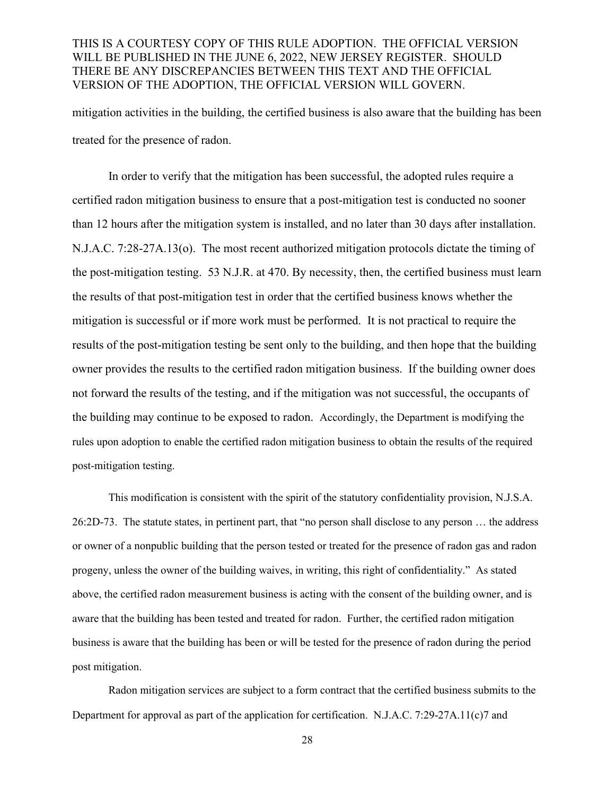mitigation activities in the building, the certified business is also aware that the building has been treated for the presence of radon.

In order to verify that the mitigation has been successful, the adopted rules require a certified radon mitigation business to ensure that a post-mitigation test is conducted no sooner than 12 hours after the mitigation system is installed, and no later than 30 days after installation. N.J.A.C. 7:28-27A.13(o). The most recent authorized mitigation protocols dictate the timing of the post-mitigation testing. 53 N.J.R. at 470. By necessity, then, the certified business must learn the results of that post-mitigation test in order that the certified business knows whether the mitigation is successful or if more work must be performed. It is not practical to require the results of the post-mitigation testing be sent only to the building, and then hope that the building owner provides the results to the certified radon mitigation business. If the building owner does not forward the results of the testing, and if the mitigation was not successful, the occupants of the building may continue to be exposed to radon. Accordingly, the Department is modifying the rules upon adoption to enable the certified radon mitigation business to obtain the results of the required post-mitigation testing.

This modification is consistent with the spirit of the statutory confidentiality provision, N.J.S.A. 26:2D-73. The statute states, in pertinent part, that "no person shall disclose to any person … the address or owner of a nonpublic building that the person tested or treated for the presence of radon gas and radon progeny, unless the owner of the building waives, in writing, this right of confidentiality." As stated above, the certified radon measurement business is acting with the consent of the building owner, and is aware that the building has been tested and treated for radon. Further, the certified radon mitigation business is aware that the building has been or will be tested for the presence of radon during the period post mitigation.

Radon mitigation services are subject to a form contract that the certified business submits to the Department for approval as part of the application for certification. N.J.A.C. 7:29-27A.11(c)7 and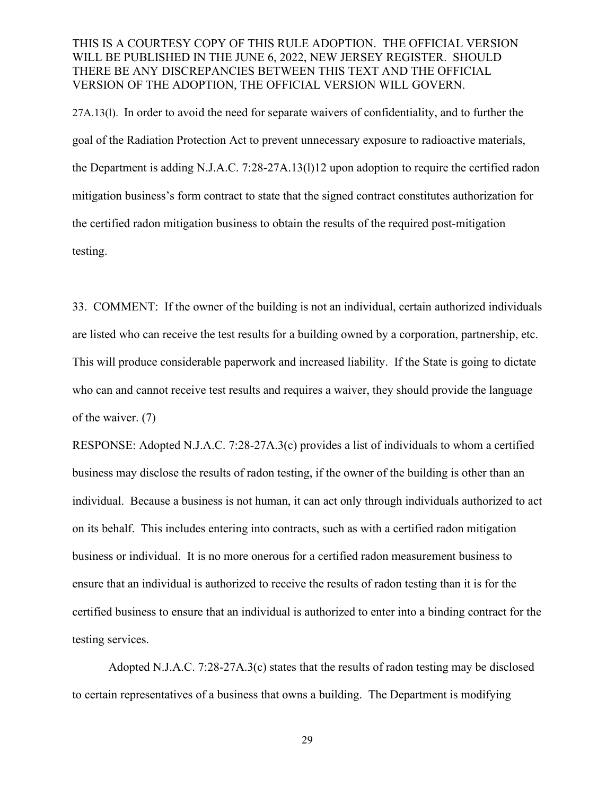27A.13(l). In order to avoid the need for separate waivers of confidentiality, and to further the goal of the Radiation Protection Act to prevent unnecessary exposure to radioactive materials, the Department is adding N.J.A.C. 7:28-27A.13(l)12 upon adoption to require the certified radon mitigation business's form contract to state that the signed contract constitutes authorization for the certified radon mitigation business to obtain the results of the required post-mitigation testing.

33. COMMENT: If the owner of the building is not an individual, certain authorized individuals are listed who can receive the test results for a building owned by a corporation, partnership, etc. This will produce considerable paperwork and increased liability. If the State is going to dictate who can and cannot receive test results and requires a waiver, they should provide the language of the waiver. (7)

RESPONSE: Adopted N.J.A.C. 7:28-27A.3(c) provides a list of individuals to whom a certified business may disclose the results of radon testing, if the owner of the building is other than an individual. Because a business is not human, it can act only through individuals authorized to act on its behalf. This includes entering into contracts, such as with a certified radon mitigation business or individual. It is no more onerous for a certified radon measurement business to ensure that an individual is authorized to receive the results of radon testing than it is for the certified business to ensure that an individual is authorized to enter into a binding contract for the testing services.

Adopted N.J.A.C. 7:28-27A.3(c) states that the results of radon testing may be disclosed to certain representatives of a business that owns a building. The Department is modifying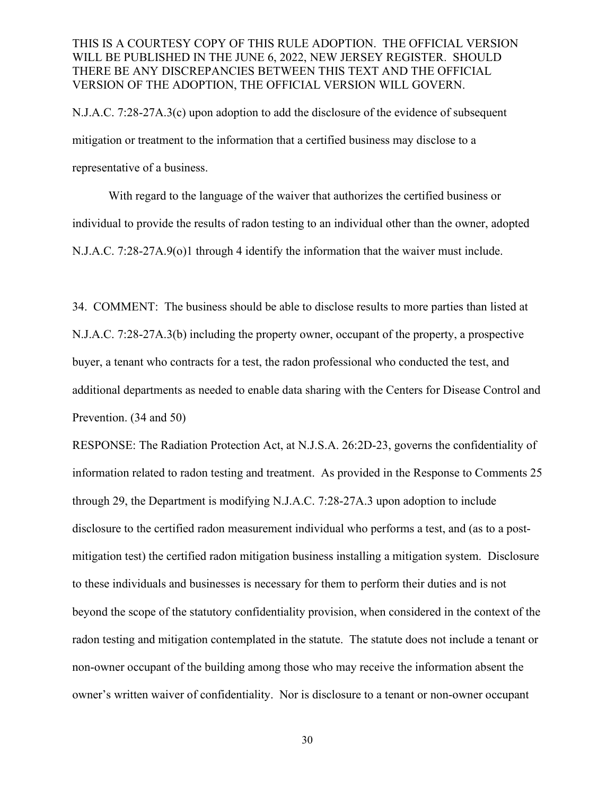N.J.A.C. 7:28-27A.3(c) upon adoption to add the disclosure of the evidence of subsequent mitigation or treatment to the information that a certified business may disclose to a representative of a business.

With regard to the language of the waiver that authorizes the certified business or individual to provide the results of radon testing to an individual other than the owner, adopted N.J.A.C. 7:28-27A.9(o)1 through 4 identify the information that the waiver must include.

34. COMMENT: The business should be able to disclose results to more parties than listed at N.J.A.C. 7:28-27A.3(b) including the property owner, occupant of the property, a prospective buyer, a tenant who contracts for a test, the radon professional who conducted the test, and additional departments as needed to enable data sharing with the Centers for Disease Control and Prevention. (34 and 50)

RESPONSE: The Radiation Protection Act, at N.J.S.A. 26:2D-23, governs the confidentiality of information related to radon testing and treatment. As provided in the Response to Comments 25 through 29, the Department is modifying N.J.A.C. 7:28-27A.3 upon adoption to include disclosure to the certified radon measurement individual who performs a test, and (as to a postmitigation test) the certified radon mitigation business installing a mitigation system. Disclosure to these individuals and businesses is necessary for them to perform their duties and is not beyond the scope of the statutory confidentiality provision, when considered in the context of the radon testing and mitigation contemplated in the statute. The statute does not include a tenant or non-owner occupant of the building among those who may receive the information absent the owner's written waiver of confidentiality. Nor is disclosure to a tenant or non-owner occupant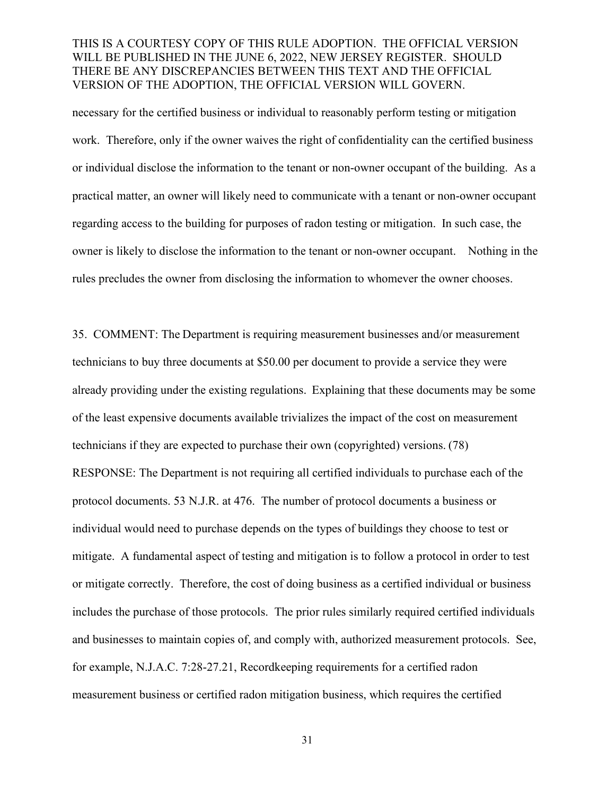necessary for the certified business or individual to reasonably perform testing or mitigation work. Therefore, only if the owner waives the right of confidentiality can the certified business or individual disclose the information to the tenant or non-owner occupant of the building. As a practical matter, an owner will likely need to communicate with a tenant or non-owner occupant regarding access to the building for purposes of radon testing or mitigation. In such case, the owner is likely to disclose the information to the tenant or non-owner occupant. Nothing in the rules precludes the owner from disclosing the information to whomever the owner chooses.

35. COMMENT: The Department is requiring measurement businesses and/or measurement technicians to buy three documents at \$50.00 per document to provide a service they were already providing under the existing regulations.  Explaining that these documents may be some of the least expensive documents available trivializes the impact of the cost on measurement technicians if they are expected to purchase their own (copyrighted) versions. (78) RESPONSE: The Department is not requiring all certified individuals to purchase each of the protocol documents. 53 N.J.R. at 476. The number of protocol documents a business or individual would need to purchase depends on the types of buildings they choose to test or mitigate. A fundamental aspect of testing and mitigation is to follow a protocol in order to test or mitigate correctly. Therefore, the cost of doing business as a certified individual or business includes the purchase of those protocols. The prior rules similarly required certified individuals and businesses to maintain copies of, and comply with, authorized measurement protocols. See, for example, N.J.A.C. 7:28-27.21, Recordkeeping requirements for a certified radon measurement business or certified radon mitigation business, which requires the certified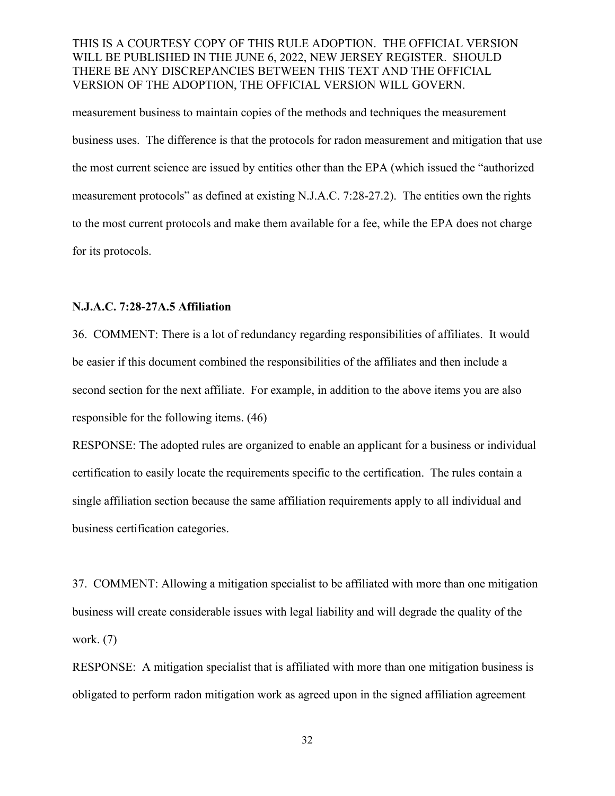measurement business to maintain copies of the methods and techniques the measurement business uses. The difference is that the protocols for radon measurement and mitigation that use the most current science are issued by entities other than the EPA (which issued the "authorized measurement protocols" as defined at existing N.J.A.C. 7:28-27.2). The entities own the rights to the most current protocols and make them available for a fee, while the EPA does not charge for its protocols.

#### **N.J.A.C. 7:28-27A.5 Affiliation**

36. COMMENT: There is a lot of redundancy regarding responsibilities of affiliates. It would be easier if this document combined the responsibilities of the affiliates and then include a second section for the next affiliate. For example, in addition to the above items you are also responsible for the following items. (46)

RESPONSE: The adopted rules are organized to enable an applicant for a business or individual certification to easily locate the requirements specific to the certification. The rules contain a single affiliation section because the same affiliation requirements apply to all individual and business certification categories.

37. COMMENT: Allowing a mitigation specialist to be affiliated with more than one mitigation business will create considerable issues with legal liability and will degrade the quality of the work. (7)

RESPONSE: A mitigation specialist that is affiliated with more than one mitigation business is obligated to perform radon mitigation work as agreed upon in the signed affiliation agreement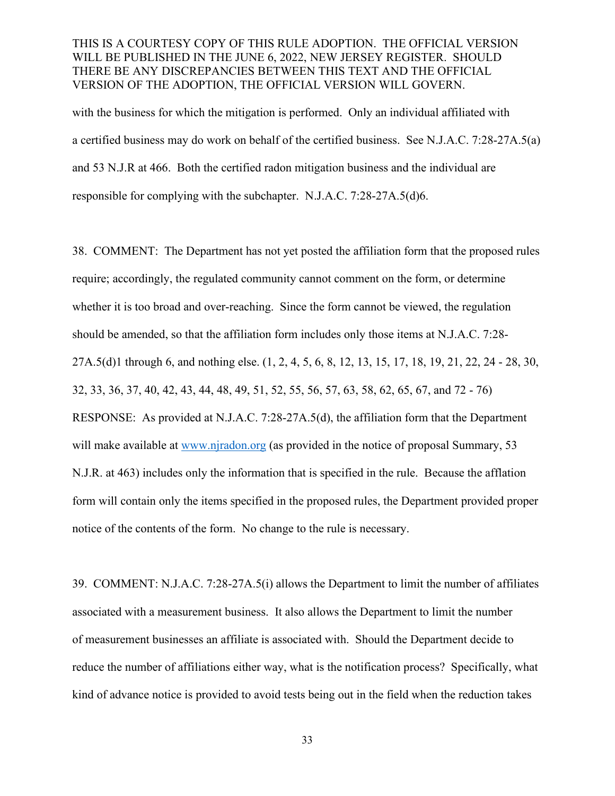with the business for which the mitigation is performed. Only an individual affiliated with a certified business may do work on behalf of the certified business. See N.J.A.C. 7:28-27A.5(a) and 53 N.J.R at 466. Both the certified radon mitigation business and the individual are responsible for complying with the subchapter. N.J.A.C. 7:28-27A.5(d)6.

38. COMMENT: The Department has not yet posted the affiliation form that the proposed rules require; accordingly, the regulated community cannot comment on the form, or determine whether it is too broad and over-reaching. Since the form cannot be viewed, the regulation should be amended, so that the affiliation form includes only those items at N.J.A.C. 7:28- 27A.5(d)1 through 6, and nothing else. (1, 2, 4, 5, 6, 8, 12, 13, 15, 17, 18, 19, 21, 22, 24 - 28, 30, 32, 33, 36, 37, 40, 42, 43, 44, 48, 49, 51, 52, 55, 56, 57, 63, 58, 62, 65, 67, and 72 - 76) RESPONSE: As provided at N.J.A.C. 7:28-27A.5(d), the affiliation form that the Department will make available at [www.njradon.org](http://www.njradon.org/) (as provided in the notice of proposal Summary, 53 N.J.R. at 463) includes only the information that is specified in the rule. Because the afflation form will contain only the items specified in the proposed rules, the Department provided proper notice of the contents of the form. No change to the rule is necessary.

39. COMMENT: N.J.A.C. 7:28-27A.5(i) allows the Department to limit the number of affiliates associated with a measurement business. It also allows the Department to limit the number of measurement businesses an affiliate is associated with. Should the Department decide to reduce the number of affiliations either way, what is the notification process? Specifically, what kind of advance notice is provided to avoid tests being out in the field when the reduction takes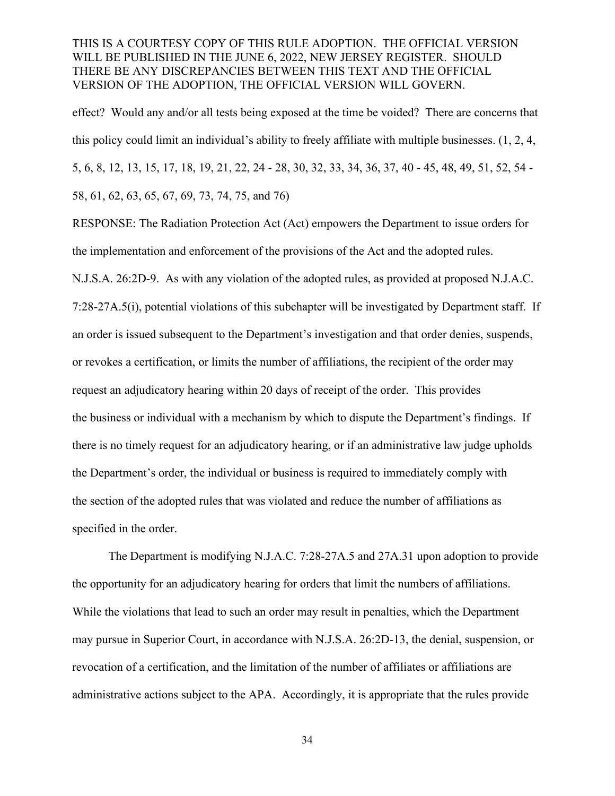effect? Would any and/or all tests being exposed at the time be voided? There are concerns that this policy could limit an individual's ability to freely affiliate with multiple businesses. (1, 2, 4, 5, 6, 8, 12, 13, 15, 17, 18, 19, 21, 22, 24 - 28, 30, 32, 33, 34, 36, 37, 40 - 45, 48, 49, 51, 52, 54 - 58, 61, 62, 63, 65, 67, 69, 73, 74, 75, and 76)

RESPONSE: The Radiation Protection Act (Act) empowers the Department to issue orders for the implementation and enforcement of the provisions of the Act and the adopted rules.

N.J.S.A. 26:2D-9. As with any violation of the adopted rules, as provided at proposed N.J.A.C. 7:28-27A.5(i), potential violations of this subchapter will be investigated by Department staff. If an order is issued subsequent to the Department's investigation and that order denies, suspends, or revokes a certification, or limits the number of affiliations, the recipient of the order may request an adjudicatory hearing within 20 days of receipt of the order. This provides the business or individual with a mechanism by which to dispute the Department's findings. If there is no timely request for an adjudicatory hearing, or if an administrative law judge upholds the Department's order, the individual or business is required to immediately comply with the section of the adopted rules that was violated and reduce the number of affiliations as specified in the order.

The Department is modifying N.J.A.C. 7:28-27A.5 and 27A.31 upon adoption to provide the opportunity for an adjudicatory hearing for orders that limit the numbers of affiliations. While the violations that lead to such an order may result in penalties, which the Department may pursue in Superior Court, in accordance with N.J.S.A. 26:2D-13, the denial, suspension, or revocation of a certification, and the limitation of the number of affiliates or affiliations are administrative actions subject to the APA. Accordingly, it is appropriate that the rules provide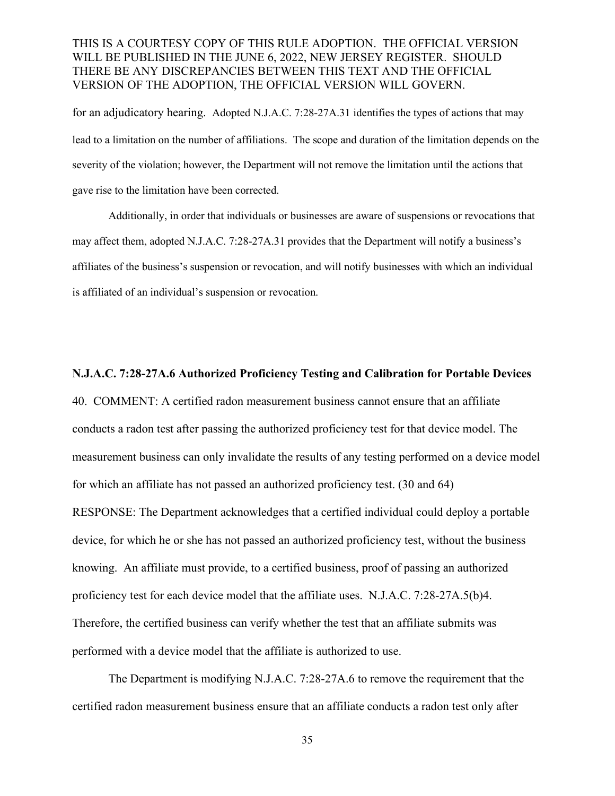for an adjudicatory hearing. Adopted N.J.A.C. 7:28-27A.31 identifies the types of actions that may lead to a limitation on the number of affiliations. The scope and duration of the limitation depends on the severity of the violation; however, the Department will not remove the limitation until the actions that gave rise to the limitation have been corrected.

Additionally, in order that individuals or businesses are aware of suspensions or revocations that may affect them, adopted N.J.A.C. 7:28-27A.31 provides that the Department will notify a business's affiliates of the business's suspension or revocation, and will notify businesses with which an individual is affiliated of an individual's suspension or revocation.

#### **N.J.A.C. 7:28-27A.6 Authorized Proficiency Testing and Calibration for Portable Devices**

40. COMMENT: A certified radon measurement business cannot ensure that an affiliate conducts a radon test after passing the authorized proficiency test for that device model. The measurement business can only invalidate the results of any testing performed on a device model for which an affiliate has not passed an authorized proficiency test. (30 and 64) RESPONSE: The Department acknowledges that a certified individual could deploy a portable device, for which he or she has not passed an authorized proficiency test, without the business knowing. An affiliate must provide, to a certified business, proof of passing an authorized proficiency test for each device model that the affiliate uses. N.J.A.C. 7:28-27A.5(b)4. Therefore, the certified business can verify whether the test that an affiliate submits was performed with a device model that the affiliate is authorized to use.

The Department is modifying N.J.A.C. 7:28-27A.6 to remove the requirement that the certified radon measurement business ensure that an affiliate conducts a radon test only after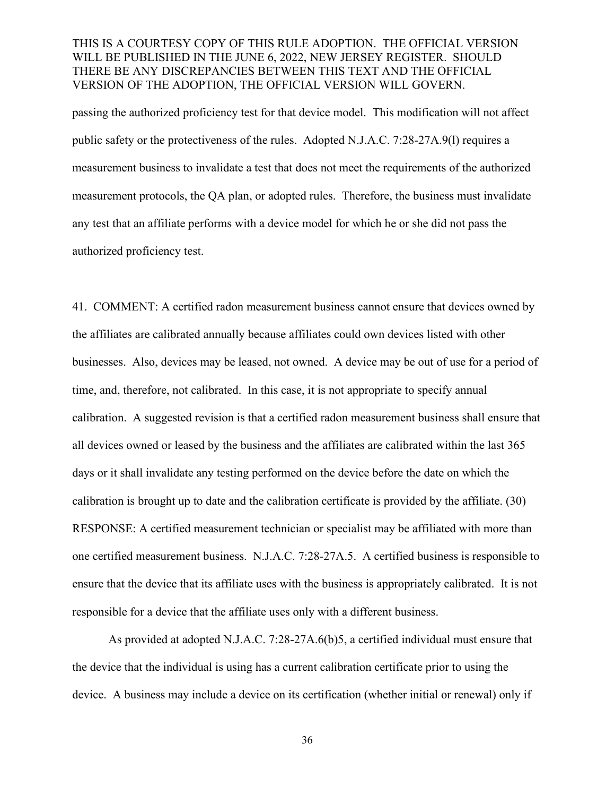passing the authorized proficiency test for that device model. This modification will not affect public safety or the protectiveness of the rules. Adopted N.J.A.C. 7:28-27A.9(l) requires a measurement business to invalidate a test that does not meet the requirements of the authorized measurement protocols, the QA plan, or adopted rules. Therefore, the business must invalidate any test that an affiliate performs with a device model for which he or she did not pass the authorized proficiency test.

41. COMMENT: A certified radon measurement business cannot ensure that devices owned by the affiliates are calibrated annually because affiliates could own devices listed with other businesses. Also, devices may be leased, not owned. A device may be out of use for a period of time, and, therefore, not calibrated. In this case, it is not appropriate to specify annual calibration. A suggested revision is that a certified radon measurement business shall ensure that all devices owned or leased by the business and the affiliates are calibrated within the last 365 days or it shall invalidate any testing performed on the device before the date on which the calibration is brought up to date and the calibration certificate is provided by the affiliate. (30) RESPONSE: A certified measurement technician or specialist may be affiliated with more than one certified measurement business. N.J.A.C. 7:28-27A.5. A certified business is responsible to ensure that the device that its affiliate uses with the business is appropriately calibrated. It is not responsible for a device that the affiliate uses only with a different business.

As provided at adopted N.J.A.C. 7:28-27A.6(b)5, a certified individual must ensure that the device that the individual is using has a current calibration certificate prior to using the device. A business may include a device on its certification (whether initial or renewal) only if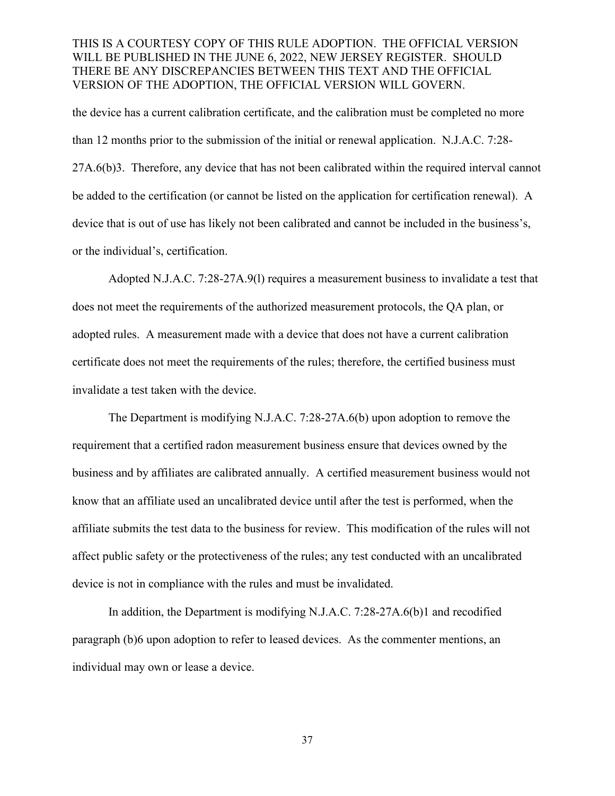the device has a current calibration certificate, and the calibration must be completed no more than 12 months prior to the submission of the initial or renewal application. N.J.A.C. 7:28- 27A.6(b)3. Therefore, any device that has not been calibrated within the required interval cannot be added to the certification (or cannot be listed on the application for certification renewal). A device that is out of use has likely not been calibrated and cannot be included in the business's, or the individual's, certification.

Adopted N.J.A.C. 7:28-27A.9(l) requires a measurement business to invalidate a test that does not meet the requirements of the authorized measurement protocols, the QA plan, or adopted rules. A measurement made with a device that does not have a current calibration certificate does not meet the requirements of the rules; therefore, the certified business must invalidate a test taken with the device.

The Department is modifying N.J.A.C. 7:28-27A.6(b) upon adoption to remove the requirement that a certified radon measurement business ensure that devices owned by the business and by affiliates are calibrated annually. A certified measurement business would not know that an affiliate used an uncalibrated device until after the test is performed, when the affiliate submits the test data to the business for review. This modification of the rules will not affect public safety or the protectiveness of the rules; any test conducted with an uncalibrated device is not in compliance with the rules and must be invalidated.

In addition, the Department is modifying N.J.A.C. 7:28-27A.6(b)1 and recodified paragraph (b)6 upon adoption to refer to leased devices. As the commenter mentions, an individual may own or lease a device.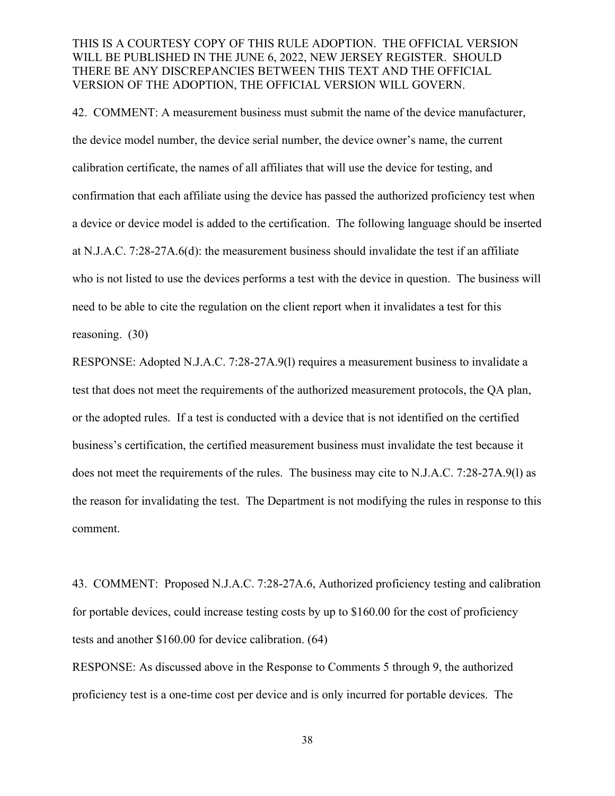42. COMMENT: A measurement business must submit the name of the device manufacturer, the device model number, the device serial number, the device owner's name, the current calibration certificate, the names of all affiliates that will use the device for testing, and confirmation that each affiliate using the device has passed the authorized proficiency test when a device or device model is added to the certification. The following language should be inserted at N.J.A.C. 7:28-27A.6(d): the measurement business should invalidate the test if an affiliate who is not listed to use the devices performs a test with the device in question. The business will need to be able to cite the regulation on the client report when it invalidates a test for this reasoning. (30)

RESPONSE: Adopted N.J.A.C. 7:28-27A.9(l) requires a measurement business to invalidate a test that does not meet the requirements of the authorized measurement protocols, the QA plan, or the adopted rules. If a test is conducted with a device that is not identified on the certified business's certification, the certified measurement business must invalidate the test because it does not meet the requirements of the rules. The business may cite to N.J.A.C. 7:28-27A.9(l) as the reason for invalidating the test. The Department is not modifying the rules in response to this comment.

43. COMMENT: Proposed N.J.A.C. 7:28-27A.6, Authorized proficiency testing and calibration for portable devices, could increase testing costs by up to \$160.00 for the cost of proficiency tests and another \$160.00 for device calibration. (64)

RESPONSE: As discussed above in the Response to Comments 5 through 9, the authorized proficiency test is a one-time cost per device and is only incurred for portable devices. The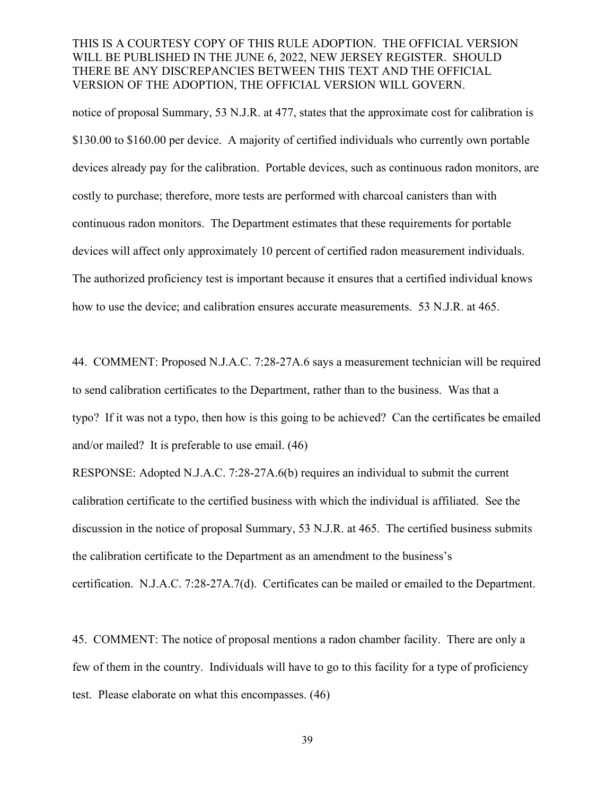notice of proposal Summary, 53 N.J.R. at 477, states that the approximate cost for calibration is \$130.00 to \$160.00 per device. A majority of certified individuals who currently own portable devices already pay for the calibration. Portable devices, such as continuous radon monitors, are costly to purchase; therefore, more tests are performed with charcoal canisters than with continuous radon monitors. The Department estimates that these requirements for portable devices will affect only approximately 10 percent of certified radon measurement individuals. The authorized proficiency test is important because it ensures that a certified individual knows how to use the device; and calibration ensures accurate measurements. 53 N.J.R. at 465.

44. COMMENT: Proposed N.J.A.C. 7:28-27A.6 says a measurement technician will be required to send calibration certificates to the Department, rather than to the business. Was that a typo? If it was not a typo, then how is this going to be achieved? Can the certificates be emailed and/or mailed? It is preferable to use email. (46)

RESPONSE: Adopted N.J.A.C. 7:28-27A.6(b) requires an individual to submit the current calibration certificate to the certified business with which the individual is affiliated. See the discussion in the notice of proposal Summary, 53 N.J.R. at 465. The certified business submits the calibration certificate to the Department as an amendment to the business's certification. N.J.A.C. 7:28-27A.7(d). Certificates can be mailed or emailed to the Department.

45. COMMENT: The notice of proposal mentions a radon chamber facility. There are only a few of them in the country. Individuals will have to go to this facility for a type of proficiency test. Please elaborate on what this encompasses. (46)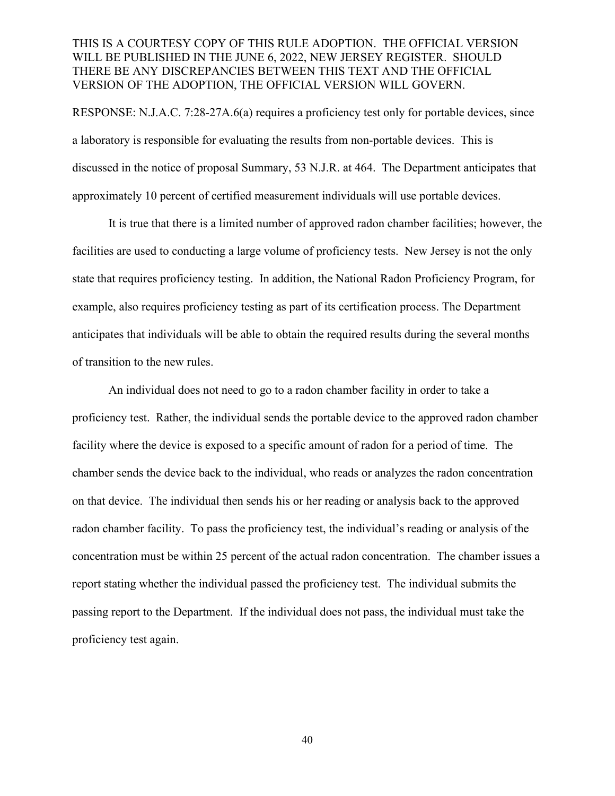RESPONSE: N.J.A.C. 7:28-27A.6(a) requires a proficiency test only for portable devices, since a laboratory is responsible for evaluating the results from non-portable devices. This is discussed in the notice of proposal Summary, 53 N.J.R. at 464. The Department anticipates that approximately 10 percent of certified measurement individuals will use portable devices.

It is true that there is a limited number of approved radon chamber facilities; however, the facilities are used to conducting a large volume of proficiency tests. New Jersey is not the only state that requires proficiency testing. In addition, the National Radon Proficiency Program, for example, also requires proficiency testing as part of its certification process. The Department anticipates that individuals will be able to obtain the required results during the several months of transition to the new rules.

An individual does not need to go to a radon chamber facility in order to take a proficiency test. Rather, the individual sends the portable device to the approved radon chamber facility where the device is exposed to a specific amount of radon for a period of time. The chamber sends the device back to the individual, who reads or analyzes the radon concentration on that device. The individual then sends his or her reading or analysis back to the approved radon chamber facility. To pass the proficiency test, the individual's reading or analysis of the concentration must be within 25 percent of the actual radon concentration. The chamber issues a report stating whether the individual passed the proficiency test. The individual submits the passing report to the Department. If the individual does not pass, the individual must take the proficiency test again.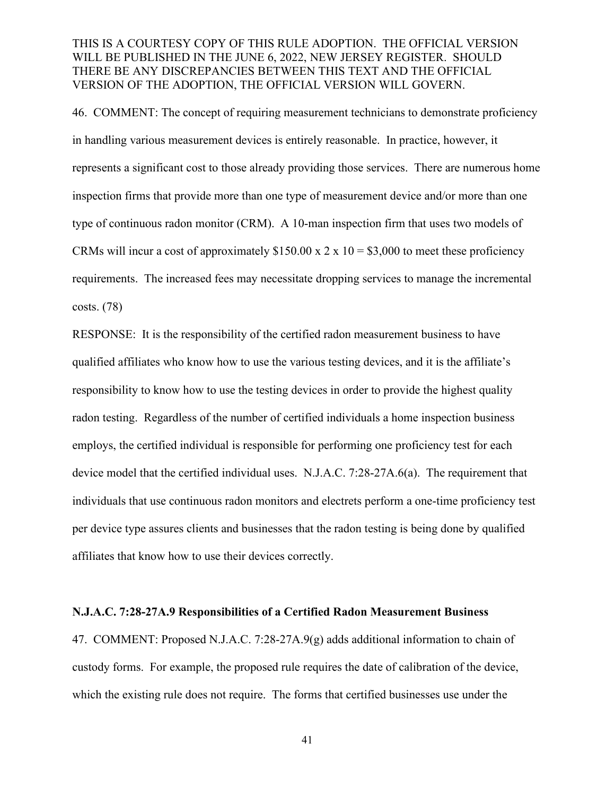46. COMMENT: The concept of requiring measurement technicians to demonstrate proficiency in handling various measurement devices is entirely reasonable. In practice, however, it represents a significant cost to those already providing those services. There are numerous home inspection firms that provide more than one type of measurement device and/or more than one type of continuous radon monitor (CRM). A 10-man inspection firm that uses two models of CRMs will incur a cost of approximately  $$150.00 \times 2 \times 10 = $3,000$  to meet these proficiency requirements. The increased fees may necessitate dropping services to manage the incremental costs. (78)

RESPONSE: It is the responsibility of the certified radon measurement business to have qualified affiliates who know how to use the various testing devices, and it is the affiliate's responsibility to know how to use the testing devices in order to provide the highest quality radon testing. Regardless of the number of certified individuals a home inspection business employs, the certified individual is responsible for performing one proficiency test for each device model that the certified individual uses. N.J.A.C. 7:28-27A.6(a). The requirement that individuals that use continuous radon monitors and electrets perform a one-time proficiency test per device type assures clients and businesses that the radon testing is being done by qualified affiliates that know how to use their devices correctly.

#### **N.J.A.C. 7:28-27A.9 Responsibilities of a Certified Radon Measurement Business**

47. COMMENT: Proposed N.J.A.C. 7:28-27A.9(g) adds additional information to chain of custody forms. For example, the proposed rule requires the date of calibration of the device, which the existing rule does not require. The forms that certified businesses use under the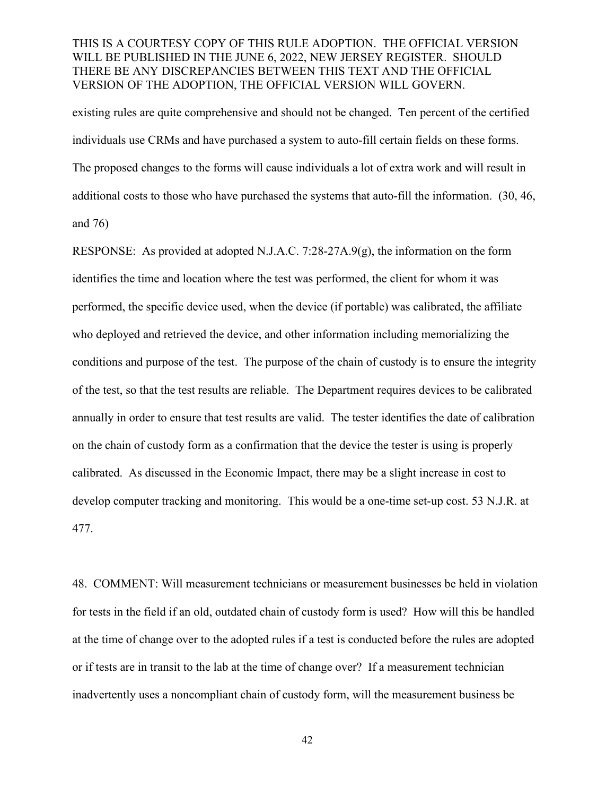existing rules are quite comprehensive and should not be changed. Ten percent of the certified individuals use CRMs and have purchased a system to auto-fill certain fields on these forms. The proposed changes to the forms will cause individuals a lot of extra work and will result in additional costs to those who have purchased the systems that auto-fill the information. (30, 46, and 76)

RESPONSE: As provided at adopted N.J.A.C. 7:28-27A.9(g), the information on the form identifies the time and location where the test was performed, the client for whom it was performed, the specific device used, when the device (if portable) was calibrated, the affiliate who deployed and retrieved the device, and other information including memorializing the conditions and purpose of the test. The purpose of the chain of custody is to ensure the integrity of the test, so that the test results are reliable. The Department requires devices to be calibrated annually in order to ensure that test results are valid. The tester identifies the date of calibration on the chain of custody form as a confirmation that the device the tester is using is properly calibrated. As discussed in the Economic Impact, there may be a slight increase in cost to develop computer tracking and monitoring. This would be a one-time set-up cost. 53 N.J.R. at 477.

48. COMMENT: Will measurement technicians or measurement businesses be held in violation for tests in the field if an old, outdated chain of custody form is used? How will this be handled at the time of change over to the adopted rules if a test is conducted before the rules are adopted or if tests are in transit to the lab at the time of change over? If a measurement technician inadvertently uses a noncompliant chain of custody form, will the measurement business be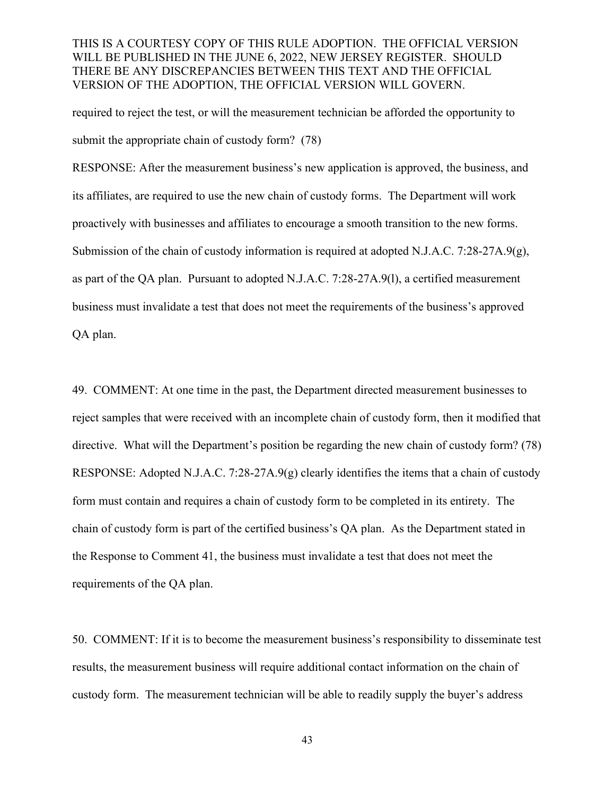required to reject the test, or will the measurement technician be afforded the opportunity to submit the appropriate chain of custody form? (78)

RESPONSE: After the measurement business's new application is approved, the business, and its affiliates, are required to use the new chain of custody forms. The Department will work proactively with businesses and affiliates to encourage a smooth transition to the new forms. Submission of the chain of custody information is required at adopted N.J.A.C. 7:28-27A.9(g), as part of the QA plan. Pursuant to adopted N.J.A.C. 7:28-27A.9(l), a certified measurement business must invalidate a test that does not meet the requirements of the business's approved QA plan.

49. COMMENT: At one time in the past, the Department directed measurement businesses to reject samples that were received with an incomplete chain of custody form, then it modified that directive. What will the Department's position be regarding the new chain of custody form? (78) RESPONSE: Adopted N.J.A.C. 7:28-27A.9(g) clearly identifies the items that a chain of custody form must contain and requires a chain of custody form to be completed in its entirety. The chain of custody form is part of the certified business's QA plan. As the Department stated in the Response to Comment 41, the business must invalidate a test that does not meet the requirements of the QA plan.

50. COMMENT: If it is to become the measurement business's responsibility to disseminate test results, the measurement business will require additional contact information on the chain of custody form. The measurement technician will be able to readily supply the buyer's address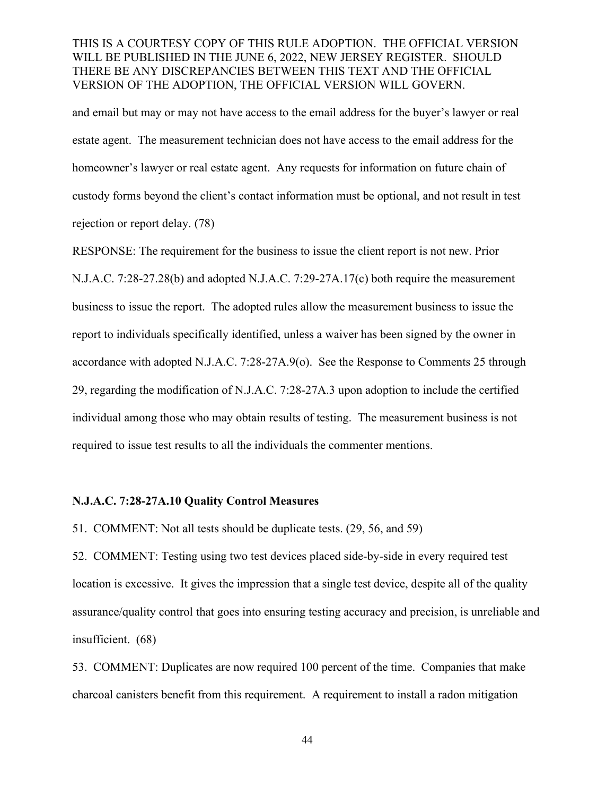and email but may or may not have access to the email address for the buyer's lawyer or real estate agent. The measurement technician does not have access to the email address for the homeowner's lawyer or real estate agent. Any requests for information on future chain of custody forms beyond the client's contact information must be optional, and not result in test rejection or report delay. (78)

RESPONSE: The requirement for the business to issue the client report is not new. Prior N.J.A.C. 7:28-27.28(b) and adopted N.J.A.C. 7:29-27A.17(c) both require the measurement business to issue the report. The adopted rules allow the measurement business to issue the report to individuals specifically identified, unless a waiver has been signed by the owner in accordance with adopted N.J.A.C. 7:28-27A.9(o). See the Response to Comments 25 through 29, regarding the modification of N.J.A.C. 7:28-27A.3 upon adoption to include the certified individual among those who may obtain results of testing. The measurement business is not required to issue test results to all the individuals the commenter mentions.

#### **N.J.A.C. 7:28-27A.10 Quality Control Measures**

51. COMMENT: Not all tests should be duplicate tests. (29, 56, and 59)

52. COMMENT: Testing using two test devices placed side-by-side in every required test location is excessive. It gives the impression that a single test device, despite all of the quality assurance/quality control that goes into ensuring testing accuracy and precision, is unreliable and insufficient. (68)

53. COMMENT: Duplicates are now required 100 percent of the time. Companies that make charcoal canisters benefit from this requirement. A requirement to install a radon mitigation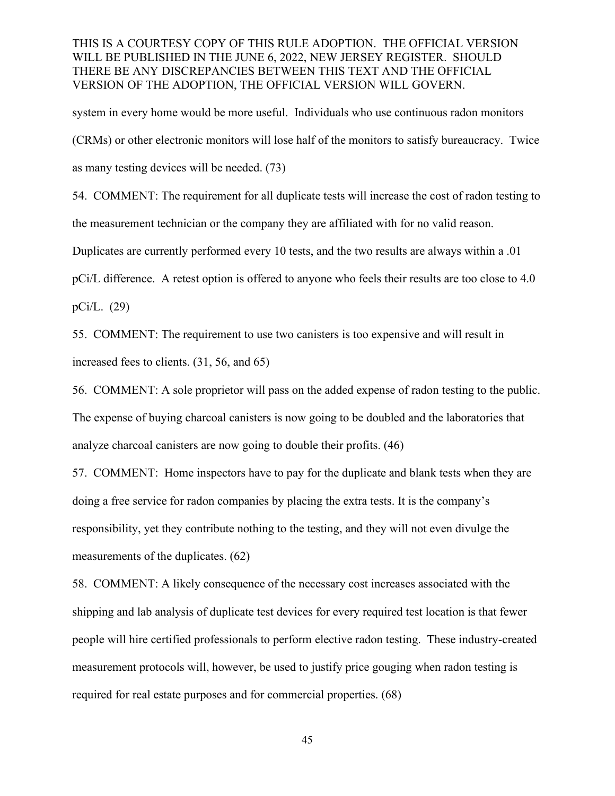system in every home would be more useful. Individuals who use continuous radon monitors (CRMs) or other electronic monitors will lose half of the monitors to satisfy bureaucracy. Twice as many testing devices will be needed. (73)

54. COMMENT: The requirement for all duplicate tests will increase the cost of radon testing to the measurement technician or the company they are affiliated with for no valid reason.

Duplicates are currently performed every 10 tests, and the two results are always within a .01

pCi/L difference. A retest option is offered to anyone who feels their results are too close to 4.0

pCi/L. (29)

55. COMMENT: The requirement to use two canisters is too expensive and will result in increased fees to clients. (31, 56, and 65)

56. COMMENT: A sole proprietor will pass on the added expense of radon testing to the public. The expense of buying charcoal canisters is now going to be doubled and the laboratories that analyze charcoal canisters are now going to double their profits. (46)

57. COMMENT: Home inspectors have to pay for the duplicate and blank tests when they are doing a free service for radon companies by placing the extra tests. It is the company's responsibility, yet they contribute nothing to the testing, and they will not even divulge the measurements of the duplicates. (62)

58. COMMENT: A likely consequence of the necessary cost increases associated with the shipping and lab analysis of duplicate test devices for every required test location is that fewer people will hire certified professionals to perform elective radon testing. These industry-created measurement protocols will, however, be used to justify price gouging when radon testing is required for real estate purposes and for commercial properties. (68)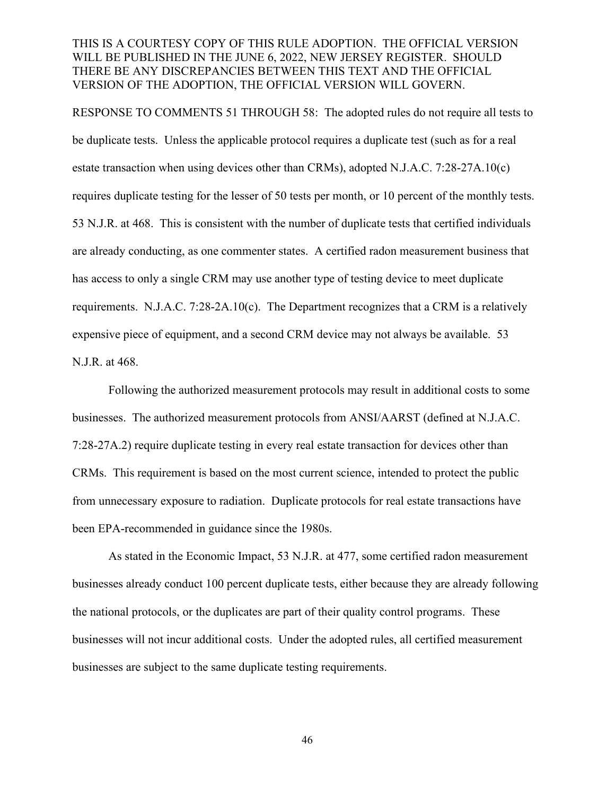RESPONSE TO COMMENTS 51 THROUGH 58: The adopted rules do not require all tests to be duplicate tests. Unless the applicable protocol requires a duplicate test (such as for a real estate transaction when using devices other than CRMs), adopted N.J.A.C. 7:28-27A.10(c) requires duplicate testing for the lesser of 50 tests per month, or 10 percent of the monthly tests. 53 N.J.R. at 468. This is consistent with the number of duplicate tests that certified individuals are already conducting, as one commenter states. A certified radon measurement business that has access to only a single CRM may use another type of testing device to meet duplicate requirements. N.J.A.C. 7:28-2A.10(c). The Department recognizes that a CRM is a relatively expensive piece of equipment, and a second CRM device may not always be available. 53 N.J.R. at 468.

Following the authorized measurement protocols may result in additional costs to some businesses. The authorized measurement protocols from ANSI/AARST (defined at N.J.A.C. 7:28-27A.2) require duplicate testing in every real estate transaction for devices other than CRMs. This requirement is based on the most current science, intended to protect the public from unnecessary exposure to radiation. Duplicate protocols for real estate transactions have been EPA-recommended in guidance since the 1980s.

As stated in the Economic Impact, 53 N.J.R. at 477, some certified radon measurement businesses already conduct 100 percent duplicate tests, either because they are already following the national protocols, or the duplicates are part of their quality control programs. These businesses will not incur additional costs. Under the adopted rules, all certified measurement businesses are subject to the same duplicate testing requirements.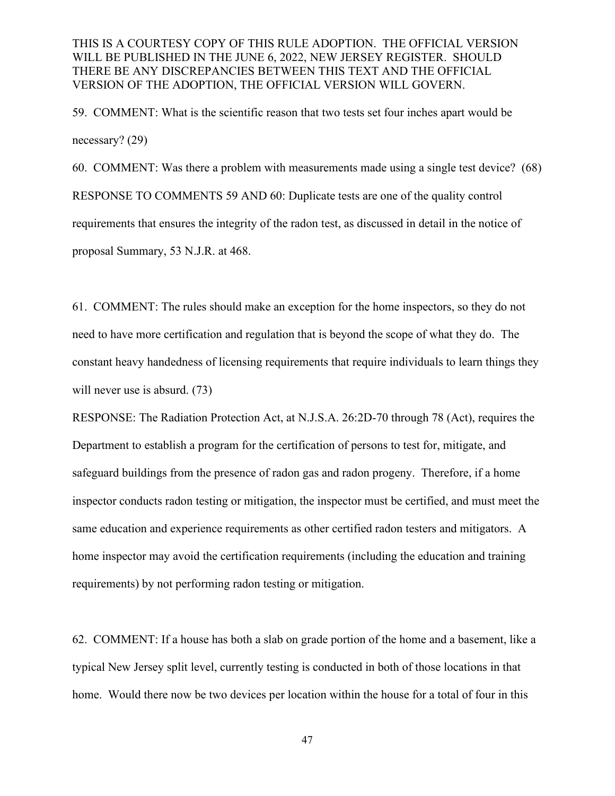59. COMMENT: What is the scientific reason that two tests set four inches apart would be necessary? (29)

60. COMMENT: Was there a problem with measurements made using a single test device? (68) RESPONSE TO COMMENTS 59 AND 60: Duplicate tests are one of the quality control requirements that ensures the integrity of the radon test, as discussed in detail in the notice of proposal Summary, 53 N.J.R. at 468.

61. COMMENT: The rules should make an exception for the home inspectors, so they do not need to have more certification and regulation that is beyond the scope of what they do. The constant heavy handedness of licensing requirements that require individuals to learn things they will never use is absurd. (73)

RESPONSE: The Radiation Protection Act, at N.J.S.A. 26:2D-70 through 78 (Act), requires the Department to establish a program for the certification of persons to test for, mitigate, and safeguard buildings from the presence of radon gas and radon progeny. Therefore, if a home inspector conducts radon testing or mitigation, the inspector must be certified, and must meet the same education and experience requirements as other certified radon testers and mitigators. A home inspector may avoid the certification requirements (including the education and training requirements) by not performing radon testing or mitigation.

62. COMMENT: If a house has both a slab on grade portion of the home and a basement, like a typical New Jersey split level, currently testing is conducted in both of those locations in that home. Would there now be two devices per location within the house for a total of four in this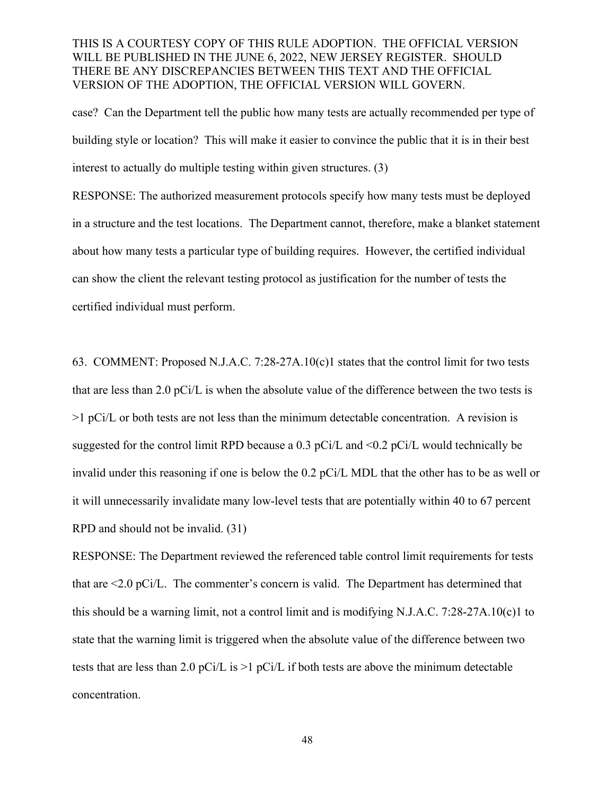case? Can the Department tell the public how many tests are actually recommended per type of building style or location? This will make it easier to convince the public that it is in their best interest to actually do multiple testing within given structures. (3)

RESPONSE: The authorized measurement protocols specify how many tests must be deployed in a structure and the test locations. The Department cannot, therefore, make a blanket statement about how many tests a particular type of building requires. However, the certified individual can show the client the relevant testing protocol as justification for the number of tests the certified individual must perform.

63. COMMENT: Proposed N.J.A.C. 7:28-27A.10(c)1 states that the control limit for two tests that are less than 2.0 pCi/L is when the absolute value of the difference between the two tests is  $>1$  pCi/L or both tests are not less than the minimum detectable concentration. A revision is suggested for the control limit RPD because a 0.3 pCi/L and  $\leq 0.2$  pCi/L would technically be invalid under this reasoning if one is below the 0.2 pCi/L MDL that the other has to be as well or it will unnecessarily invalidate many low-level tests that are potentially within 40 to 67 percent RPD and should not be invalid. (31)

RESPONSE: The Department reviewed the referenced table control limit requirements for tests that are <2.0 pCi/L. The commenter's concern is valid. The Department has determined that this should be a warning limit, not a control limit and is modifying N.J.A.C. 7:28-27A.10(c)1 to state that the warning limit is triggered when the absolute value of the difference between two tests that are less than 2.0 pCi/L is  $>1$  pCi/L if both tests are above the minimum detectable concentration.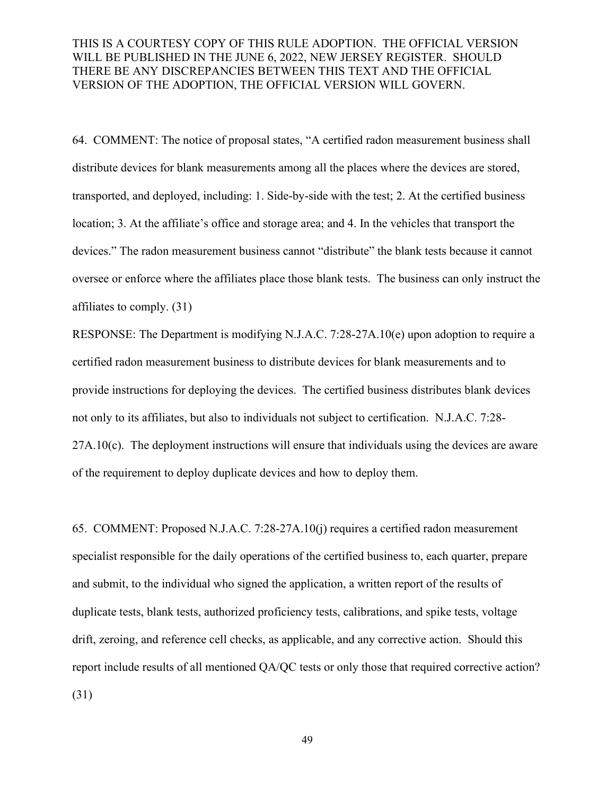64. COMMENT: The notice of proposal states, "A certified radon measurement business shall distribute devices for blank measurements among all the places where the devices are stored, transported, and deployed, including: 1. Side-by-side with the test; 2. At the certified business location; 3. At the affiliate's office and storage area; and 4. In the vehicles that transport the devices." The radon measurement business cannot "distribute" the blank tests because it cannot oversee or enforce where the affiliates place those blank tests. The business can only instruct the affiliates to comply. (31)

RESPONSE: The Department is modifying N.J.A.C. 7:28-27A.10(e) upon adoption to require a certified radon measurement business to distribute devices for blank measurements and to provide instructions for deploying the devices. The certified business distributes blank devices not only to its affiliates, but also to individuals not subject to certification. N.J.A.C. 7:28- 27A.10(c). The deployment instructions will ensure that individuals using the devices are aware of the requirement to deploy duplicate devices and how to deploy them.

65. COMMENT: Proposed N.J.A.C. 7:28-27A.10(j) requires a certified radon measurement specialist responsible for the daily operations of the certified business to, each quarter, prepare and submit, to the individual who signed the application, a written report of the results of duplicate tests, blank tests, authorized proficiency tests, calibrations, and spike tests, voltage drift, zeroing, and reference cell checks, as applicable, and any corrective action. Should this report include results of all mentioned QA/QC tests or only those that required corrective action? (31)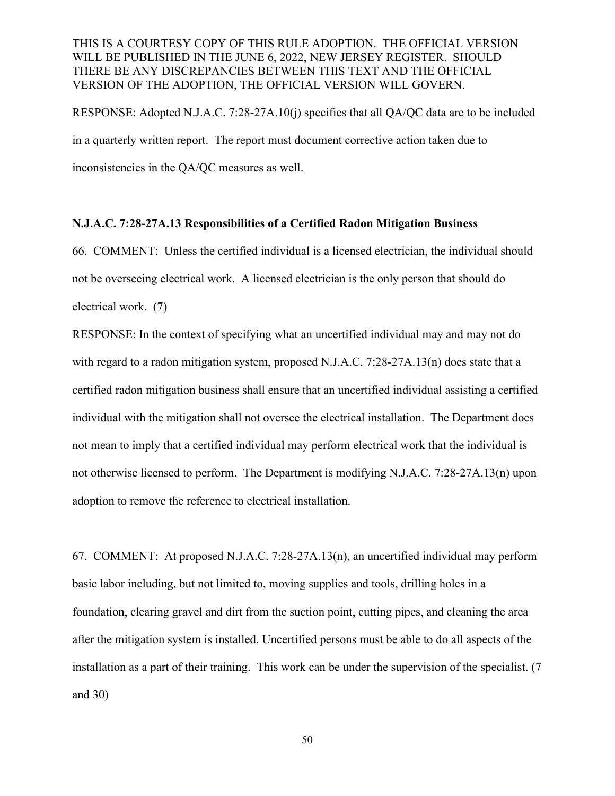RESPONSE: Adopted N.J.A.C. 7:28-27A.10(j) specifies that all QA/QC data are to be included in a quarterly written report. The report must document corrective action taken due to inconsistencies in the QA/QC measures as well.

#### **N.J.A.C. 7:28-27A.13 Responsibilities of a Certified Radon Mitigation Business**

66. COMMENT: Unless the certified individual is a licensed electrician, the individual should not be overseeing electrical work. A licensed electrician is the only person that should do electrical work. (7)

RESPONSE: In the context of specifying what an uncertified individual may and may not do with regard to a radon mitigation system, proposed N.J.A.C. 7:28-27A.13(n) does state that a certified radon mitigation business shall ensure that an uncertified individual assisting a certified individual with the mitigation shall not oversee the electrical installation. The Department does not mean to imply that a certified individual may perform electrical work that the individual is not otherwise licensed to perform. The Department is modifying N.J.A.C. 7:28-27A.13(n) upon adoption to remove the reference to electrical installation.

67. COMMENT: At proposed N.J.A.C. 7:28-27A.13(n), an uncertified individual may perform basic labor including, but not limited to, moving supplies and tools, drilling holes in a foundation, clearing gravel and dirt from the suction point, cutting pipes, and cleaning the area after the mitigation system is installed. Uncertified persons must be able to do all aspects of the installation as a part of their training. This work can be under the supervision of the specialist. (7 and 30)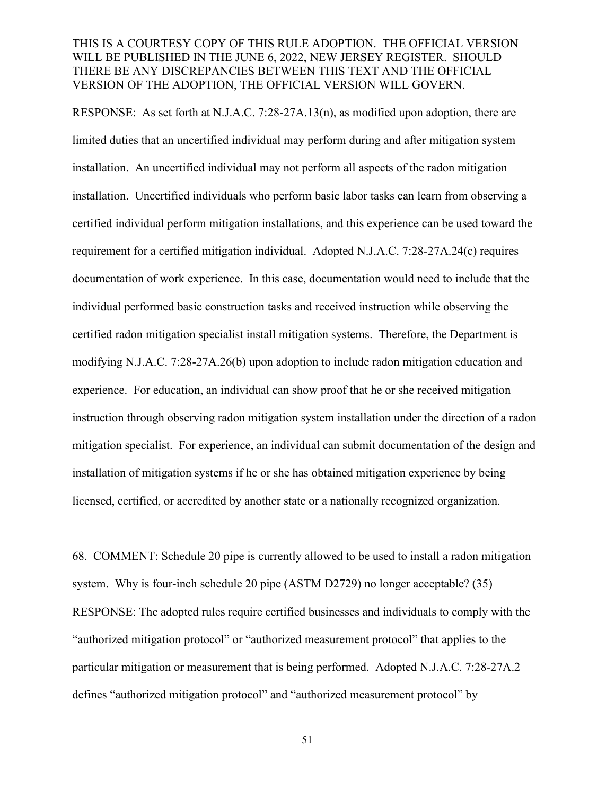RESPONSE: As set forth at N.J.A.C. 7:28-27A.13(n), as modified upon adoption, there are limited duties that an uncertified individual may perform during and after mitigation system installation. An uncertified individual may not perform all aspects of the radon mitigation installation. Uncertified individuals who perform basic labor tasks can learn from observing a certified individual perform mitigation installations, and this experience can be used toward the requirement for a certified mitigation individual. Adopted N.J.A.C. 7:28-27A.24(c) requires documentation of work experience. In this case, documentation would need to include that the individual performed basic construction tasks and received instruction while observing the certified radon mitigation specialist install mitigation systems. Therefore, the Department is modifying N.J.A.C. 7:28-27A.26(b) upon adoption to include radon mitigation education and experience. For education, an individual can show proof that he or she received mitigation instruction through observing radon mitigation system installation under the direction of a radon mitigation specialist. For experience, an individual can submit documentation of the design and installation of mitigation systems if he or she has obtained mitigation experience by being licensed, certified, or accredited by another state or a nationally recognized organization.

68. COMMENT: Schedule 20 pipe is currently allowed to be used to install a radon mitigation system. Why is four-inch schedule 20 pipe (ASTM D2729) no longer acceptable? (35) RESPONSE: The adopted rules require certified businesses and individuals to comply with the "authorized mitigation protocol" or "authorized measurement protocol" that applies to the particular mitigation or measurement that is being performed. Adopted N.J.A.C. 7:28-27A.2 defines "authorized mitigation protocol" and "authorized measurement protocol" by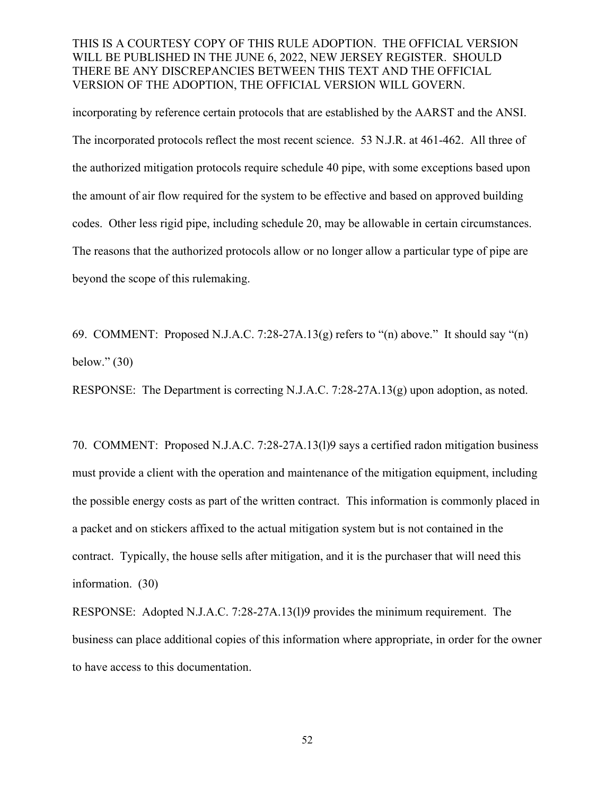incorporating by reference certain protocols that are established by the AARST and the ANSI. The incorporated protocols reflect the most recent science. 53 N.J.R. at 461-462. All three of the authorized mitigation protocols require schedule 40 pipe, with some exceptions based upon the amount of air flow required for the system to be effective and based on approved building codes. Other less rigid pipe, including schedule 20, may be allowable in certain circumstances. The reasons that the authorized protocols allow or no longer allow a particular type of pipe are beyond the scope of this rulemaking.

69. COMMENT: Proposed N.J.A.C. 7:28-27A.13(g) refers to "(n) above." It should say "(n) below." (30)

RESPONSE: The Department is correcting N.J.A.C. 7:28-27A.13(g) upon adoption, as noted.

70. COMMENT: Proposed N.J.A.C. 7:28-27A.13(l)9 says a certified radon mitigation business must provide a client with the operation and maintenance of the mitigation equipment, including the possible energy costs as part of the written contract. This information is commonly placed in a packet and on stickers affixed to the actual mitigation system but is not contained in the contract. Typically, the house sells after mitigation, and it is the purchaser that will need this information. (30)

RESPONSE: Adopted N.J.A.C. 7:28-27A.13(l)9 provides the minimum requirement. The business can place additional copies of this information where appropriate, in order for the owner to have access to this documentation.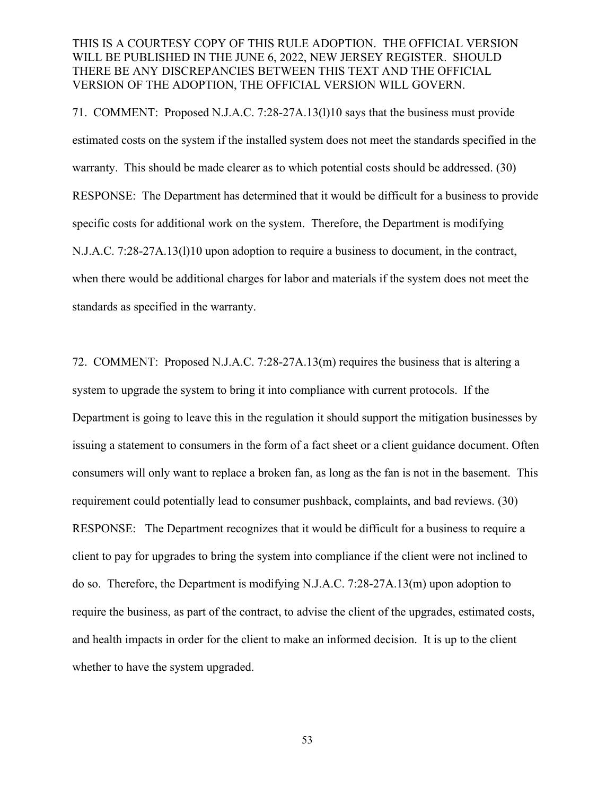71. COMMENT: Proposed N.J.A.C. 7:28-27A.13(l)10 says that the business must provide estimated costs on the system if the installed system does not meet the standards specified in the warranty. This should be made clearer as to which potential costs should be addressed. (30) RESPONSE: The Department has determined that it would be difficult for a business to provide specific costs for additional work on the system. Therefore, the Department is modifying N.J.A.C. 7:28-27A.13(l)10 upon adoption to require a business to document, in the contract, when there would be additional charges for labor and materials if the system does not meet the standards as specified in the warranty.

72. COMMENT: Proposed N.J.A.C. 7:28-27A.13(m) requires the business that is altering a system to upgrade the system to bring it into compliance with current protocols. If the Department is going to leave this in the regulation it should support the mitigation businesses by issuing a statement to consumers in the form of a fact sheet or a client guidance document. Often consumers will only want to replace a broken fan, as long as the fan is not in the basement. This requirement could potentially lead to consumer pushback, complaints, and bad reviews. (30) RESPONSE: The Department recognizes that it would be difficult for a business to require a client to pay for upgrades to bring the system into compliance if the client were not inclined to do so. Therefore, the Department is modifying N.J.A.C. 7:28-27A.13(m) upon adoption to require the business, as part of the contract, to advise the client of the upgrades, estimated costs, and health impacts in order for the client to make an informed decision. It is up to the client whether to have the system upgraded.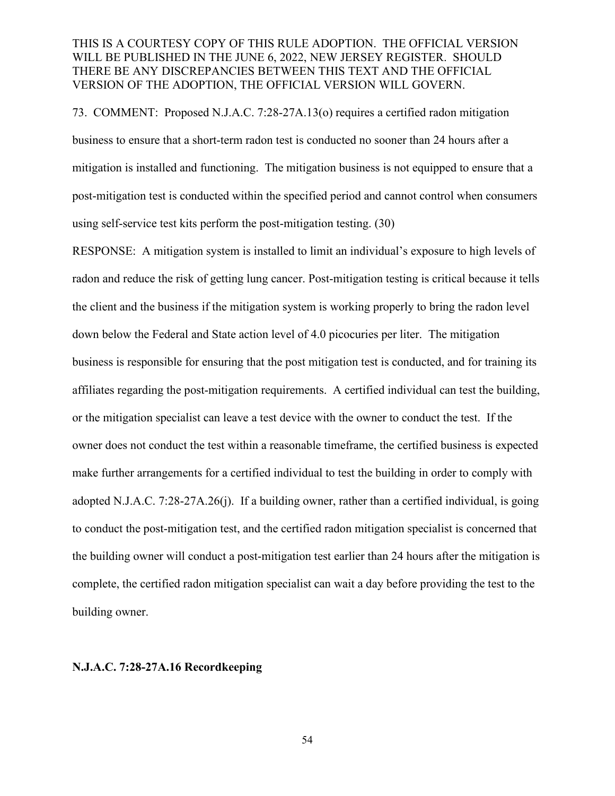73. COMMENT: Proposed N.J.A.C. 7:28-27A.13(o) requires a certified radon mitigation business to ensure that a short-term radon test is conducted no sooner than 24 hours after a mitigation is installed and functioning. The mitigation business is not equipped to ensure that a post-mitigation test is conducted within the specified period and cannot control when consumers using self-service test kits perform the post-mitigation testing. (30)

RESPONSE: A mitigation system is installed to limit an individual's exposure to high levels of radon and reduce the risk of getting lung cancer. Post-mitigation testing is critical because it tells the client and the business if the mitigation system is working properly to bring the radon level down below the Federal and State action level of 4.0 picocuries per liter. The mitigation business is responsible for ensuring that the post mitigation test is conducted, and for training its affiliates regarding the post-mitigation requirements. A certified individual can test the building, or the mitigation specialist can leave a test device with the owner to conduct the test. If the owner does not conduct the test within a reasonable timeframe, the certified business is expected make further arrangements for a certified individual to test the building in order to comply with adopted N.J.A.C. 7:28-27A.26(j). If a building owner, rather than a certified individual, is going to conduct the post-mitigation test, and the certified radon mitigation specialist is concerned that the building owner will conduct a post-mitigation test earlier than 24 hours after the mitigation is complete, the certified radon mitigation specialist can wait a day before providing the test to the building owner.

#### **N.J.A.C. 7:28-27A.16 Recordkeeping**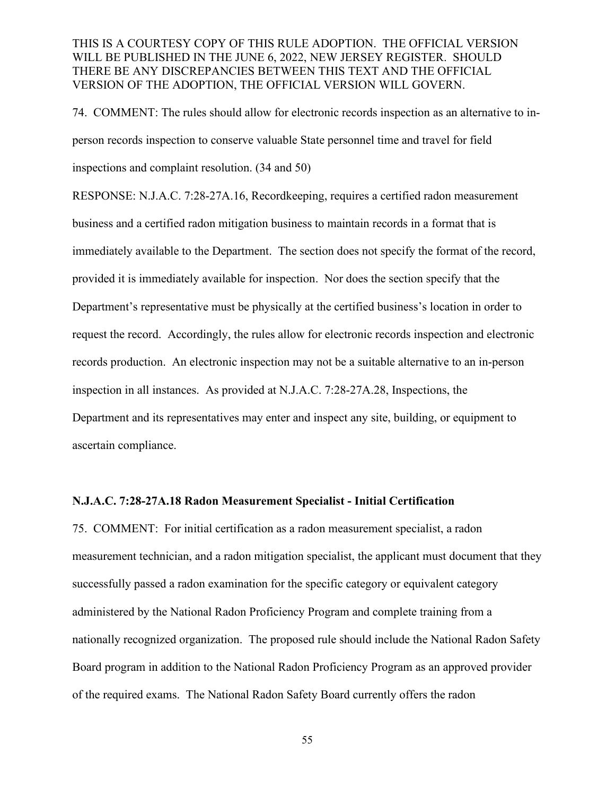74. COMMENT: The rules should allow for electronic records inspection as an alternative to inperson records inspection to conserve valuable State personnel time and travel for field inspections and complaint resolution. (34 and 50)

RESPONSE: N.J.A.C. 7:28-27A.16, Recordkeeping, requires a certified radon measurement business and a certified radon mitigation business to maintain records in a format that is immediately available to the Department. The section does not specify the format of the record, provided it is immediately available for inspection. Nor does the section specify that the Department's representative must be physically at the certified business's location in order to request the record. Accordingly, the rules allow for electronic records inspection and electronic records production. An electronic inspection may not be a suitable alternative to an in-person inspection in all instances. As provided at N.J.A.C. 7:28-27A.28, Inspections, the Department and its representatives may enter and inspect any site, building, or equipment to ascertain compliance.

#### **N.J.A.C. 7:28-27A.18 Radon Measurement Specialist - Initial Certification**

75. COMMENT: For initial certification as a radon measurement specialist, a radon measurement technician, and a radon mitigation specialist, the applicant must document that they successfully passed a radon examination for the specific category or equivalent category administered by the National Radon Proficiency Program and complete training from a nationally recognized organization. The proposed rule should include the National Radon Safety Board program in addition to the National Radon Proficiency Program as an approved provider of the required exams. The National Radon Safety Board currently offers the radon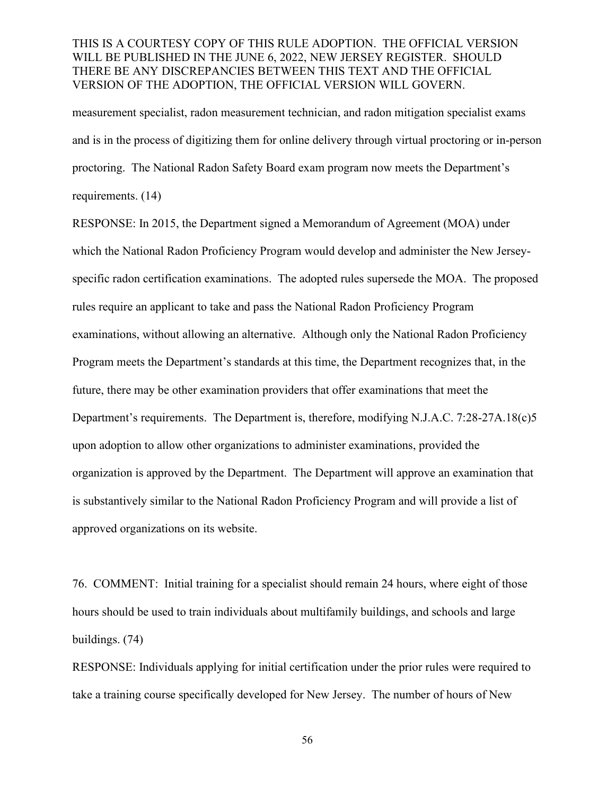measurement specialist, radon measurement technician, and radon mitigation specialist exams and is in the process of digitizing them for online delivery through virtual proctoring or in-person proctoring. The National Radon Safety Board exam program now meets the Department's requirements. (14)

RESPONSE: In 2015, the Department signed a Memorandum of Agreement (MOA) under which the National Radon Proficiency Program would develop and administer the New Jerseyspecific radon certification examinations. The adopted rules supersede the MOA. The proposed rules require an applicant to take and pass the National Radon Proficiency Program examinations, without allowing an alternative. Although only the National Radon Proficiency Program meets the Department's standards at this time, the Department recognizes that, in the future, there may be other examination providers that offer examinations that meet the Department's requirements. The Department is, therefore, modifying N.J.A.C. 7:28-27A.18(c)5 upon adoption to allow other organizations to administer examinations, provided the organization is approved by the Department. The Department will approve an examination that is substantively similar to the National Radon Proficiency Program and will provide a list of approved organizations on its website.

76. COMMENT: Initial training for a specialist should remain 24 hours, where eight of those hours should be used to train individuals about multifamily buildings, and schools and large buildings. (74)

RESPONSE: Individuals applying for initial certification under the prior rules were required to take a training course specifically developed for New Jersey. The number of hours of New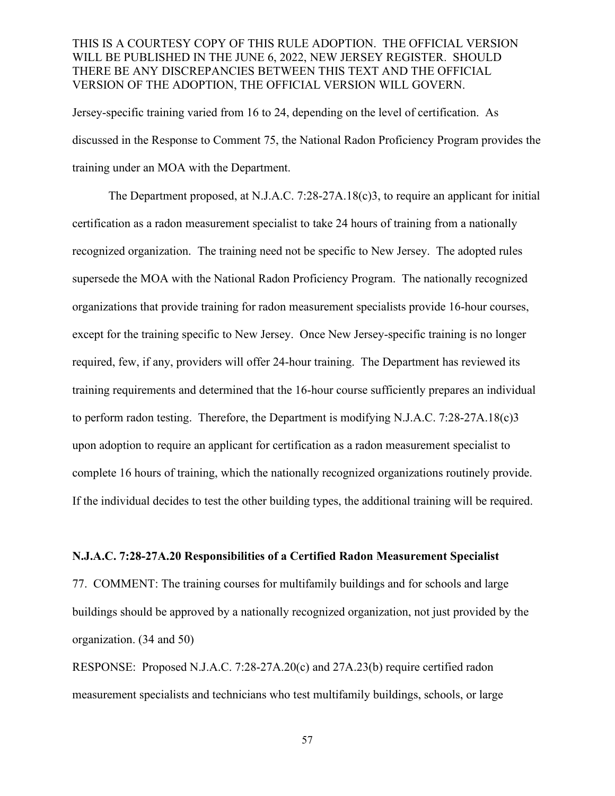Jersey-specific training varied from 16 to 24, depending on the level of certification. As discussed in the Response to Comment 75, the National Radon Proficiency Program provides the training under an MOA with the Department.

The Department proposed, at N.J.A.C. 7:28-27A.18(c)3, to require an applicant for initial certification as a radon measurement specialist to take 24 hours of training from a nationally recognized organization. The training need not be specific to New Jersey. The adopted rules supersede the MOA with the National Radon Proficiency Program. The nationally recognized organizations that provide training for radon measurement specialists provide 16-hour courses, except for the training specific to New Jersey. Once New Jersey-specific training is no longer required, few, if any, providers will offer 24-hour training. The Department has reviewed its training requirements and determined that the 16-hour course sufficiently prepares an individual to perform radon testing. Therefore, the Department is modifying N.J.A.C. 7:28-27A.18(c)3 upon adoption to require an applicant for certification as a radon measurement specialist to complete 16 hours of training, which the nationally recognized organizations routinely provide. If the individual decides to test the other building types, the additional training will be required.

#### **N.J.A.C. 7:28-27A.20 Responsibilities of a Certified Radon Measurement Specialist**

77. COMMENT: The training courses for multifamily buildings and for schools and large buildings should be approved by a nationally recognized organization, not just provided by the organization. (34 and 50)

RESPONSE: Proposed N.J.A.C. 7:28-27A.20(c) and 27A.23(b) require certified radon measurement specialists and technicians who test multifamily buildings, schools, or large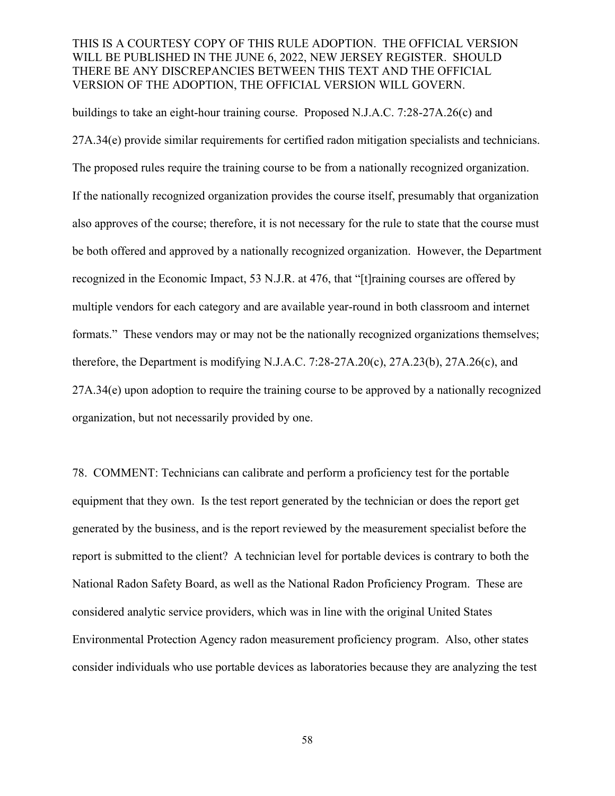buildings to take an eight-hour training course. Proposed N.J.A.C. 7:28-27A.26(c) and

27A.34(e) provide similar requirements for certified radon mitigation specialists and technicians. The proposed rules require the training course to be from a nationally recognized organization. If the nationally recognized organization provides the course itself, presumably that organization also approves of the course; therefore, it is not necessary for the rule to state that the course must be both offered and approved by a nationally recognized organization. However, the Department recognized in the Economic Impact, 53 N.J.R. at 476, that "[t]raining courses are offered by multiple vendors for each category and are available year-round in both classroom and internet formats." These vendors may or may not be the nationally recognized organizations themselves; therefore, the Department is modifying N.J.A.C. 7:28-27A.20(c), 27A.23(b), 27A.26(c), and 27A.34(e) upon adoption to require the training course to be approved by a nationally recognized organization, but not necessarily provided by one.

78. COMMENT: Technicians can calibrate and perform a proficiency test for the portable equipment that they own. Is the test report generated by the technician or does the report get generated by the business, and is the report reviewed by the measurement specialist before the report is submitted to the client? A technician level for portable devices is contrary to both the National Radon Safety Board, as well as the National Radon Proficiency Program. These are considered analytic service providers, which was in line with the original United States Environmental Protection Agency radon measurement proficiency program. Also, other states consider individuals who use portable devices as laboratories because they are analyzing the test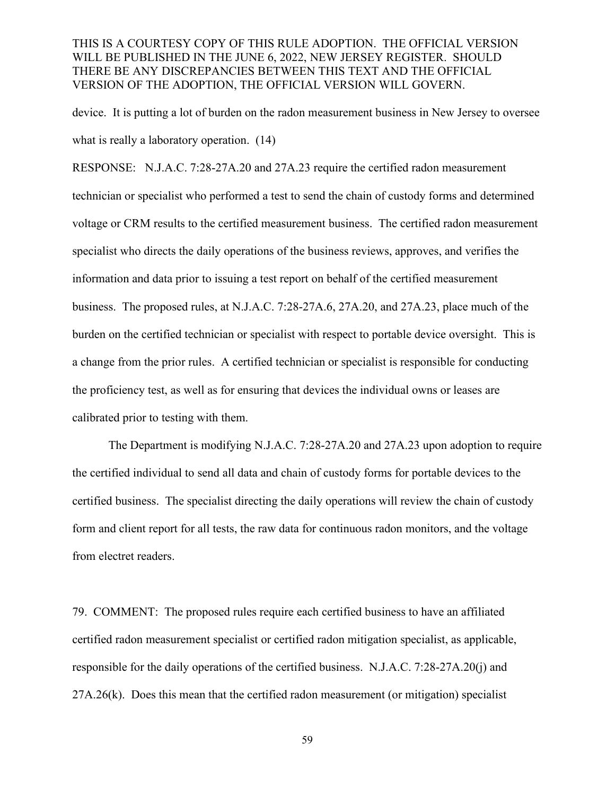device. It is putting a lot of burden on the radon measurement business in New Jersey to oversee what is really a laboratory operation.  $(14)$ 

RESPONSE: N.J.A.C. 7:28-27A.20 and 27A.23 require the certified radon measurement technician or specialist who performed a test to send the chain of custody forms and determined voltage or CRM results to the certified measurement business. The certified radon measurement specialist who directs the daily operations of the business reviews, approves, and verifies the information and data prior to issuing a test report on behalf of the certified measurement business. The proposed rules, at N.J.A.C. 7:28-27A.6, 27A.20, and 27A.23, place much of the burden on the certified technician or specialist with respect to portable device oversight. This is a change from the prior rules. A certified technician or specialist is responsible for conducting the proficiency test, as well as for ensuring that devices the individual owns or leases are calibrated prior to testing with them.

The Department is modifying N.J.A.C. 7:28-27A.20 and 27A.23 upon adoption to require the certified individual to send all data and chain of custody forms for portable devices to the certified business. The specialist directing the daily operations will review the chain of custody form and client report for all tests, the raw data for continuous radon monitors, and the voltage from electret readers.

79. COMMENT: The proposed rules require each certified business to have an affiliated certified radon measurement specialist or certified radon mitigation specialist, as applicable, responsible for the daily operations of the certified business. N.J.A.C. 7:28-27A.20(j) and 27A.26(k). Does this mean that the certified radon measurement (or mitigation) specialist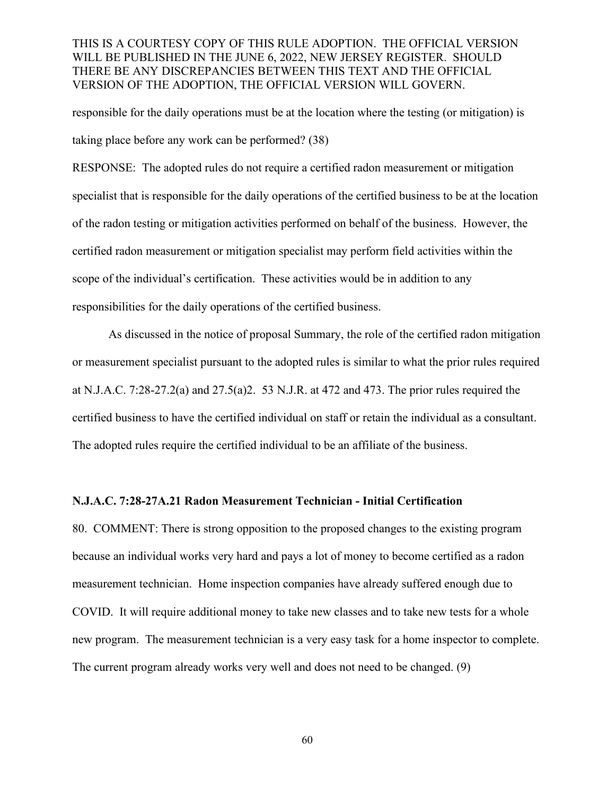responsible for the daily operations must be at the location where the testing (or mitigation) is taking place before any work can be performed? (38)

RESPONSE: The adopted rules do not require a certified radon measurement or mitigation specialist that is responsible for the daily operations of the certified business to be at the location of the radon testing or mitigation activities performed on behalf of the business. However, the certified radon measurement or mitigation specialist may perform field activities within the scope of the individual's certification. These activities would be in addition to any responsibilities for the daily operations of the certified business.

As discussed in the notice of proposal Summary, the role of the certified radon mitigation or measurement specialist pursuant to the adopted rules is similar to what the prior rules required at N.J.A.C. 7:28-27.2(a) and 27.5(a)2. 53 N.J.R. at 472 and 473. The prior rules required the certified business to have the certified individual on staff or retain the individual as a consultant. The adopted rules require the certified individual to be an affiliate of the business.

#### **N.J.A.C. 7:28-27A.21 Radon Measurement Technician - Initial Certification**

80. COMMENT: There is strong opposition to the proposed changes to the existing program because an individual works very hard and pays a lot of money to become certified as a radon measurement technician. Home inspection companies have already suffered enough due to COVID. It will require additional money to take new classes and to take new tests for a whole new program. The measurement technician is a very easy task for a home inspector to complete. The current program already works very well and does not need to be changed. (9)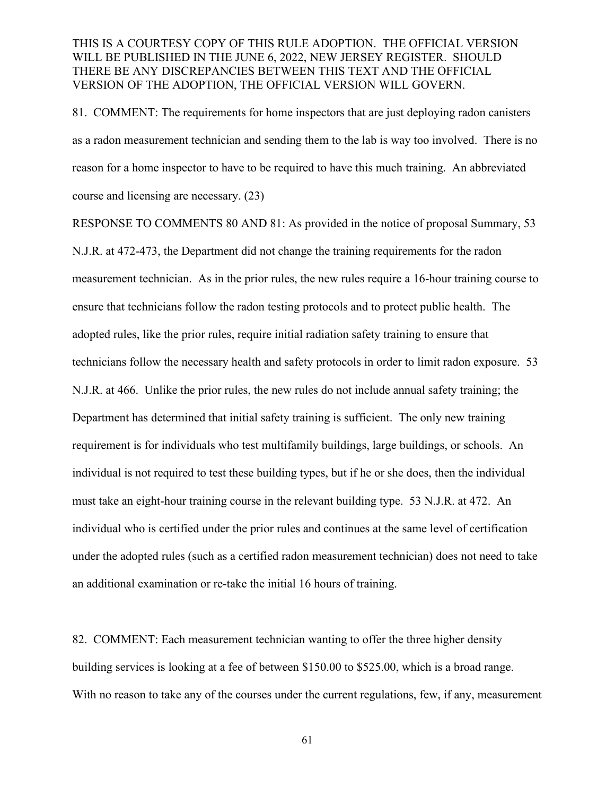81. COMMENT: The requirements for home inspectors that are just deploying radon canisters as a radon measurement technician and sending them to the lab is way too involved. There is no reason for a home inspector to have to be required to have this much training. An abbreviated course and licensing are necessary. (23)

RESPONSE TO COMMENTS 80 AND 81: As provided in the notice of proposal Summary, 53 N.J.R. at 472-473, the Department did not change the training requirements for the radon measurement technician. As in the prior rules, the new rules require a 16-hour training course to ensure that technicians follow the radon testing protocols and to protect public health. The adopted rules, like the prior rules, require initial radiation safety training to ensure that technicians follow the necessary health and safety protocols in order to limit radon exposure. 53 N.J.R. at 466. Unlike the prior rules, the new rules do not include annual safety training; the Department has determined that initial safety training is sufficient. The only new training requirement is for individuals who test multifamily buildings, large buildings, or schools. An individual is not required to test these building types, but if he or she does, then the individual must take an eight-hour training course in the relevant building type. 53 N.J.R. at 472. An individual who is certified under the prior rules and continues at the same level of certification under the adopted rules (such as a certified radon measurement technician) does not need to take an additional examination or re-take the initial 16 hours of training.

82. COMMENT: Each measurement technician wanting to offer the three higher density building services is looking at a fee of between \$150.00 to \$525.00, which is a broad range.  With no reason to take any of the courses under the current regulations, few, if any, measurement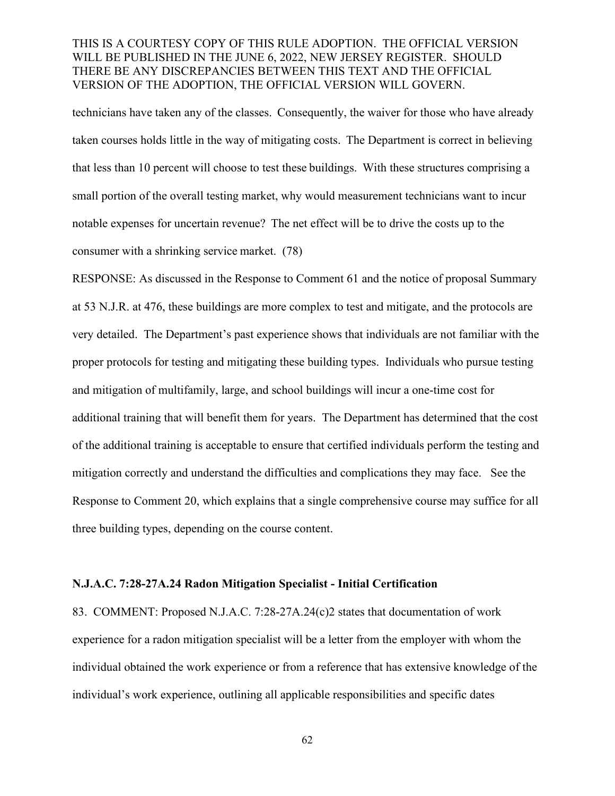technicians have taken any of the classes.  Consequently, the waiver for those who have already taken courses holds little in the way of mitigating costs.  The Department is correct in believing that less than 10 percent will choose to test these buildings.  With these structures comprising a small portion of the overall testing market, why would measurement technicians want to incur notable expenses for uncertain revenue?  The net effect will be to drive the costs up to the consumer with a shrinking service market. (78)

RESPONSE: As discussed in the Response to Comment 61 and the notice of proposal Summary at 53 N.J.R. at 476, these buildings are more complex to test and mitigate, and the protocols are very detailed. The Department's past experience shows that individuals are not familiar with the proper protocols for testing and mitigating these building types. Individuals who pursue testing and mitigation of multifamily, large, and school buildings will incur a one-time cost for additional training that will benefit them for years. The Department has determined that the cost of the additional training is acceptable to ensure that certified individuals perform the testing and mitigation correctly and understand the difficulties and complications they may face. See the Response to Comment 20, which explains that a single comprehensive course may suffice for all three building types, depending on the course content.

#### **N.J.A.C. 7:28-27A.24 Radon Mitigation Specialist - Initial Certification**

83. COMMENT: Proposed N.J.A.C. 7:28-27A.24(c)2 states that documentation of work experience for a radon mitigation specialist will be a letter from the employer with whom the individual obtained the work experience or from a reference that has extensive knowledge of the individual's work experience, outlining all applicable responsibilities and specific dates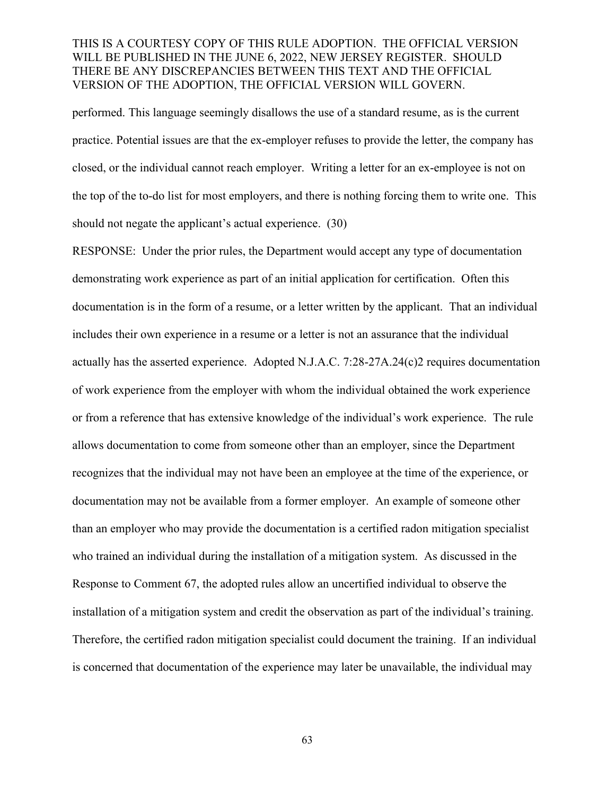performed. This language seemingly disallows the use of a standard resume, as is the current practice. Potential issues are that the ex-employer refuses to provide the letter, the company has closed, or the individual cannot reach employer. Writing a letter for an ex-employee is not on the top of the to-do list for most employers, and there is nothing forcing them to write one. This should not negate the applicant's actual experience. (30)

RESPONSE: Under the prior rules, the Department would accept any type of documentation demonstrating work experience as part of an initial application for certification. Often this documentation is in the form of a resume, or a letter written by the applicant. That an individual includes their own experience in a resume or a letter is not an assurance that the individual actually has the asserted experience. Adopted N.J.A.C. 7:28-27A.24(c)2 requires documentation of work experience from the employer with whom the individual obtained the work experience or from a reference that has extensive knowledge of the individual's work experience. The rule allows documentation to come from someone other than an employer, since the Department recognizes that the individual may not have been an employee at the time of the experience, or documentation may not be available from a former employer. An example of someone other than an employer who may provide the documentation is a certified radon mitigation specialist who trained an individual during the installation of a mitigation system. As discussed in the Response to Comment 67, the adopted rules allow an uncertified individual to observe the installation of a mitigation system and credit the observation as part of the individual's training. Therefore, the certified radon mitigation specialist could document the training. If an individual is concerned that documentation of the experience may later be unavailable, the individual may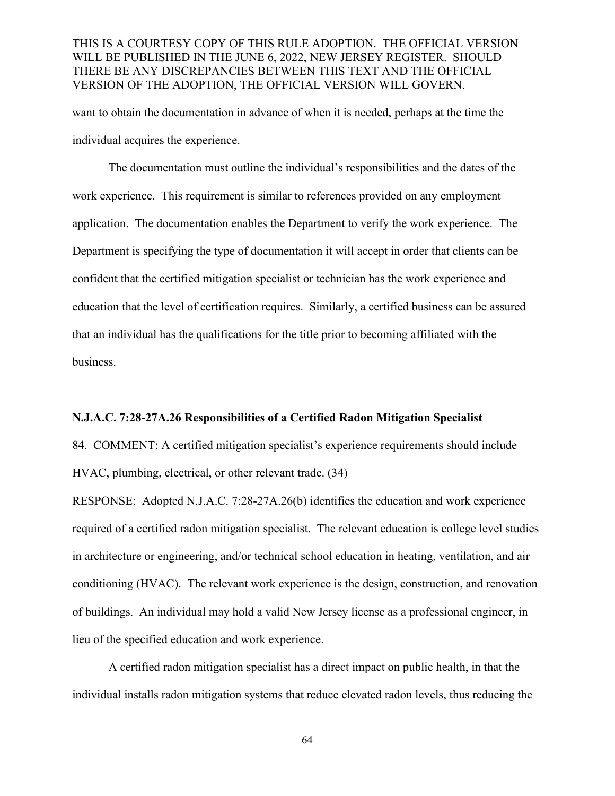want to obtain the documentation in advance of when it is needed, perhaps at the time the individual acquires the experience.

The documentation must outline the individual's responsibilities and the dates of the work experience. This requirement is similar to references provided on any employment application. The documentation enables the Department to verify the work experience. The Department is specifying the type of documentation it will accept in order that clients can be confident that the certified mitigation specialist or technician has the work experience and education that the level of certification requires. Similarly, a certified business can be assured that an individual has the qualifications for the title prior to becoming affiliated with the business.

#### **N.J.A.C. 7:28-27A.26 Responsibilities of a Certified Radon Mitigation Specialist**

84. COMMENT: A certified mitigation specialist's experience requirements should include HVAC, plumbing, electrical, or other relevant trade. (34)

RESPONSE: Adopted N.J.A.C. 7:28-27A.26(b) identifies the education and work experience required of a certified radon mitigation specialist. The relevant education is college level studies in architecture or engineering, and/or technical school education in heating, ventilation, and air conditioning (HVAC). The relevant work experience is the design, construction, and renovation of buildings. An individual may hold a valid New Jersey license as a professional engineer, in lieu of the specified education and work experience.

A certified radon mitigation specialist has a direct impact on public health, in that the individual installs radon mitigation systems that reduce elevated radon levels, thus reducing the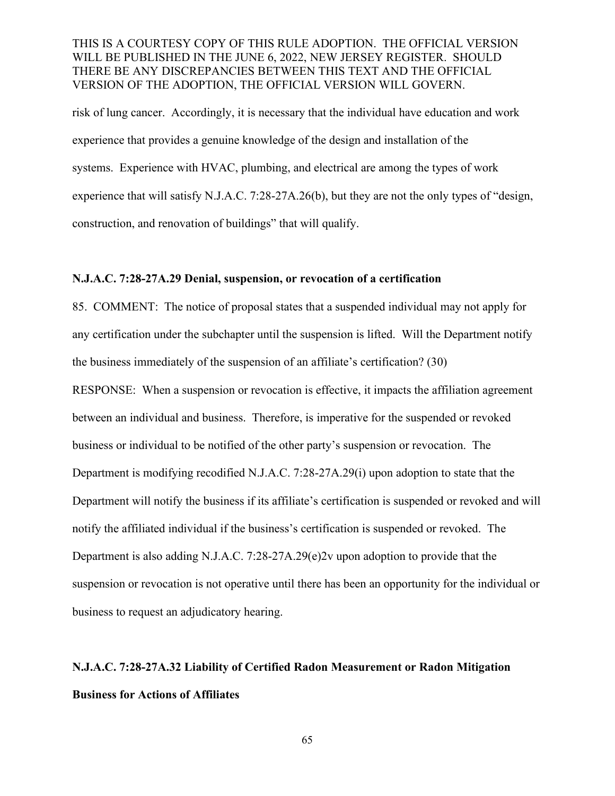risk of lung cancer. Accordingly, it is necessary that the individual have education and work experience that provides a genuine knowledge of the design and installation of the systems. Experience with HVAC, plumbing, and electrical are among the types of work experience that will satisfy N.J.A.C. 7:28-27A.26(b), but they are not the only types of "design, construction, and renovation of buildings" that will qualify.

#### **N.J.A.C. 7:28-27A.29 Denial, suspension, or revocation of a certification**

85. COMMENT: The notice of proposal states that a suspended individual may not apply for any certification under the subchapter until the suspension is lifted. Will the Department notify the business immediately of the suspension of an affiliate's certification? (30) RESPONSE: When a suspension or revocation is effective, it impacts the affiliation agreement between an individual and business. Therefore, is imperative for the suspended or revoked business or individual to be notified of the other party's suspension or revocation. The Department is modifying recodified N.J.A.C. 7:28-27A.29(i) upon adoption to state that the Department will notify the business if its affiliate's certification is suspended or revoked and will notify the affiliated individual if the business's certification is suspended or revoked. The Department is also adding N.J.A.C. 7:28-27A.29(e)2v upon adoption to provide that the suspension or revocation is not operative until there has been an opportunity for the individual or business to request an adjudicatory hearing.

## **N.J.A.C. 7:28-27A.32 Liability of Certified Radon Measurement or Radon Mitigation Business for Actions of Affiliates**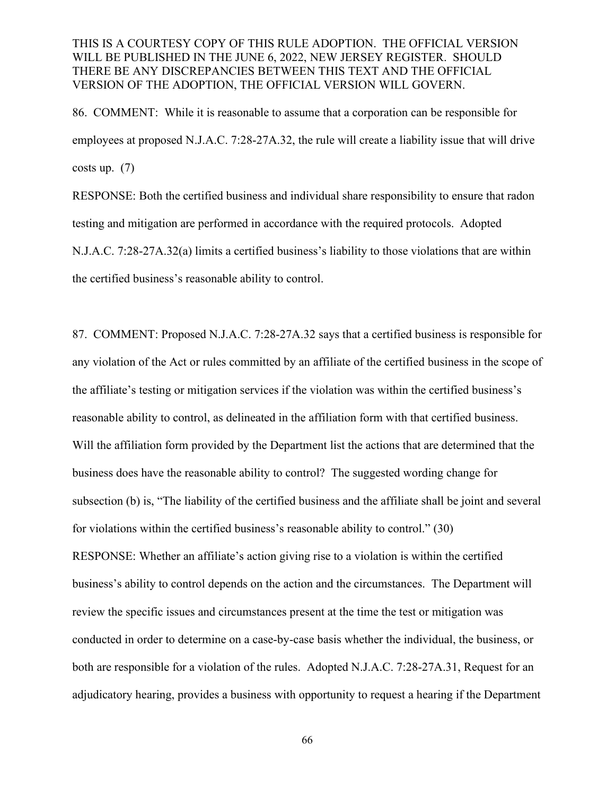86. COMMENT: While it is reasonable to assume that a corporation can be responsible for employees at proposed N.J.A.C. 7:28-27A.32, the rule will create a liability issue that will drive costs up.  $(7)$ 

RESPONSE: Both the certified business and individual share responsibility to ensure that radon testing and mitigation are performed in accordance with the required protocols. Adopted N.J.A.C. 7:28-27A.32(a) limits a certified business's liability to those violations that are within the certified business's reasonable ability to control.

87. COMMENT: Proposed N.J.A.C. 7:28-27A.32 says that a certified business is responsible for any violation of the Act or rules committed by an affiliate of the certified business in the scope of the affiliate's testing or mitigation services if the violation was within the certified business's reasonable ability to control, as delineated in the affiliation form with that certified business. Will the affiliation form provided by the Department list the actions that are determined that the business does have the reasonable ability to control? The suggested wording change for subsection (b) is, "The liability of the certified business and the affiliate shall be joint and several for violations within the certified business's reasonable ability to control." (30) RESPONSE: Whether an affiliate's action giving rise to a violation is within the certified business's ability to control depends on the action and the circumstances. The Department will review the specific issues and circumstances present at the time the test or mitigation was conducted in order to determine on a case-by-case basis whether the individual, the business, or both are responsible for a violation of the rules. Adopted N.J.A.C. 7:28-27A.31, Request for an adjudicatory hearing, provides a business with opportunity to request a hearing if the Department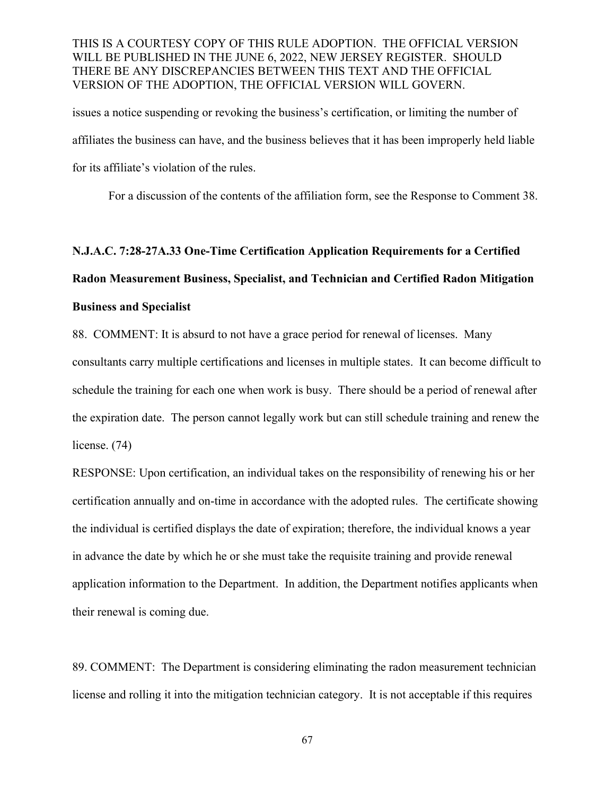issues a notice suspending or revoking the business's certification, or limiting the number of affiliates the business can have, and the business believes that it has been improperly held liable for its affiliate's violation of the rules.

For a discussion of the contents of the affiliation form, see the Response to Comment 38.

# **N.J.A.C. 7:28-27A.33 One-Time Certification Application Requirements for a Certified Radon Measurement Business, Specialist, and Technician and Certified Radon Mitigation Business and Specialist**

88. COMMENT: It is absurd to not have a grace period for renewal of licenses. Many consultants carry multiple certifications and licenses in multiple states. It can become difficult to schedule the training for each one when work is busy. There should be a period of renewal after the expiration date. The person cannot legally work but can still schedule training and renew the license. (74)

RESPONSE: Upon certification, an individual takes on the responsibility of renewing his or her certification annually and on-time in accordance with the adopted rules. The certificate showing the individual is certified displays the date of expiration; therefore, the individual knows a year in advance the date by which he or she must take the requisite training and provide renewal application information to the Department. In addition, the Department notifies applicants when their renewal is coming due.

89. COMMENT: The Department is considering eliminating the radon measurement technician license and rolling it into the mitigation technician category. It is not acceptable if this requires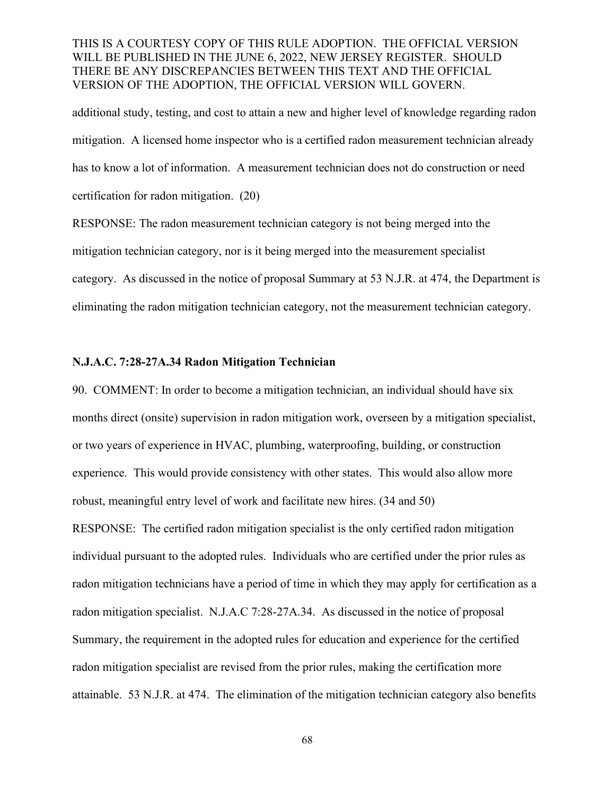additional study, testing, and cost to attain a new and higher level of knowledge regarding radon mitigation. A licensed home inspector who is a certified radon measurement technician already has to know a lot of information. A measurement technician does not do construction or need certification for radon mitigation. (20)

RESPONSE: The radon measurement technician category is not being merged into the mitigation technician category, nor is it being merged into the measurement specialist category. As discussed in the notice of proposal Summary at 53 N.J.R. at 474, the Department is eliminating the radon mitigation technician category, not the measurement technician category.

#### **N.J.A.C. 7:28-27A.34 Radon Mitigation Technician**

90. COMMENT: In order to become a mitigation technician, an individual should have six months direct (onsite) supervision in radon mitigation work, overseen by a mitigation specialist, or two years of experience in HVAC, plumbing, waterproofing, building, or construction experience. This would provide consistency with other states. This would also allow more robust, meaningful entry level of work and facilitate new hires. (34 and 50) RESPONSE: The certified radon mitigation specialist is the only certified radon mitigation individual pursuant to the adopted rules. Individuals who are certified under the prior rules as radon mitigation technicians have a period of time in which they may apply for certification as a radon mitigation specialist. N.J.A.C 7:28-27A.34. As discussed in the notice of proposal Summary, the requirement in the adopted rules for education and experience for the certified radon mitigation specialist are revised from the prior rules, making the certification more attainable. 53 N.J.R. at 474. The elimination of the mitigation technician category also benefits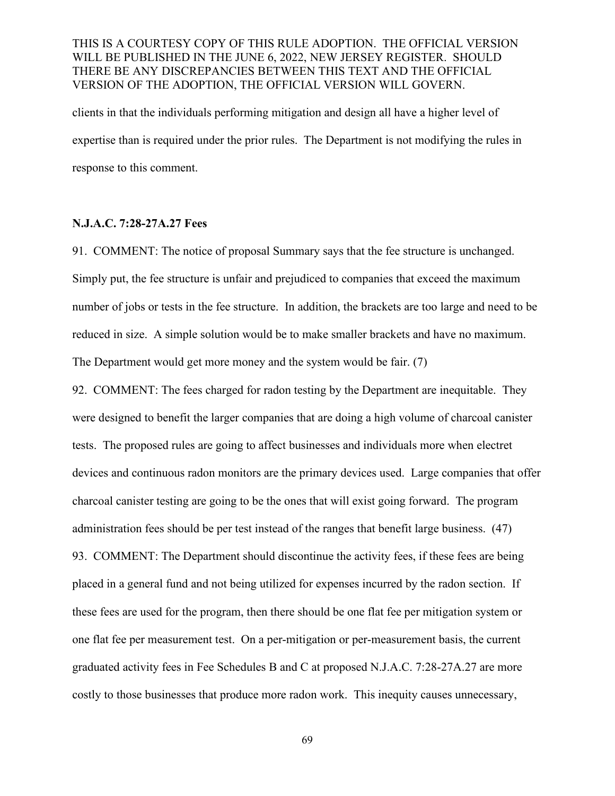clients in that the individuals performing mitigation and design all have a higher level of expertise than is required under the prior rules. The Department is not modifying the rules in response to this comment.

#### **N.J.A.C. 7:28-27A.27 Fees**

91. COMMENT: The notice of proposal Summary says that the fee structure is unchanged. Simply put, the fee structure is unfair and prejudiced to companies that exceed the maximum number of jobs or tests in the fee structure. In addition, the brackets are too large and need to be reduced in size. A simple solution would be to make smaller brackets and have no maximum. The Department would get more money and the system would be fair. (7)

92. COMMENT: The fees charged for radon testing by the Department are inequitable. They were designed to benefit the larger companies that are doing a high volume of charcoal canister tests. The proposed rules are going to affect businesses and individuals more when electret devices and continuous radon monitors are the primary devices used. Large companies that offer charcoal canister testing are going to be the ones that will exist going forward. The program administration fees should be per test instead of the ranges that benefit large business. (47) 93. COMMENT: The Department should discontinue the activity fees, if these fees are being placed in a general fund and not being utilized for expenses incurred by the radon section. If these fees are used for the program, then there should be one flat fee per mitigation system or one flat fee per measurement test. On a per-mitigation or per-measurement basis, the current graduated activity fees in Fee Schedules B and C at proposed N.J.A.C. 7:28-27A.27 are more costly to those businesses that produce more radon work. This inequity causes unnecessary,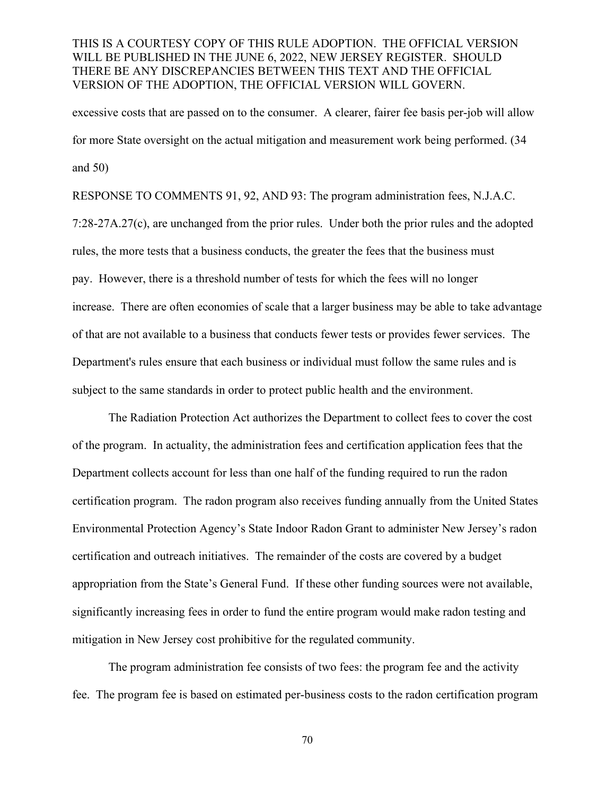excessive costs that are passed on to the consumer. A clearer, fairer fee basis per-job will allow for more State oversight on the actual mitigation and measurement work being performed. (34 and 50)

RESPONSE TO COMMENTS 91, 92, AND 93: The program administration fees, N.J.A.C. 7:28-27A.27(c), are unchanged from the prior rules. Under both the prior rules and the adopted rules, the more tests that a business conducts, the greater the fees that the business must pay. However, there is a threshold number of tests for which the fees will no longer increase. There are often economies of scale that a larger business may be able to take advantage of that are not available to a business that conducts fewer tests or provides fewer services. The Department's rules ensure that each business or individual must follow the same rules and is subject to the same standards in order to protect public health and the environment.

The Radiation Protection Act authorizes the Department to collect fees to cover the cost of the program. In actuality, the administration fees and certification application fees that the Department collects account for less than one half of the funding required to run the radon certification program. The radon program also receives funding annually from the United States Environmental Protection Agency's State Indoor Radon Grant to administer New Jersey's radon certification and outreach initiatives. The remainder of the costs are covered by a budget appropriation from the State's General Fund. If these other funding sources were not available, significantly increasing fees in order to fund the entire program would make radon testing and mitigation in New Jersey cost prohibitive for the regulated community.

The program administration fee consists of two fees: the program fee and the activity fee. The program fee is based on estimated per-business costs to the radon certification program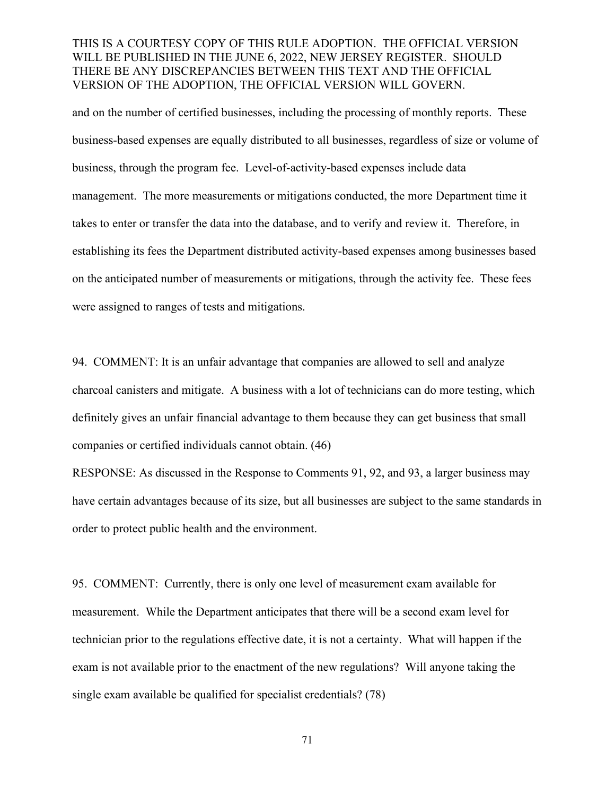and on the number of certified businesses, including the processing of monthly reports. These business-based expenses are equally distributed to all businesses, regardless of size or volume of business, through the program fee. Level-of-activity-based expenses include data management. The more measurements or mitigations conducted, the more Department time it takes to enter or transfer the data into the database, and to verify and review it. Therefore, in establishing its fees the Department distributed activity-based expenses among businesses based on the anticipated number of measurements or mitigations, through the activity fee. These fees were assigned to ranges of tests and mitigations.

94. COMMENT: It is an unfair advantage that companies are allowed to sell and analyze charcoal canisters and mitigate. A business with a lot of technicians can do more testing, which definitely gives an unfair financial advantage to them because they can get business that small companies or certified individuals cannot obtain. (46)

RESPONSE: As discussed in the Response to Comments 91, 92, and 93, a larger business may have certain advantages because of its size, but all businesses are subject to the same standards in order to protect public health and the environment.

95. COMMENT: Currently, there is only one level of measurement exam available for measurement. While the Department anticipates that there will be a second exam level for technician prior to the regulations effective date, it is not a certainty. What will happen if the exam is not available prior to the enactment of the new regulations? Will anyone taking the single exam available be qualified for specialist credentials? (78)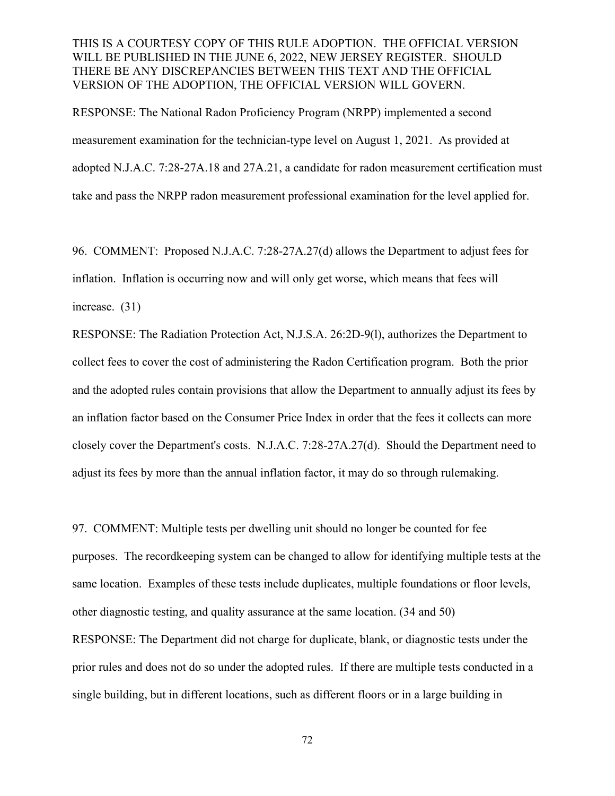RESPONSE: The National Radon Proficiency Program (NRPP) implemented a second measurement examination for the technician-type level on August 1, 2021. As provided at adopted N.J.A.C. 7:28-27A.18 and 27A.21, a candidate for radon measurement certification must take and pass the NRPP radon measurement professional examination for the level applied for.

96. COMMENT: Proposed N.J.A.C. 7:28-27A.27(d) allows the Department to adjust fees for inflation. Inflation is occurring now and will only get worse, which means that fees will increase. (31)

RESPONSE: The Radiation Protection Act, N.J.S.A. 26:2D-9(l), authorizes the Department to collect fees to cover the cost of administering the Radon Certification program. Both the prior and the adopted rules contain provisions that allow the Department to annually adjust its fees by an inflation factor based on the Consumer Price Index in order that the fees it collects can more closely cover the Department's costs. N.J.A.C. 7:28-27A.27(d). Should the Department need to adjust its fees by more than the annual inflation factor, it may do so through rulemaking.

97. COMMENT: Multiple tests per dwelling unit should no longer be counted for fee purposes. The recordkeeping system can be changed to allow for identifying multiple tests at the same location. Examples of these tests include duplicates, multiple foundations or floor levels, other diagnostic testing, and quality assurance at the same location. (34 and 50) RESPONSE: The Department did not charge for duplicate, blank, or diagnostic tests under the prior rules and does not do so under the adopted rules. If there are multiple tests conducted in a single building, but in different locations, such as different floors or in a large building in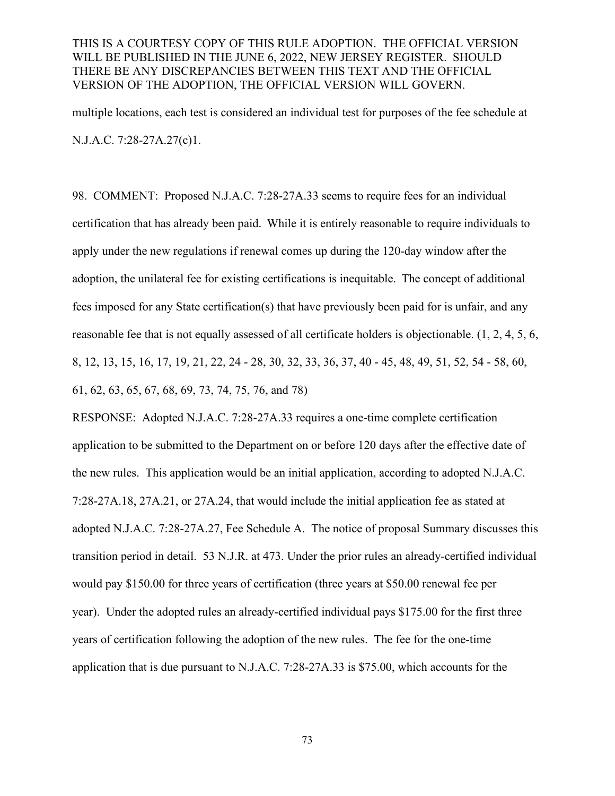multiple locations, each test is considered an individual test for purposes of the fee schedule at N.J.A.C. 7:28-27A.27(c)1.

98. COMMENT: Proposed N.J.A.C. 7:28-27A.33 seems to require fees for an individual certification that has already been paid.  While it is entirely reasonable to require individuals to apply under the new regulations if renewal comes up during the 120-day window after the adoption, the unilateral fee for existing certifications is inequitable.  The concept of additional fees imposed for any State certification(s) that have previously been paid for is unfair, and any reasonable fee that is not equally assessed of all certificate holders is objectionable. (1, 2, 4, 5, 6, 8, 12, 13, 15, 16, 17, 19, 21, 22, 24 - 28, 30, 32, 33, 36, 37, 40 - 45, 48, 49, 51, 52, 54 - 58, 60, 61, 62, 63, 65, 67, 68, 69, 73, 74, 75, 76, and 78)

RESPONSE: Adopted N.J.A.C. 7:28-27A.33 requires a one-time complete certification application to be submitted to the Department on or before 120 days after the effective date of the new rules. This application would be an initial application, according to adopted N.J.A.C. 7:28-27A.18, 27A.21, or 27A.24, that would include the initial application fee as stated at adopted N.J.A.C. 7:28-27A.27, Fee Schedule A. The notice of proposal Summary discusses this transition period in detail. 53 N.J.R. at 473. Under the prior rules an already-certified individual would pay \$150.00 for three years of certification (three years at \$50.00 renewal fee per year). Under the adopted rules an already-certified individual pays \$175.00 for the first three years of certification following the adoption of the new rules. The fee for the one-time application that is due pursuant to N.J.A.C. 7:28-27A.33 is \$75.00, which accounts for the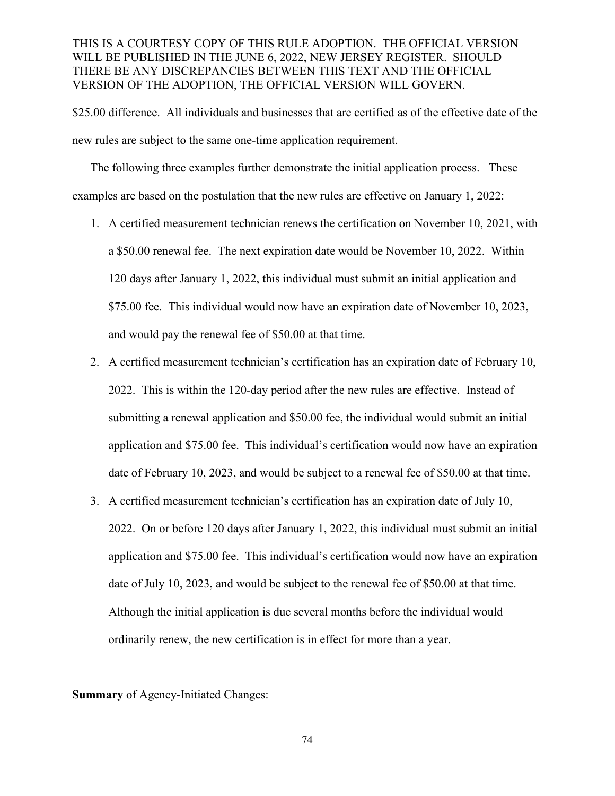\$25.00 difference. All individuals and businesses that are certified as of the effective date of the new rules are subject to the same one-time application requirement.

The following three examples further demonstrate the initial application process. These examples are based on the postulation that the new rules are effective on January 1, 2022:

- 1. A certified measurement technician renews the certification on November 10, 2021, with a \$50.00 renewal fee. The next expiration date would be November 10, 2022. Within 120 days after January 1, 2022, this individual must submit an initial application and \$75.00 fee. This individual would now have an expiration date of November 10, 2023, and would pay the renewal fee of \$50.00 at that time.
- 2. A certified measurement technician's certification has an expiration date of February 10, 2022. This is within the 120-day period after the new rules are effective. Instead of submitting a renewal application and \$50.00 fee, the individual would submit an initial application and \$75.00 fee. This individual's certification would now have an expiration date of February 10, 2023, and would be subject to a renewal fee of \$50.00 at that time.
- 3. A certified measurement technician's certification has an expiration date of July 10, 2022. On or before 120 days after January 1, 2022, this individual must submit an initial application and \$75.00 fee. This individual's certification would now have an expiration date of July 10, 2023, and would be subject to the renewal fee of \$50.00 at that time. Although the initial application is due several months before the individual would ordinarily renew, the new certification is in effect for more than a year.

**Summary** of Agency-Initiated Changes: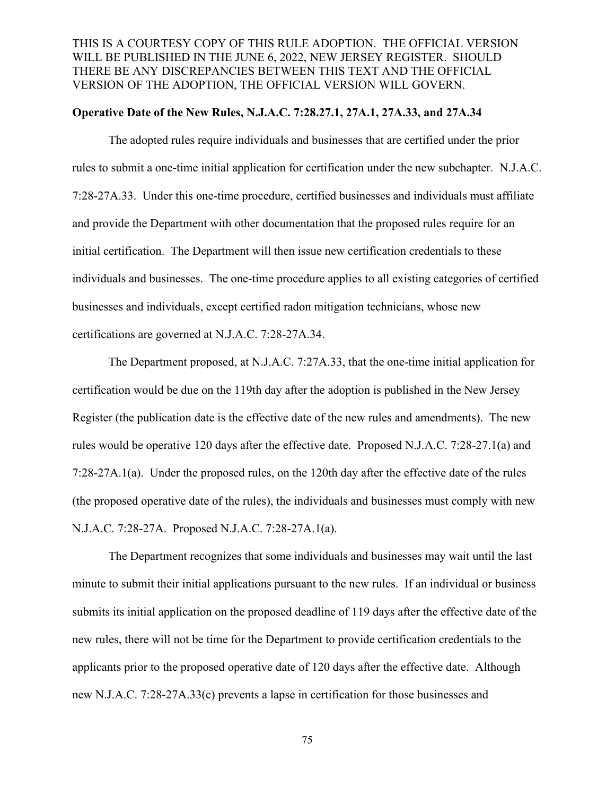#### **Operative Date of the New Rules, N.J.A.C. 7:28.27.1, 27A.1, 27A.33, and 27A.34**

The adopted rules require individuals and businesses that are certified under the prior rules to submit a one-time initial application for certification under the new subchapter. N.J.A.C. 7:28-27A.33. Under this one-time procedure, certified businesses and individuals must affiliate and provide the Department with other documentation that the proposed rules require for an initial certification. The Department will then issue new certification credentials to these individuals and businesses. The one-time procedure applies to all existing categories of certified businesses and individuals, except certified radon mitigation technicians, whose new certifications are governed at N.J.A.C. 7:28-27A.34.

The Department proposed, at N.J.A.C. 7:27A.33, that the one-time initial application for certification would be due on the 119th day after the adoption is published in the New Jersey Register (the publication date is the effective date of the new rules and amendments). The new rules would be operative 120 days after the effective date. Proposed N.J.A.C. 7:28-27.1(a) and 7:28-27A.1(a). Under the proposed rules, on the 120th day after the effective date of the rules (the proposed operative date of the rules), the individuals and businesses must comply with new N.J.A.C. 7:28-27A. Proposed N.J.A.C. 7:28-27A.1(a).

The Department recognizes that some individuals and businesses may wait until the last minute to submit their initial applications pursuant to the new rules. If an individual or business submits its initial application on the proposed deadline of 119 days after the effective date of the new rules, there will not be time for the Department to provide certification credentials to the applicants prior to the proposed operative date of 120 days after the effective date. Although new N.J.A.C. 7:28-27A.33(c) prevents a lapse in certification for those businesses and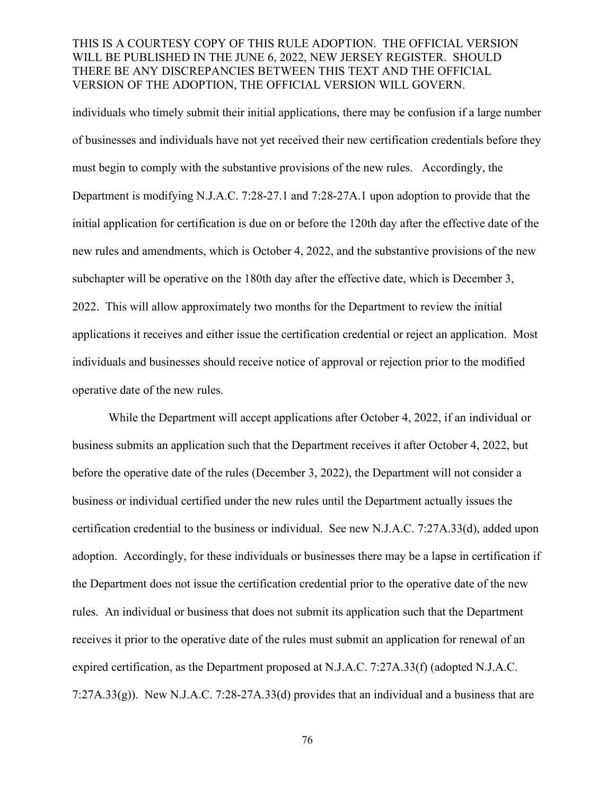individuals who timely submit their initial applications, there may be confusion if a large number of businesses and individuals have not yet received their new certification credentials before they must begin to comply with the substantive provisions of the new rules. Accordingly, the Department is modifying N.J.A.C. 7:28-27.1 and 7:28-27A.1 upon adoption to provide that the initial application for certification is due on or before the 120th day after the effective date of the new rules and amendments, which is October 4, 2022, and the substantive provisions of the new subchapter will be operative on the 180th day after the effective date, which is December 3, 2022. This will allow approximately two months for the Department to review the initial applications it receives and either issue the certification credential or reject an application. Most individuals and businesses should receive notice of approval or rejection prior to the modified operative date of the new rules.

While the Department will accept applications after October 4, 2022, if an individual or business submits an application such that the Department receives it after October 4, 2022, but before the operative date of the rules (December 3, 2022), the Department will not consider a business or individual certified under the new rules until the Department actually issues the certification credential to the business or individual. See new N.J.A.C. 7:27A.33(d), added upon adoption. Accordingly, for these individuals or businesses there may be a lapse in certification if the Department does not issue the certification credential prior to the operative date of the new rules. An individual or business that does not submit its application such that the Department receives it prior to the operative date of the rules must submit an application for renewal of an expired certification, as the Department proposed at N.J.A.C. 7:27A.33(f) (adopted N.J.A.C. 7:27A.33(g)). New N.J.A.C. 7:28-27A.33(d) provides that an individual and a business that are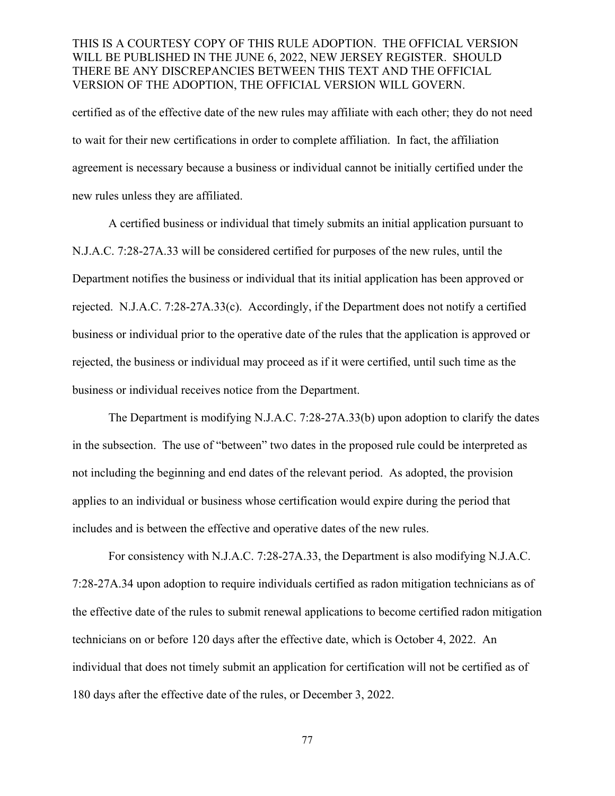certified as of the effective date of the new rules may affiliate with each other; they do not need to wait for their new certifications in order to complete affiliation. In fact, the affiliation agreement is necessary because a business or individual cannot be initially certified under the new rules unless they are affiliated.

A certified business or individual that timely submits an initial application pursuant to N.J.A.C. 7:28-27A.33 will be considered certified for purposes of the new rules, until the Department notifies the business or individual that its initial application has been approved or rejected. N.J.A.C. 7:28-27A.33(c). Accordingly, if the Department does not notify a certified business or individual prior to the operative date of the rules that the application is approved or rejected, the business or individual may proceed as if it were certified, until such time as the business or individual receives notice from the Department.

The Department is modifying N.J.A.C. 7:28-27A.33(b) upon adoption to clarify the dates in the subsection. The use of "between" two dates in the proposed rule could be interpreted as not including the beginning and end dates of the relevant period. As adopted, the provision applies to an individual or business whose certification would expire during the period that includes and is between the effective and operative dates of the new rules.

For consistency with N.J.A.C. 7:28-27A.33, the Department is also modifying N.J.A.C. 7:28-27A.34 upon adoption to require individuals certified as radon mitigation technicians as of the effective date of the rules to submit renewal applications to become certified radon mitigation technicians on or before 120 days after the effective date, which is October 4, 2022. An individual that does not timely submit an application for certification will not be certified as of 180 days after the effective date of the rules, or December 3, 2022.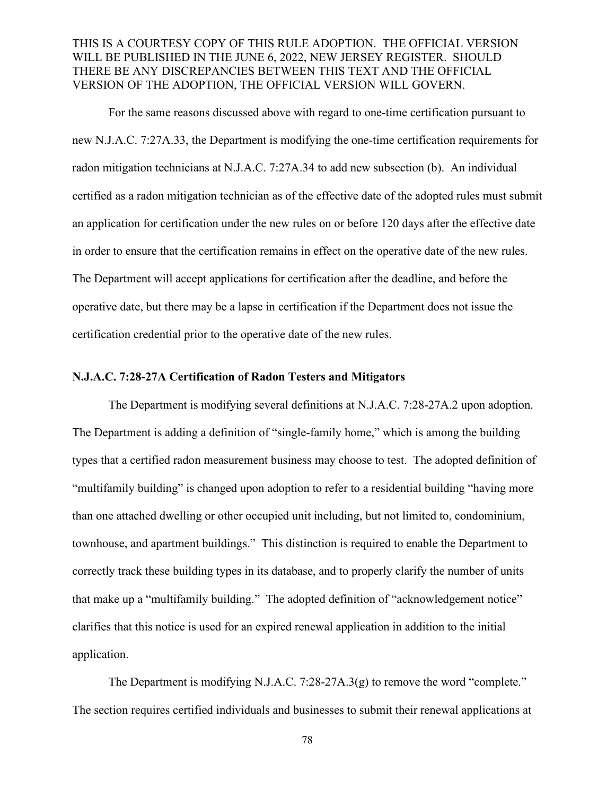For the same reasons discussed above with regard to one-time certification pursuant to new N.J.A.C. 7:27A.33, the Department is modifying the one-time certification requirements for radon mitigation technicians at N.J.A.C. 7:27A.34 to add new subsection (b). An individual certified as a radon mitigation technician as of the effective date of the adopted rules must submit an application for certification under the new rules on or before 120 days after the effective date in order to ensure that the certification remains in effect on the operative date of the new rules. The Department will accept applications for certification after the deadline, and before the operative date, but there may be a lapse in certification if the Department does not issue the certification credential prior to the operative date of the new rules.

#### **N.J.A.C. 7:28-27A Certification of Radon Testers and Mitigators**

The Department is modifying several definitions at N.J.A.C. 7:28-27A.2 upon adoption. The Department is adding a definition of "single-family home," which is among the building types that a certified radon measurement business may choose to test. The adopted definition of "multifamily building" is changed upon adoption to refer to a residential building "having more than one attached dwelling or other occupied unit including, but not limited to, condominium, townhouse, and apartment buildings." This distinction is required to enable the Department to correctly track these building types in its database, and to properly clarify the number of units that make up a "multifamily building." The adopted definition of "acknowledgement notice" clarifies that this notice is used for an expired renewal application in addition to the initial application.

The Department is modifying N.J.A.C. 7:28-27A.3(g) to remove the word "complete." The section requires certified individuals and businesses to submit their renewal applications at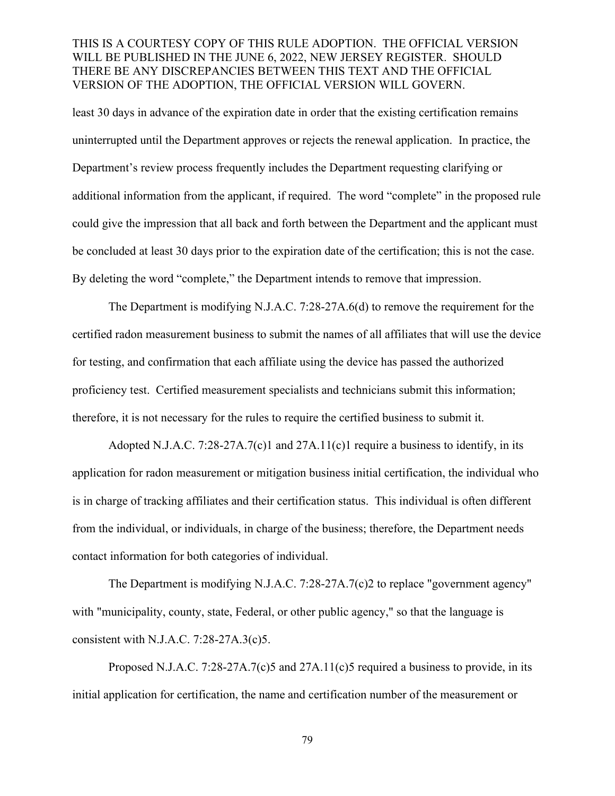least 30 days in advance of the expiration date in order that the existing certification remains uninterrupted until the Department approves or rejects the renewal application. In practice, the Department's review process frequently includes the Department requesting clarifying or additional information from the applicant, if required. The word "complete" in the proposed rule could give the impression that all back and forth between the Department and the applicant must be concluded at least 30 days prior to the expiration date of the certification; this is not the case. By deleting the word "complete," the Department intends to remove that impression.

The Department is modifying N.J.A.C. 7:28-27A.6(d) to remove the requirement for the certified radon measurement business to submit the names of all affiliates that will use the device for testing, and confirmation that each affiliate using the device has passed the authorized proficiency test. Certified measurement specialists and technicians submit this information; therefore, it is not necessary for the rules to require the certified business to submit it.

Adopted N.J.A.C. 7:28-27A.7(c)1 and  $27A.11(c)1$  require a business to identify, in its application for radon measurement or mitigation business initial certification, the individual who is in charge of tracking affiliates and their certification status. This individual is often different from the individual, or individuals, in charge of the business; therefore, the Department needs contact information for both categories of individual.

The Department is modifying N.J.A.C. 7:28-27A.7(c)2 to replace "government agency" with "municipality, county, state, Federal, or other public agency," so that the language is consistent with N.J.A.C. 7:28-27A.3(c)5.

Proposed N.J.A.C. 7:28-27A.7(c)5 and 27A.11(c)5 required a business to provide, in its initial application for certification, the name and certification number of the measurement or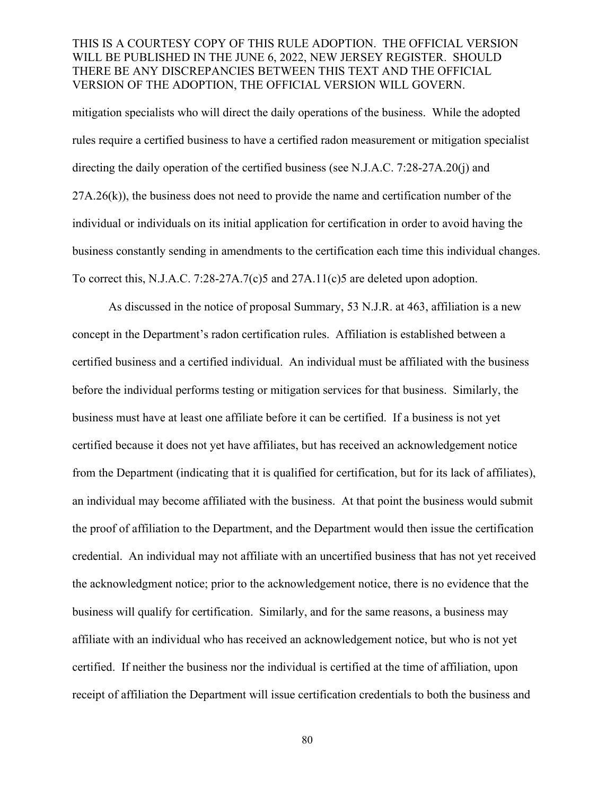mitigation specialists who will direct the daily operations of the business. While the adopted rules require a certified business to have a certified radon measurement or mitigation specialist directing the daily operation of the certified business (see N.J.A.C. 7:28-27A.20(j) and  $27A.26(k)$ , the business does not need to provide the name and certification number of the individual or individuals on its initial application for certification in order to avoid having the business constantly sending in amendments to the certification each time this individual changes. To correct this, N.J.A.C. 7:28-27A.7(c)5 and 27A.11(c)5 are deleted upon adoption.

As discussed in the notice of proposal Summary, 53 N.J.R. at 463, affiliation is a new concept in the Department's radon certification rules. Affiliation is established between a certified business and a certified individual. An individual must be affiliated with the business before the individual performs testing or mitigation services for that business. Similarly, the business must have at least one affiliate before it can be certified. If a business is not yet certified because it does not yet have affiliates, but has received an acknowledgement notice from the Department (indicating that it is qualified for certification, but for its lack of affiliates), an individual may become affiliated with the business. At that point the business would submit the proof of affiliation to the Department, and the Department would then issue the certification credential. An individual may not affiliate with an uncertified business that has not yet received the acknowledgment notice; prior to the acknowledgement notice, there is no evidence that the business will qualify for certification. Similarly, and for the same reasons, a business may affiliate with an individual who has received an acknowledgement notice, but who is not yet certified. If neither the business nor the individual is certified at the time of affiliation, upon receipt of affiliation the Department will issue certification credentials to both the business and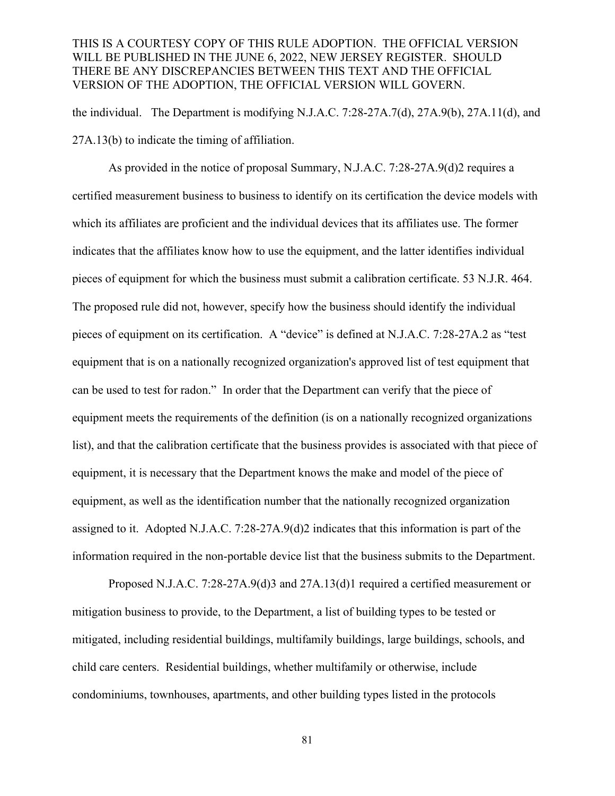the individual. The Department is modifying N.J.A.C. 7:28-27A.7(d), 27A.9(b), 27A.11(d), and 27A.13(b) to indicate the timing of affiliation.

As provided in the notice of proposal Summary, N.J.A.C. 7:28-27A.9(d)2 requires a certified measurement business to business to identify on its certification the device models with which its affiliates are proficient and the individual devices that its affiliates use. The former indicates that the affiliates know how to use the equipment, and the latter identifies individual pieces of equipment for which the business must submit a calibration certificate. 53 N.J.R. 464. The proposed rule did not, however, specify how the business should identify the individual pieces of equipment on its certification. A "device" is defined at N.J.A.C. 7:28-27A.2 as "test equipment that is on a nationally recognized organization's approved list of test equipment that can be used to test for radon." In order that the Department can verify that the piece of equipment meets the requirements of the definition (is on a nationally recognized organizations list), and that the calibration certificate that the business provides is associated with that piece of equipment, it is necessary that the Department knows the make and model of the piece of equipment, as well as the identification number that the nationally recognized organization assigned to it. Adopted N.J.A.C. 7:28-27A.9(d)2 indicates that this information is part of the information required in the non-portable device list that the business submits to the Department.

Proposed N.J.A.C. 7:28-27A.9(d)3 and 27A.13(d)1 required a certified measurement or mitigation business to provide, to the Department, a list of building types to be tested or mitigated, including residential buildings, multifamily buildings, large buildings, schools, and child care centers. Residential buildings, whether multifamily or otherwise, include condominiums, townhouses, apartments, and other building types listed in the protocols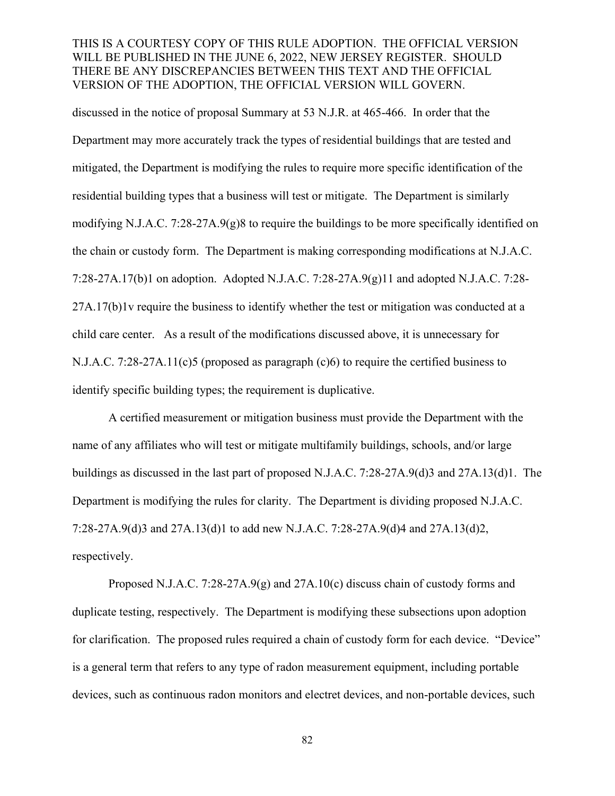discussed in the notice of proposal Summary at 53 N.J.R. at 465-466. In order that the Department may more accurately track the types of residential buildings that are tested and mitigated, the Department is modifying the rules to require more specific identification of the residential building types that a business will test or mitigate. The Department is similarly modifying N.J.A.C. 7:28-27A.9(g)8 to require the buildings to be more specifically identified on the chain or custody form. The Department is making corresponding modifications at N.J.A.C. 7:28-27A.17(b)1 on adoption. Adopted N.J.A.C. 7:28-27A.9(g)11 and adopted N.J.A.C. 7:28-  $27A.17(b)1v$  require the business to identify whether the test or mitigation was conducted at a child care center. As a result of the modifications discussed above, it is unnecessary for N.J.A.C. 7:28-27A.11(c)5 (proposed as paragraph (c)6) to require the certified business to identify specific building types; the requirement is duplicative.

A certified measurement or mitigation business must provide the Department with the name of any affiliates who will test or mitigate multifamily buildings, schools, and/or large buildings as discussed in the last part of proposed N.J.A.C. 7:28-27A.9(d)3 and 27A.13(d)1. The Department is modifying the rules for clarity. The Department is dividing proposed N.J.A.C. 7:28-27A.9(d)3 and 27A.13(d)1 to add new N.J.A.C. 7:28-27A.9(d)4 and 27A.13(d)2, respectively.

Proposed N.J.A.C. 7:28-27A.9(g) and 27A.10(c) discuss chain of custody forms and duplicate testing, respectively. The Department is modifying these subsections upon adoption for clarification. The proposed rules required a chain of custody form for each device. "Device" is a general term that refers to any type of radon measurement equipment, including portable devices, such as continuous radon monitors and electret devices, and non-portable devices, such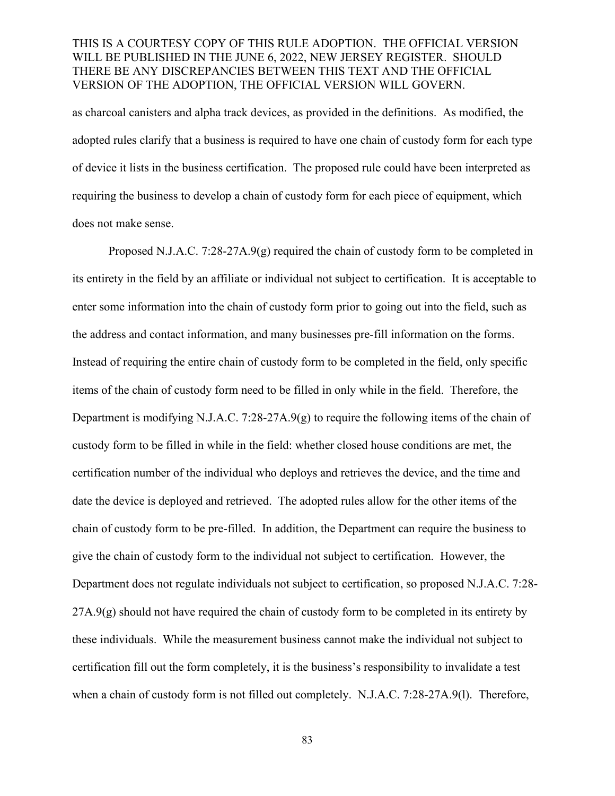as charcoal canisters and alpha track devices, as provided in the definitions. As modified, the adopted rules clarify that a business is required to have one chain of custody form for each type of device it lists in the business certification. The proposed rule could have been interpreted as requiring the business to develop a chain of custody form for each piece of equipment, which does not make sense.

Proposed N.J.A.C. 7:28-27A.9(g) required the chain of custody form to be completed in its entirety in the field by an affiliate or individual not subject to certification. It is acceptable to enter some information into the chain of custody form prior to going out into the field, such as the address and contact information, and many businesses pre-fill information on the forms. Instead of requiring the entire chain of custody form to be completed in the field, only specific items of the chain of custody form need to be filled in only while in the field. Therefore, the Department is modifying N.J.A.C. 7:28-27A.9(g) to require the following items of the chain of custody form to be filled in while in the field: whether closed house conditions are met, the certification number of the individual who deploys and retrieves the device, and the time and date the device is deployed and retrieved. The adopted rules allow for the other items of the chain of custody form to be pre-filled. In addition, the Department can require the business to give the chain of custody form to the individual not subject to certification. However, the Department does not regulate individuals not subject to certification, so proposed N.J.A.C. 7:28-  $27A.9(g)$  should not have required the chain of custody form to be completed in its entirety by these individuals. While the measurement business cannot make the individual not subject to certification fill out the form completely, it is the business's responsibility to invalidate a test when a chain of custody form is not filled out completely. N.J.A.C. 7:28-27A.9(1). Therefore,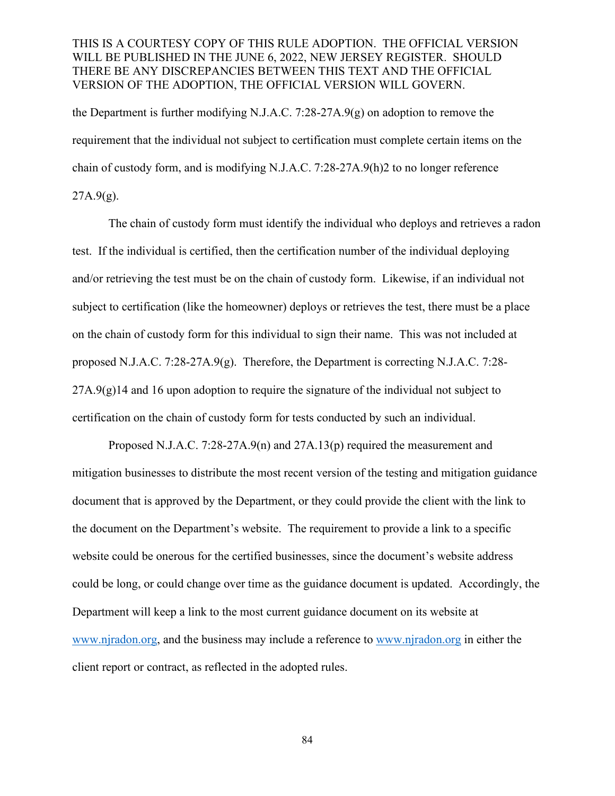the Department is further modifying N.J.A.C. 7:28-27A.9(g) on adoption to remove the requirement that the individual not subject to certification must complete certain items on the chain of custody form, and is modifying N.J.A.C. 7:28-27A.9(h)2 to no longer reference  $27A.9(g)$ .

The chain of custody form must identify the individual who deploys and retrieves a radon test. If the individual is certified, then the certification number of the individual deploying and/or retrieving the test must be on the chain of custody form. Likewise, if an individual not subject to certification (like the homeowner) deploys or retrieves the test, there must be a place on the chain of custody form for this individual to sign their name. This was not included at proposed N.J.A.C. 7:28-27A.9(g). Therefore, the Department is correcting N.J.A.C. 7:28-  $27A.9(g)14$  and 16 upon adoption to require the signature of the individual not subject to certification on the chain of custody form for tests conducted by such an individual.

Proposed N.J.A.C. 7:28-27A.9(n) and  $27A.13(p)$  required the measurement and mitigation businesses to distribute the most recent version of the testing and mitigation guidance document that is approved by the Department, or they could provide the client with the link to the document on the Department's website. The requirement to provide a link to a specific website could be onerous for the certified businesses, since the document's website address could be long, or could change over time as the guidance document is updated. Accordingly, the Department will keep a link to the most current guidance document on its website at [www.njradon.org,](http://www.njradon.org/) and the business may include a reference to [www.njradon.org](http://www.njradon.org/) in either the client report or contract, as reflected in the adopted rules.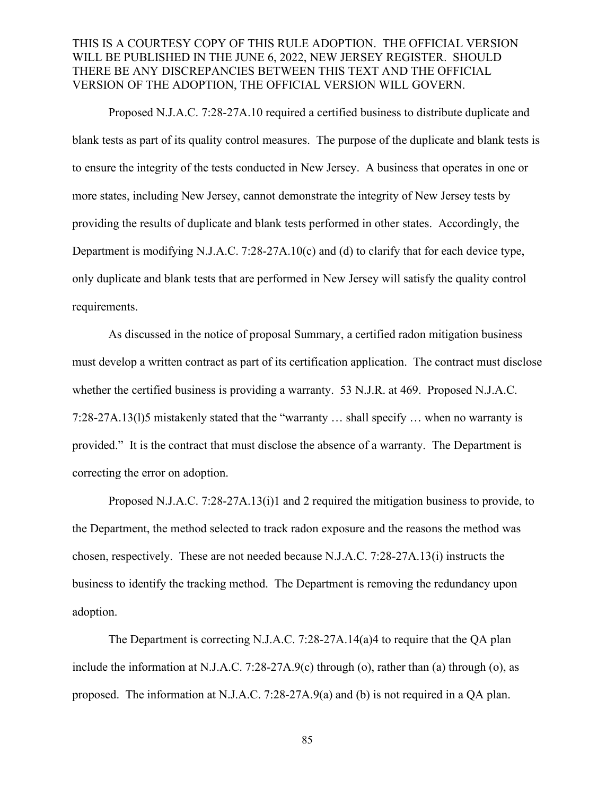Proposed N.J.A.C. 7:28-27A.10 required a certified business to distribute duplicate and blank tests as part of its quality control measures. The purpose of the duplicate and blank tests is to ensure the integrity of the tests conducted in New Jersey. A business that operates in one or more states, including New Jersey, cannot demonstrate the integrity of New Jersey tests by providing the results of duplicate and blank tests performed in other states. Accordingly, the Department is modifying N.J.A.C. 7:28-27A.10(c) and (d) to clarify that for each device type, only duplicate and blank tests that are performed in New Jersey will satisfy the quality control requirements.

As discussed in the notice of proposal Summary, a certified radon mitigation business must develop a written contract as part of its certification application. The contract must disclose whether the certified business is providing a warranty. 53 N.J.R. at 469. Proposed N.J.A.C. 7:28-27A.13(l)5 mistakenly stated that the "warranty … shall specify … when no warranty is provided." It is the contract that must disclose the absence of a warranty. The Department is correcting the error on adoption.

Proposed N.J.A.C. 7:28-27A.13(i)1 and 2 required the mitigation business to provide, to the Department, the method selected to track radon exposure and the reasons the method was chosen, respectively. These are not needed because N.J.A.C. 7:28-27A.13(i) instructs the business to identify the tracking method. The Department is removing the redundancy upon adoption.

The Department is correcting N.J.A.C. 7:28-27A.14(a)4 to require that the OA plan include the information at N.J.A.C. 7:28-27A.9(c) through (o), rather than (a) through (o), as proposed. The information at N.J.A.C. 7:28-27A.9(a) and (b) is not required in a QA plan.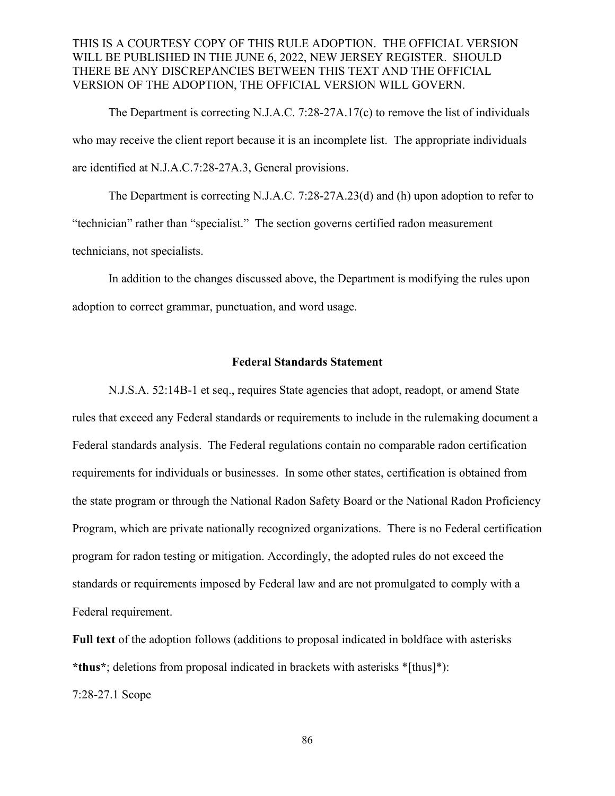The Department is correcting N.J.A.C. 7:28-27A.17(c) to remove the list of individuals who may receive the client report because it is an incomplete list. The appropriate individuals are identified at N.J.A.C.7:28-27A.3, General provisions.

The Department is correcting N.J.A.C. 7:28-27A.23(d) and (h) upon adoption to refer to "technician" rather than "specialist." The section governs certified radon measurement technicians, not specialists.

In addition to the changes discussed above, the Department is modifying the rules upon adoption to correct grammar, punctuation, and word usage.

#### **Federal Standards Statement**

N.J.S.A. 52:14B-1 et seq., requires State agencies that adopt, readopt, or amend State rules that exceed any Federal standards or requirements to include in the rulemaking document a Federal standards analysis. The Federal regulations contain no comparable radon certification requirements for individuals or businesses. In some other states, certification is obtained from the state program or through the National Radon Safety Board or the National Radon Proficiency Program, which are private nationally recognized organizations. There is no Federal certification program for radon testing or mitigation. Accordingly, the adopted rules do not exceed the standards or requirements imposed by Federal law and are not promulgated to comply with a Federal requirement.

**Full text** of the adoption follows (additions to proposal indicated in boldface with asterisks **\*thus\***; deletions from proposal indicated in brackets with asterisks \*[thus]\*): 7:28-27.1 Scope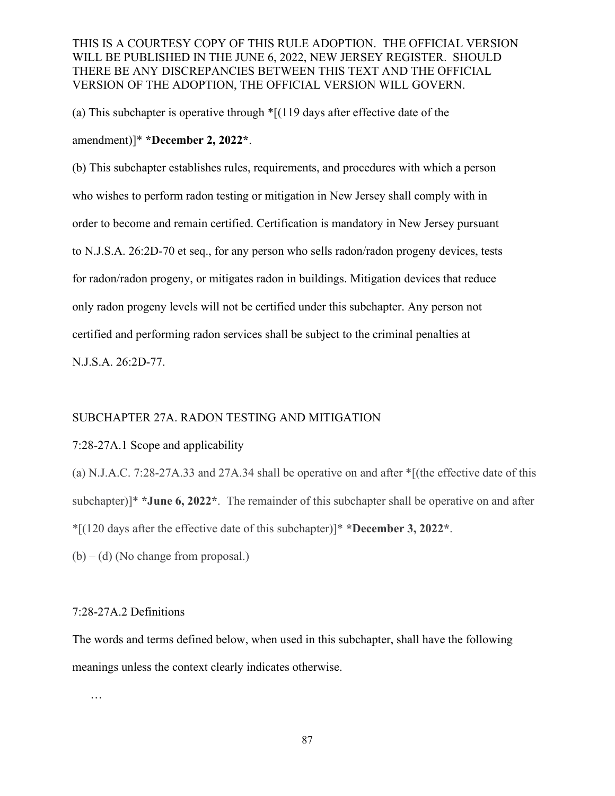(a) This subchapter is operative through \*[(119 days after effective date of the amendment)]\* **\*December 2, 2022\***.

(b) This subchapter establishes rules, requirements, and procedures with which a person who wishes to perform radon testing or mitigation in New Jersey shall comply with in order to become and remain certified. Certification is mandatory in New Jersey pursuant to N.J.S.A. 26:2D-70 et seq., for any person who sells radon/radon progeny devices, tests for radon/radon progeny, or mitigates radon in buildings. Mitigation devices that reduce only radon progeny levels will not be certified under this subchapter. Any person not certified and performing radon services shall be subject to the criminal penalties at N.J.S.A. 26:2D-77.

#### SUBCHAPTER 27A. RADON TESTING AND MITIGATION

#### 7:28-27A.1 Scope and applicability

(a) N.J.A.C. 7:28-27A.33 and 27A.34 shall be operative on and after \*[(the effective date of this subchapter)]\* **\*June 6, 2022\***. The remainder of this subchapter shall be operative on and after \*[(120 days after the effective date of this subchapter)]\* **\*December 3, 2022\***.

 $(b) - (d)$  (No change from proposal.)

#### 7:28-27A.2 Definitions

The words and terms defined below, when used in this subchapter, shall have the following meanings unless the context clearly indicates otherwise.

…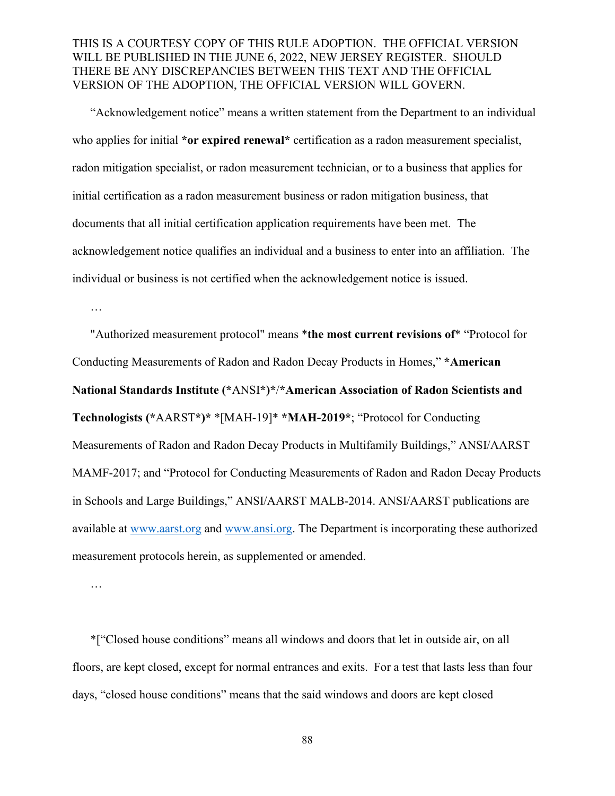"Acknowledgement notice" means a written statement from the Department to an individual who applies for initial **\*or expired renewal\*** certification as a radon measurement specialist, radon mitigation specialist, or radon measurement technician, or to a business that applies for initial certification as a radon measurement business or radon mitigation business, that documents that all initial certification application requirements have been met. The acknowledgement notice qualifies an individual and a business to enter into an affiliation. The individual or business is not certified when the acknowledgement notice is issued.

…

"Authorized measurement protocol" means \***the most current revisions of**\* "Protocol for Conducting Measurements of Radon and Radon Decay Products in Homes," **\*American National Standards Institute (\***ANSI**\*)\***/**\*American Association of Radon Scientists and Technologists (\***AARST**\*)\*** \*[MAH-19]\* **\*MAH-2019\***; "Protocol for Conducting Measurements of Radon and Radon Decay Products in Multifamily Buildings," ANSI/AARST MAMF-2017; and "Protocol for Conducting Measurements of Radon and Radon Decay Products in Schools and Large Buildings," ANSI/AARST MALB-2014. ANSI/AARST publications are available at [www.aarst.org](http://www.aarst.org/) and [www.ansi.org.](http://www.ansi.org/) The Department is incorporating these authorized measurement protocols herein, as supplemented or amended.

…

 \*["Closed house conditions" means all windows and doors that let in outside air, on all floors, are kept closed, except for normal entrances and exits. For a test that lasts less than four days, "closed house conditions" means that the said windows and doors are kept closed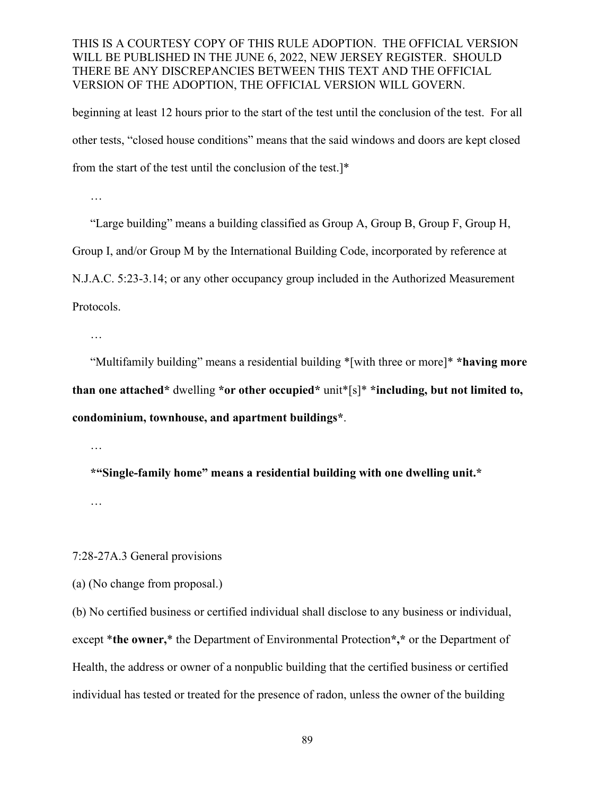beginning at least 12 hours prior to the start of the test until the conclusion of the test. For all other tests, "closed house conditions" means that the said windows and doors are kept closed from the start of the test until the conclusion of the test.]\*

…

"Large building" means a building classified as Group A, Group B, Group F, Group H, Group I, and/or Group M by the International Building Code, incorporated by reference at N.J.A.C. 5:23-3.14; or any other occupancy group included in the Authorized Measurement Protocols.

…

"Multifamily building" means a residential building \*[with three or more]\* **\*having more than one attached\*** dwelling **\*or other occupied\*** unit\*[s]\* **\*including, but not limited to, condominium, townhouse, and apartment buildings\***.

…

**\*"Single-family home" means a residential building with one dwelling unit.\***

…

7:28-27A.3 General provisions

(a) (No change from proposal.)

(b) No certified business or certified individual shall disclose to any business or individual, except \***the owner,**\* the Department of Environmental Protection**\*,\*** or the Department of Health, the address or owner of a nonpublic building that the certified business or certified individual has tested or treated for the presence of radon, unless the owner of the building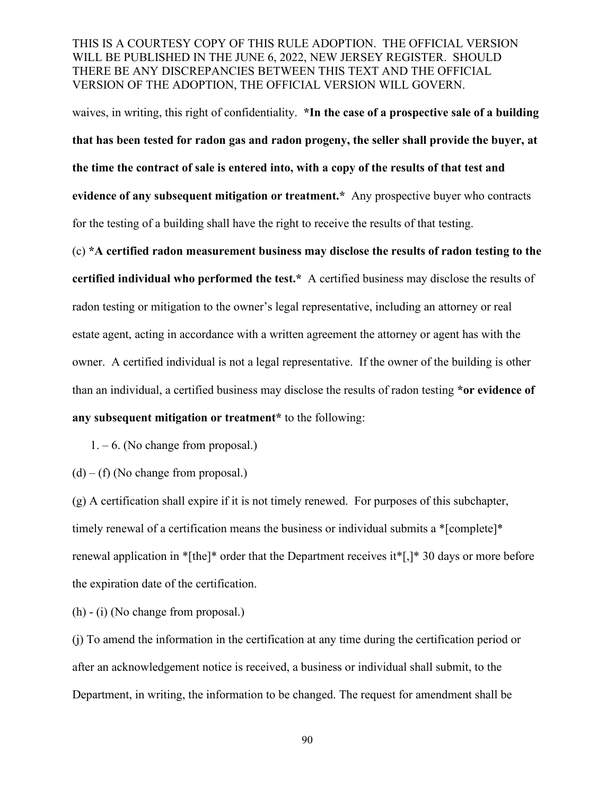waives, in writing, this right of confidentiality. **\*In the case of a prospective sale of a building that has been tested for radon gas and radon progeny, the seller shall provide the buyer, at the time the contract of sale is entered into, with a copy of the results of that test and evidence of any subsequent mitigation or treatment.\*** Any prospective buyer who contracts for the testing of a building shall have the right to receive the results of that testing.

(c) **\*A certified radon measurement business may disclose the results of radon testing to the certified individual who performed the test.\*** A certified business may disclose the results of radon testing or mitigation to the owner's legal representative, including an attorney or real estate agent, acting in accordance with a written agreement the attorney or agent has with the owner. A certified individual is not a legal representative. If the owner of the building is other than an individual, a certified business may disclose the results of radon testing **\*or evidence of any subsequent mitigation or treatment\*** to the following:

 $1. - 6$ . (No change from proposal.)

 $(d) - (f)$  (No change from proposal.)

(g) A certification shall expire if it is not timely renewed. For purposes of this subchapter, timely renewal of a certification means the business or individual submits a \*[complete]\* renewal application in \*[the]\* order that the Department receives it\*[,]\* 30 days or more before the expiration date of the certification.

(h) - (i) (No change from proposal.)

(j) To amend the information in the certification at any time during the certification period or after an acknowledgement notice is received, a business or individual shall submit, to the Department, in writing, the information to be changed. The request for amendment shall be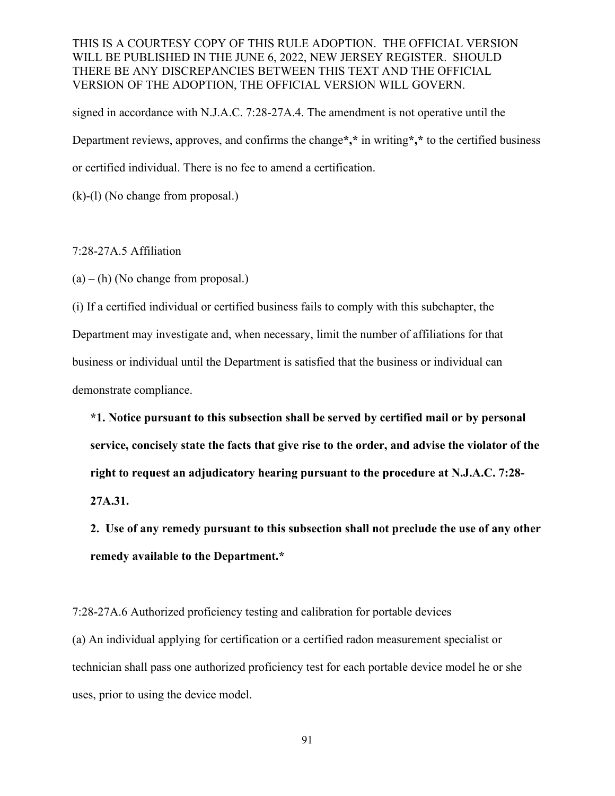signed in accordance with N.J.A.C. 7:28-27A.4. The amendment is not operative until the Department reviews, approves, and confirms the change**\*,\*** in writing**\*,\*** to the certified business or certified individual. There is no fee to amend a certification.

(k)-(l) (No change from proposal.)

## 7:28-27A.5 Affiliation

 $(a) - (h)$  (No change from proposal.)

(i) If a certified individual or certified business fails to comply with this subchapter, the Department may investigate and, when necessary, limit the number of affiliations for that business or individual until the Department is satisfied that the business or individual can demonstrate compliance.

**\*1. Notice pursuant to this subsection shall be served by certified mail or by personal service, concisely state the facts that give rise to the order, and advise the violator of the right to request an adjudicatory hearing pursuant to the procedure at N.J.A.C. 7:28- 27A.31.**

**2. Use of any remedy pursuant to this subsection shall not preclude the use of any other remedy available to the Department.\***

7:28-27A.6 Authorized proficiency testing and calibration for portable devices (a) An individual applying for certification or a certified radon measurement specialist or technician shall pass one authorized proficiency test for each portable device model he or she uses, prior to using the device model.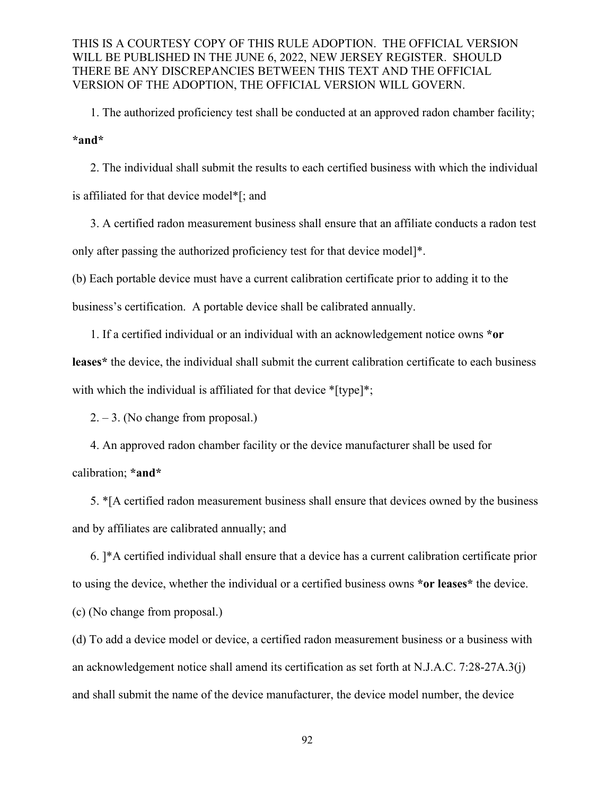1. The authorized proficiency test shall be conducted at an approved radon chamber facility; **\*and\***

2. The individual shall submit the results to each certified business with which the individual is affiliated for that device model\*[; and

3. A certified radon measurement business shall ensure that an affiliate conducts a radon test only after passing the authorized proficiency test for that device model]\*.

(b) Each portable device must have a current calibration certificate prior to adding it to the

business's certification. A portable device shall be calibrated annually.

1. If a certified individual or an individual with an acknowledgement notice owns **\*or leases\*** the device, the individual shall submit the current calibration certificate to each business with which the individual is affiliated for that device \*[type]\*;

 $2. - 3.$  (No change from proposal.)

4. An approved radon chamber facility or the device manufacturer shall be used for calibration; **\*and\***

5. \*[A certified radon measurement business shall ensure that devices owned by the business and by affiliates are calibrated annually; and

6. ]\*A certified individual shall ensure that a device has a current calibration certificate prior to using the device, whether the individual or a certified business owns **\*or leases\*** the device.

(c) (No change from proposal.)

(d) To add a device model or device, a certified radon measurement business or a business with an acknowledgement notice shall amend its certification as set forth at N.J.A.C. 7:28-27A.3(j) and shall submit the name of the device manufacturer, the device model number, the device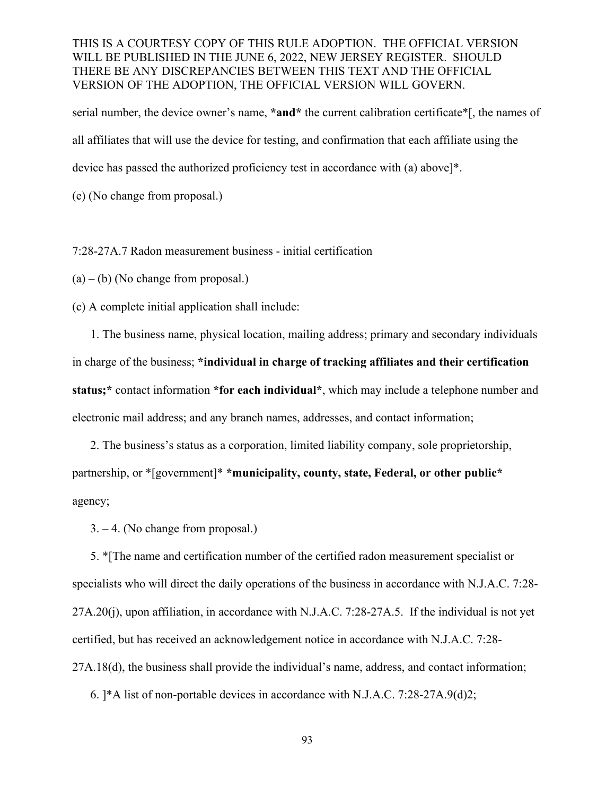serial number, the device owner's name, **\*and\*** the current calibration certificate\*[, the names of all affiliates that will use the device for testing, and confirmation that each affiliate using the device has passed the authorized proficiency test in accordance with (a) above]\*.

(e) (No change from proposal.)

## 7:28-27A.7 Radon measurement business - initial certification

 $(a) - (b)$  (No change from proposal.)

(c) A complete initial application shall include:

1. The business name, physical location, mailing address; primary and secondary individuals in charge of the business; **\*individual in charge of tracking affiliates and their certification status;\*** contact information **\*for each individual\***, which may include a telephone number and electronic mail address; and any branch names, addresses, and contact information;

 2. The business's status as a corporation, limited liability company, sole proprietorship, partnership, or \*[government]\* **\*municipality, county, state, Federal, or other public\*** agency;

3. – 4. (No change from proposal.)

5. \*[The name and certification number of the certified radon measurement specialist or specialists who will direct the daily operations of the business in accordance with N.J.A.C. 7:28- 27A.20(j), upon affiliation, in accordance with N.J.A.C. 7:28-27A.5. If the individual is not yet certified, but has received an acknowledgement notice in accordance with N.J.A.C. 7:28- 27A.18(d), the business shall provide the individual's name, address, and contact information;

6. ]\*A list of non-portable devices in accordance with N.J.A.C. 7:28-27A.9(d)2;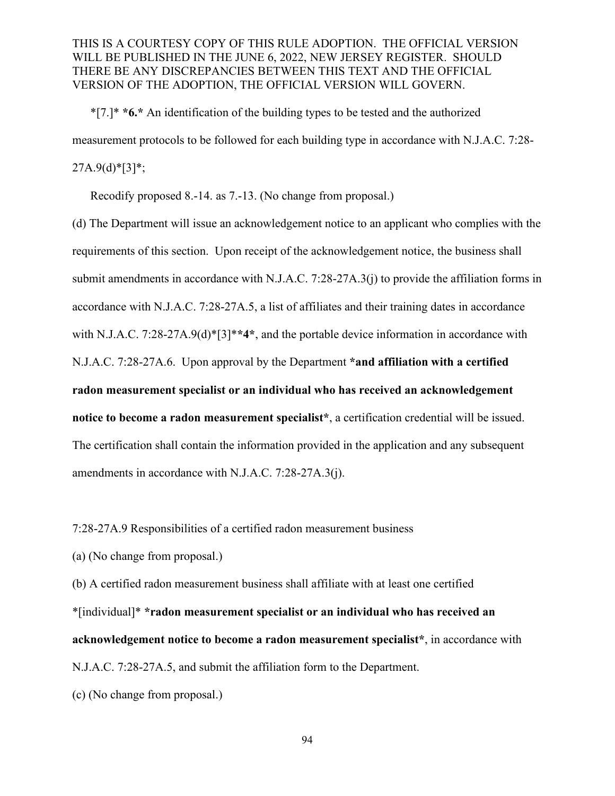\*[7.]\* **\*6.\*** An identification of the building types to be tested and the authorized measurement protocols to be followed for each building type in accordance with N.J.A.C. 7:28-  $27A.9(d)$ <sup>\*</sup>[3]<sup>\*</sup>;

Recodify proposed 8.-14. as 7.-13. (No change from proposal.)

(d) The Department will issue an acknowledgement notice to an applicant who complies with the requirements of this section. Upon receipt of the acknowledgement notice, the business shall submit amendments in accordance with N.J.A.C. 7:28-27A.3(j) to provide the affiliation forms in accordance with N.J.A.C. 7:28-27A.5, a list of affiliates and their training dates in accordance with N.J.A.C. 7:28-27A.9(d)\*[3]\***\*4\***, and the portable device information in accordance with N.J.A.C. 7:28-27A.6. Upon approval by the Department **\*and affiliation with a certified radon measurement specialist or an individual who has received an acknowledgement notice to become a radon measurement specialist\***, a certification credential will be issued. The certification shall contain the information provided in the application and any subsequent amendments in accordance with N.J.A.C. 7:28-27A.3(j).

7:28-27A.9 Responsibilities of a certified radon measurement business

(a) (No change from proposal.)

(b) A certified radon measurement business shall affiliate with at least one certified \*[individual]\* **\*radon measurement specialist or an individual who has received an acknowledgement notice to become a radon measurement specialist\***, in accordance with N.J.A.C. 7:28-27A.5, and submit the affiliation form to the Department.

(c) (No change from proposal.)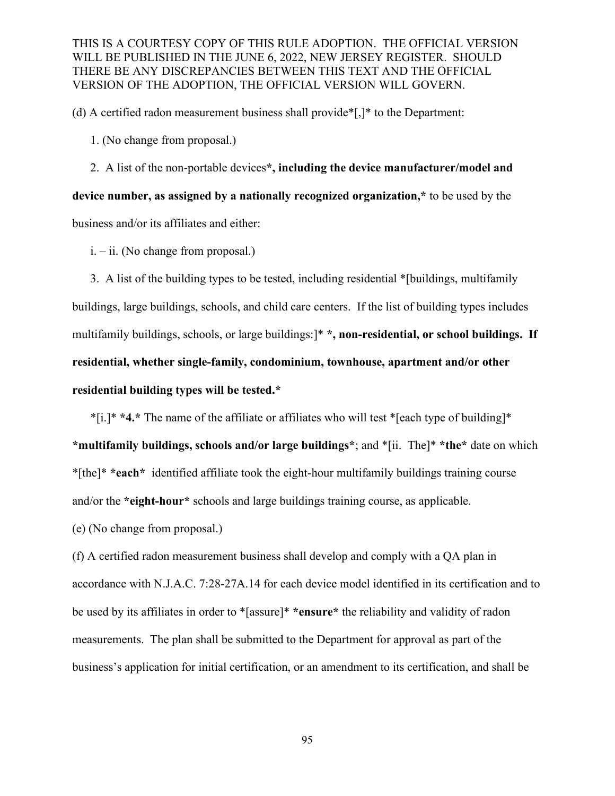(d) A certified radon measurement business shall provide\*[,]\* to the Department:

1. (No change from proposal.)

2. A list of the non-portable devices**\*, including the device manufacturer/model and device number, as assigned by a nationally recognized organization,\*** to be used by the business and/or its affiliates and either:

i. – ii. (No change from proposal.)

3. A list of the building types to be tested, including residential \*[buildings, multifamily buildings, large buildings, schools, and child care centers. If the list of building types includes multifamily buildings, schools, or large buildings:]\* **\*, non-residential, or school buildings. If residential, whether single-family, condominium, townhouse, apartment and/or other residential building types will be tested.\***

\*[i.]\* **\*4.\*** The name of the affiliate or affiliates who will test \*[each type of building]\* **\*multifamily buildings, schools and/or large buildings\***; and \*[ii. The]\* **\*the\*** date on which \*[the]\* **\*each\*** identified affiliate took the eight-hour multifamily buildings training course and/or the **\*eight-hour\*** schools and large buildings training course, as applicable.

(e) (No change from proposal.)

(f) A certified radon measurement business shall develop and comply with a QA plan in accordance with N.J.A.C. 7:28-27A.14 for each device model identified in its certification and to be used by its affiliates in order to \*[assure]\* **\*ensure\*** the reliability and validity of radon measurements. The plan shall be submitted to the Department for approval as part of the business's application for initial certification, or an amendment to its certification, and shall be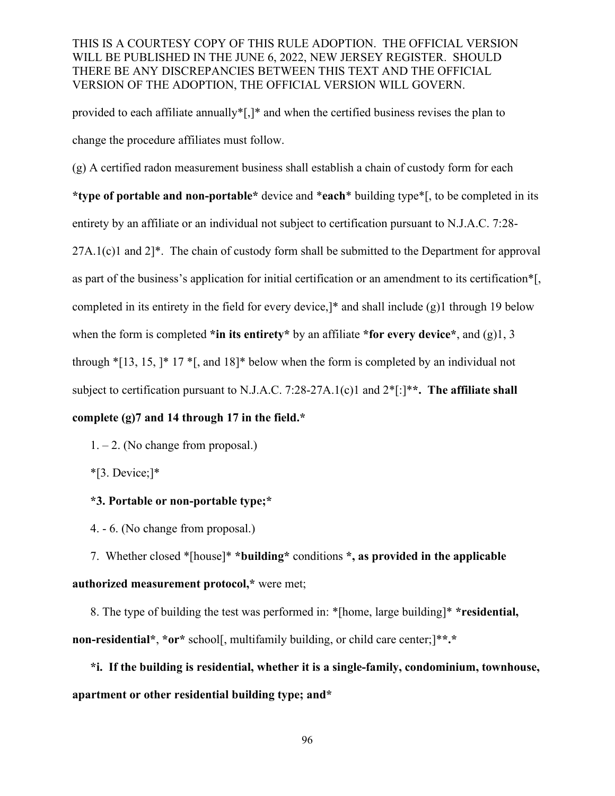provided to each affiliate annually\*[,]\* and when the certified business revises the plan to change the procedure affiliates must follow.

(g) A certified radon measurement business shall establish a chain of custody form for each **\*type of portable and non-portable\*** device and \***each**\* building type\*[, to be completed in its entirety by an affiliate or an individual not subject to certification pursuant to N.J.A.C. 7:28-  $27A.1(c)1$  and  $2$ <sup>\*</sup>. The chain of custody form shall be submitted to the Department for approval as part of the business's application for initial certification or an amendment to its certification\*[, completed in its entirety in the field for every device,]\* and shall include (g)1 through 19 below when the form is completed **\*in its entirety\*** by an affiliate **\*for every device\***, and (g)1, 3 through  $\text{*}[13, 15, ]\text{*} 17 \text{*}$ , and  $18\text{*}$  below when the form is completed by an individual not subject to certification pursuant to N.J.A.C. 7:28-27A.1(c)1 and 2\*[:]\***\*. The affiliate shall** 

# **complete (g)7 and 14 through 17 in the field.\***

1. – 2. (No change from proposal.)

\*[3. Device;]\*

# **\*3. Portable or non-portable type;\***

4. - 6. (No change from proposal.)

7. Whether closed \*[house]\* **\*building\*** conditions **\*, as provided in the applicable authorized measurement protocol,\*** were met;

8. The type of building the test was performed in: \*[home, large building]\* **\*residential, non-residential\***, **\*or\*** school[, multifamily building, or child care center;]\***\*.\***

**\*i. If the building is residential, whether it is a single-family, condominium, townhouse, apartment or other residential building type; and\***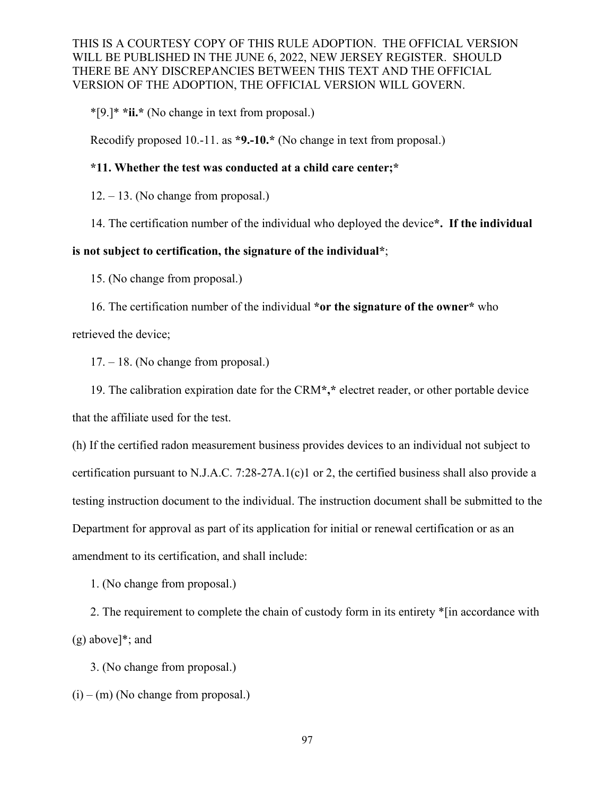\*[9.]\* **\*ii.\*** (No change in text from proposal.)

Recodify proposed 10.-11. as **\*9.-10.\*** (No change in text from proposal.)

#### **\*11. Whether the test was conducted at a child care center;\***

 $12. - 13$ . (No change from proposal.)

14. The certification number of the individual who deployed the device**\*. If the individual** 

#### **is not subject to certification, the signature of the individual\***;

15. (No change from proposal.)

16. The certification number of the individual **\*or the signature of the owner\*** who retrieved the device;

17. – 18. (No change from proposal.)

19. The calibration expiration date for the CRM**\*,\*** electret reader, or other portable device that the affiliate used for the test.

(h) If the certified radon measurement business provides devices to an individual not subject to certification pursuant to N.J.A.C. 7:28-27A.1(c)1 or 2, the certified business shall also provide a testing instruction document to the individual. The instruction document shall be submitted to the Department for approval as part of its application for initial or renewal certification or as an amendment to its certification, and shall include:

1. (No change from proposal.)

2. The requirement to complete the chain of custody form in its entirety \*[in accordance with (g) above]\*; and

3. (No change from proposal.)

 $(i) - (m)$  (No change from proposal.)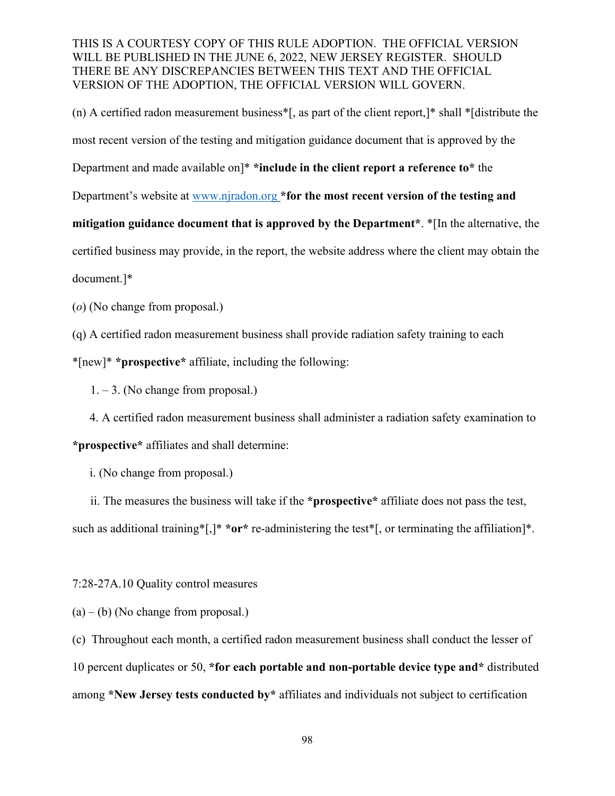(n) A certified radon measurement business\*[, as part of the client report,]\* shall \*[distribute the most recent version of the testing and mitigation guidance document that is approved by the Department and made available on]\* **\*include in the client report a reference to\*** the Department's website at [www.njradon.org](http://www.njradon.org/) **\*for the most recent version of the testing and mitigation guidance document that is approved by the Department\***. \*[In the alternative, the certified business may provide, in the report, the website address where the client may obtain the document.]\*

(*o*) (No change from proposal.)

(q) A certified radon measurement business shall provide radiation safety training to each \*[new]\* **\*prospective\*** affiliate, including the following:

 $1. - 3.$  (No change from proposal.)

4. A certified radon measurement business shall administer a radiation safety examination to **\*prospective\*** affiliates and shall determine:

i. (No change from proposal.)

ii. The measures the business will take if the **\*prospective\*** affiliate does not pass the test, such as additional training\*[,]\* **\*or\*** re-administering the test\*[, or terminating the affiliation]\*.

7:28-27A.10 Quality control measures

 $(a) - (b)$  (No change from proposal.)

(c) Throughout each month, a certified radon measurement business shall conduct the lesser of 10 percent duplicates or 50, **\*for each portable and non-portable device type and\*** distributed among **\*New Jersey tests conducted by\*** affiliates and individuals not subject to certification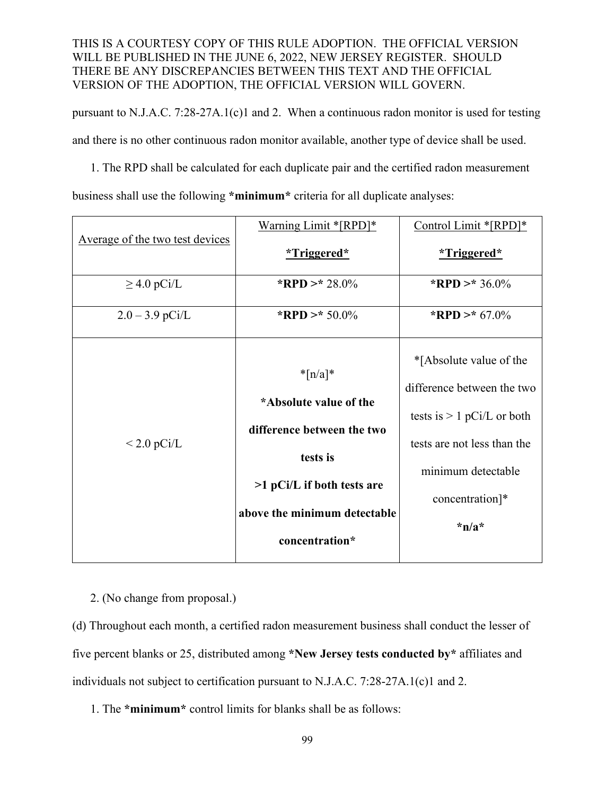pursuant to N.J.A.C. 7:28-27A.1(c)1 and 2. When a continuous radon monitor is used for testing and there is no other continuous radon monitor available, another type of device shall be used.

1. The RPD shall be calculated for each duplicate pair and the certified radon measurement business shall use the following **\*minimum\*** criteria for all duplicate analyses:

|                                 | Warning Limit *[RPD]*        | Control Limit *[RPD]*        |
|---------------------------------|------------------------------|------------------------------|
| Average of the two test devices | *Triggered*                  | *Triggered*                  |
| $\geq$ 4.0 pCi/L                | *RPD >* 28.0%                | *RPD >* 36.0%                |
| $2.0 - 3.9$ pCi/L               | *RPD >* 50.0%                | *RPD >* $67.0\%$             |
| $<$ 2.0 pCi/L                   | $*$ [n/a] $*$                | *[Absolute value of the      |
|                                 | *Absolute value of the       | difference between the two   |
|                                 | difference between the two   | tests is $> 1$ pCi/L or both |
|                                 | tests is                     | tests are not less than the  |
|                                 |                              | minimum detectable           |
|                                 | $>1$ pCi/L if both tests are | concentration]*              |
|                                 | above the minimum detectable | $*n/a*$                      |
|                                 | concentration*               |                              |

2. (No change from proposal.)

(d) Throughout each month, a certified radon measurement business shall conduct the lesser of five percent blanks or 25, distributed among **\*New Jersey tests conducted by\*** affiliates and individuals not subject to certification pursuant to N.J.A.C. 7:28-27A.1(c)1 and 2.

1. The **\*minimum\*** control limits for blanks shall be as follows: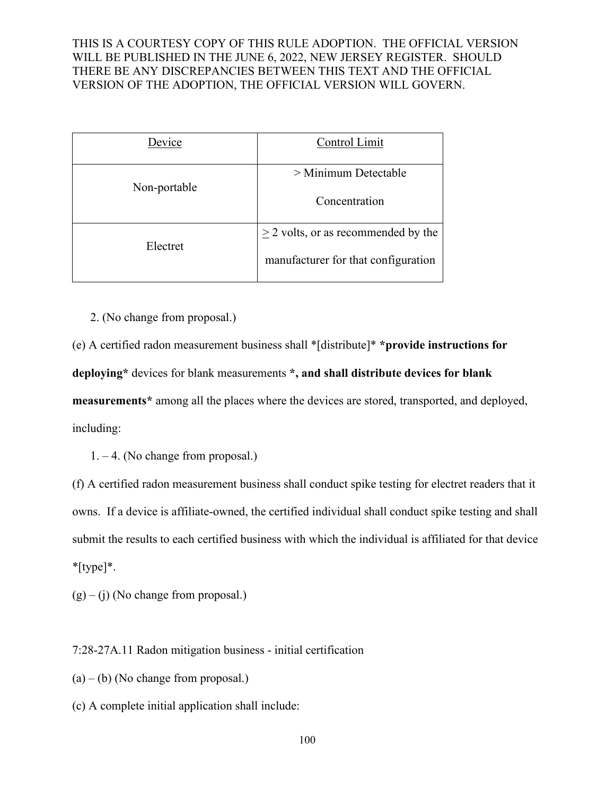| Device       | Control Limit                                                                       |  |
|--------------|-------------------------------------------------------------------------------------|--|
| Non-portable | $>$ Minimum Detectable<br>Concentration<br>$\geq$ 2 volts, or as recommended by the |  |
| Electret     |                                                                                     |  |
|              | manufacturer for that configuration                                                 |  |

2. (No change from proposal.)

(e) A certified radon measurement business shall \*[distribute]\* **\*provide instructions for deploying\*** devices for blank measurements **\*, and shall distribute devices for blank measurements\*** among all the places where the devices are stored, transported, and deployed, including:

1. – 4. (No change from proposal.)

(f) A certified radon measurement business shall conduct spike testing for electret readers that it owns. If a device is affiliate-owned, the certified individual shall conduct spike testing and shall submit the results to each certified business with which the individual is affiliated for that device \*[type]\*.

 $(g) - (i)$  (No change from proposal.)

7:28-27A.11 Radon mitigation business - initial certification

- $(a) (b)$  (No change from proposal.)
- (c) A complete initial application shall include: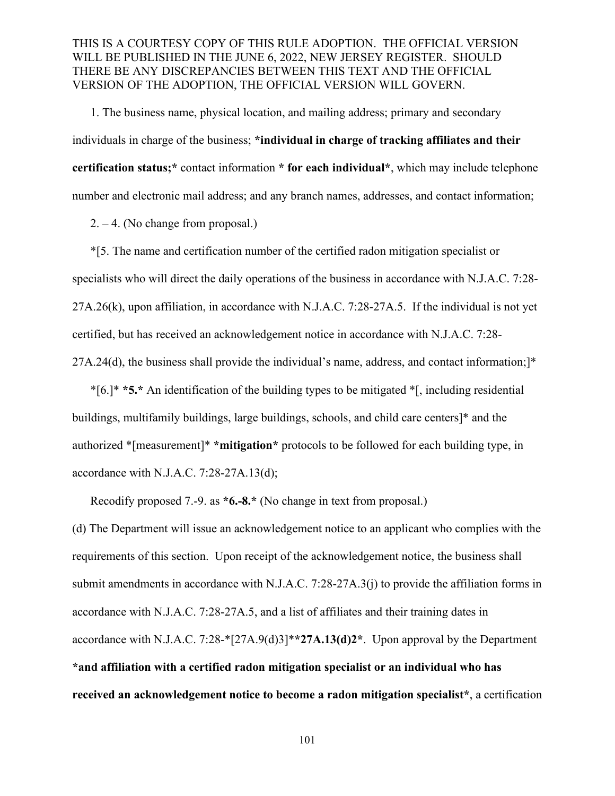1. The business name, physical location, and mailing address; primary and secondary individuals in charge of the business; **\*individual in charge of tracking affiliates and their certification status;\*** contact information **\* for each individual\***, which may include telephone number and electronic mail address; and any branch names, addresses, and contact information;

2. – 4. (No change from proposal.)

 \*[5. The name and certification number of the certified radon mitigation specialist or specialists who will direct the daily operations of the business in accordance with N.J.A.C. 7:28- 27A.26(k), upon affiliation, in accordance with N.J.A.C. 7:28-27A.5. If the individual is not yet certified, but has received an acknowledgement notice in accordance with N.J.A.C. 7:28- 27A.24(d), the business shall provide the individual's name, address, and contact information;]\*

\*[6.]\* **\*5.\*** An identification of the building types to be mitigated \*[, including residential buildings, multifamily buildings, large buildings, schools, and child care centers]\* and the authorized \*[measurement]\* **\*mitigation\*** protocols to be followed for each building type, in accordance with N.J.A.C. 7:28-27A.13(d);

Recodify proposed 7.-9. as **\*6.-8.\*** (No change in text from proposal.)

(d) The Department will issue an acknowledgement notice to an applicant who complies with the requirements of this section. Upon receipt of the acknowledgement notice, the business shall submit amendments in accordance with N.J.A.C. 7:28-27A.3(j) to provide the affiliation forms in accordance with N.J.A.C. 7:28-27A.5, and a list of affiliates and their training dates in accordance with N.J.A.C. 7:28-\*[27A.9(d)3]\***\*27A.13(d)2\***. Upon approval by the Department **\*and affiliation with a certified radon mitigation specialist or an individual who has received an acknowledgement notice to become a radon mitigation specialist\***, a certification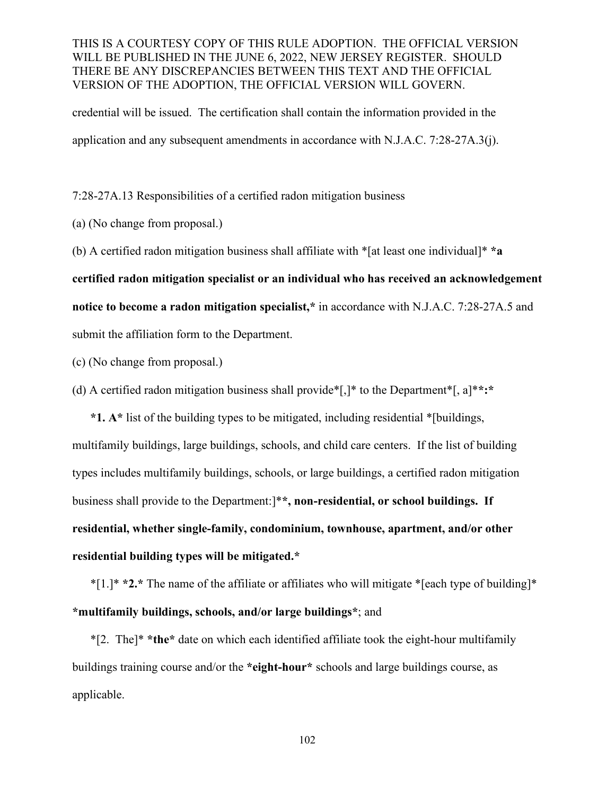credential will be issued. The certification shall contain the information provided in the application and any subsequent amendments in accordance with N.J.A.C. 7:28-27A.3(j).

7:28-27A.13 Responsibilities of a certified radon mitigation business

(a) (No change from proposal.)

(b) A certified radon mitigation business shall affiliate with \*[at least one individual]\* **\*a** 

**certified radon mitigation specialist or an individual who has received an acknowledgement** 

**notice to become a radon mitigation specialist,\*** in accordance with N.J.A.C. 7:28-27A.5 and

submit the affiliation form to the Department.

(c) (No change from proposal.)

(d) A certified radon mitigation business shall provide\*[,]\* to the Department\*[, a]\***\*:\***

**\*1. A\*** list of the building types to be mitigated, including residential \*[buildings, multifamily buildings, large buildings, schools, and child care centers. If the list of building types includes multifamily buildings, schools, or large buildings, a certified radon mitigation business shall provide to the Department:]\***\*, non-residential, or school buildings. If residential, whether single-family, condominium, townhouse, apartment, and/or other residential building types will be mitigated.\***

\*[1.]\* **\*2.\*** The name of the affiliate or affiliates who will mitigate \*[each type of building]\* **\*multifamily buildings, schools, and/or large buildings\***; and

\*[2. The]\* **\*the\*** date on which each identified affiliate took the eight-hour multifamily buildings training course and/or the **\*eight-hour\*** schools and large buildings course, as applicable.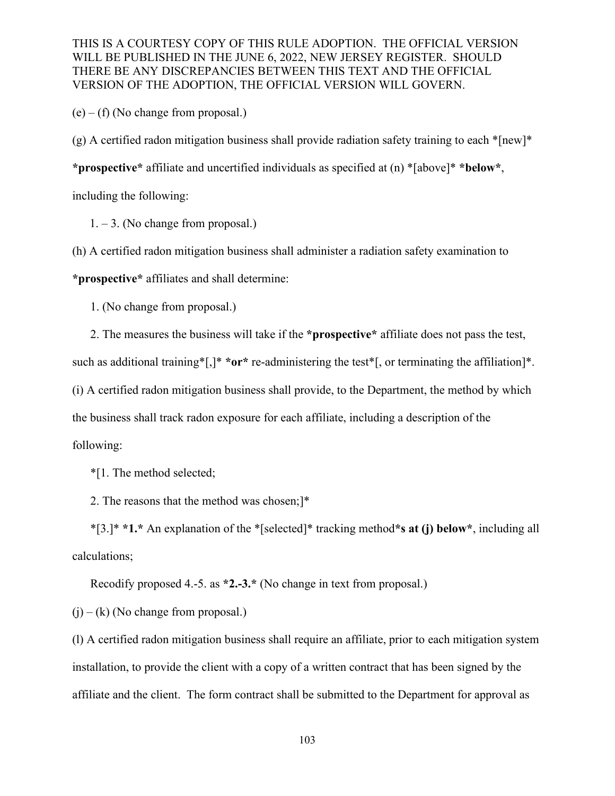$(e) - (f)$  (No change from proposal.)

(g) A certified radon mitigation business shall provide radiation safety training to each  $*$ [new]\*

**\*prospective\*** affiliate and uncertified individuals as specified at (n) \*[above]\* **\*below\***,

including the following:

1. – 3. (No change from proposal.)

(h) A certified radon mitigation business shall administer a radiation safety examination to

**\*prospective\*** affiliates and shall determine:

1. (No change from proposal.)

2. The measures the business will take if the **\*prospective\*** affiliate does not pass the test,

such as additional training\*[,]\* **\*or\*** re-administering the test\*[, or terminating the affiliation]\*.

(i) A certified radon mitigation business shall provide, to the Department, the method by which

the business shall track radon exposure for each affiliate, including a description of the

following:

\*[1. The method selected;

2. The reasons that the method was chosen;]\*

\*[3.]\* **\*1.\*** An explanation of the \*[selected]\* tracking method**\*s at (j) below\***, including all calculations;

Recodify proposed 4.-5. as **\*2.-3.\*** (No change in text from proposal.)

 $(i) - (k)$  (No change from proposal.)

(l) A certified radon mitigation business shall require an affiliate, prior to each mitigation system installation, to provide the client with a copy of a written contract that has been signed by the affiliate and the client. The form contract shall be submitted to the Department for approval as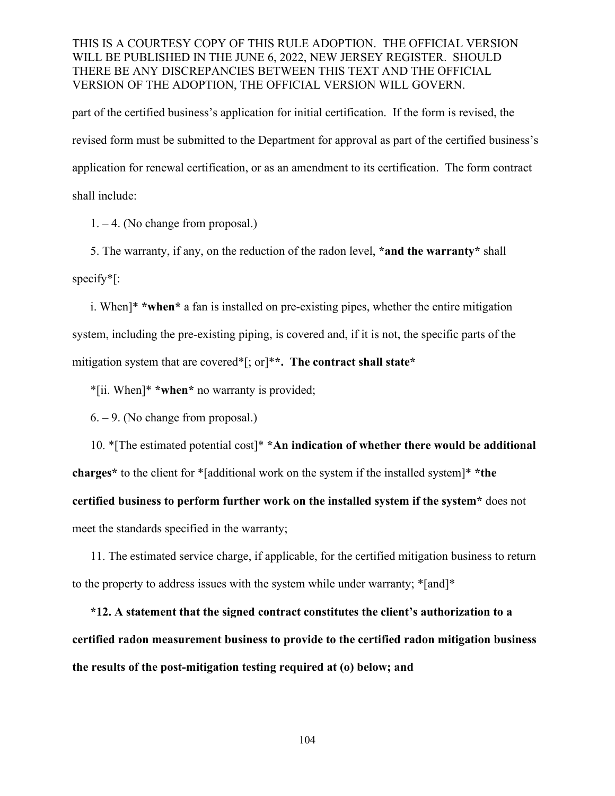part of the certified business's application for initial certification. If the form is revised, the revised form must be submitted to the Department for approval as part of the certified business's application for renewal certification, or as an amendment to its certification. The form contract shall include:

1. – 4. (No change from proposal.)

5. The warranty, if any, on the reduction of the radon level, **\*and the warranty\*** shall specify\*[:

i. When]\* **\*when\*** a fan is installed on pre-existing pipes, whether the entire mitigation system, including the pre-existing piping, is covered and, if it is not, the specific parts of the mitigation system that are covered\*[; or]\***\*. The contract shall state\***

\*[ii. When]\* **\*when\*** no warranty is provided;

6. – 9. (No change from proposal.)

10. \*[The estimated potential cost]\* **\*An indication of whether there would be additional charges\*** to the client for \*[additional work on the system if the installed system]\* **\*the certified business to perform further work on the installed system if the system\*** does not meet the standards specified in the warranty;

11. The estimated service charge, if applicable, for the certified mitigation business to return to the property to address issues with the system while under warranty; \*[and]\*

**\*12. A statement that the signed contract constitutes the client's authorization to a certified radon measurement business to provide to the certified radon mitigation business the results of the post-mitigation testing required at (o) below; and**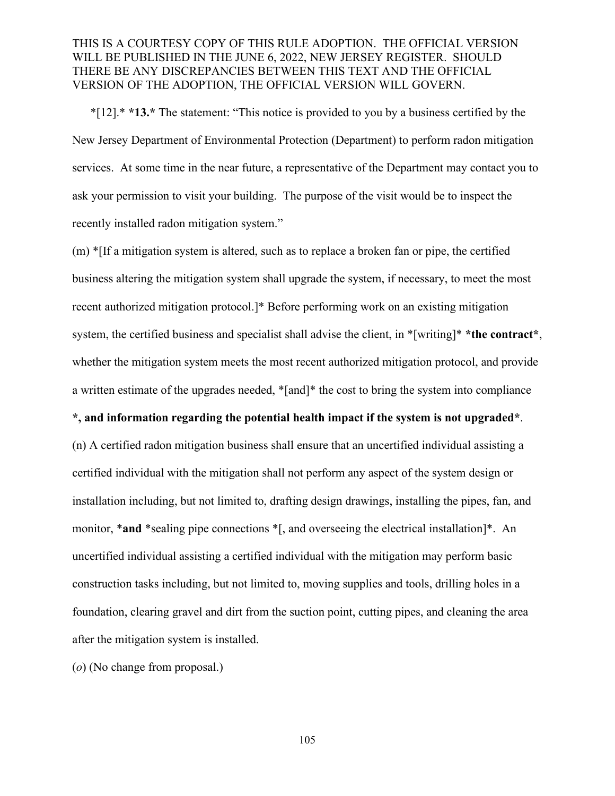\*[12].\* **\*13.\*** The statement: "This notice is provided to you by a business certified by the New Jersey Department of Environmental Protection (Department) to perform radon mitigation services. At some time in the near future, a representative of the Department may contact you to ask your permission to visit your building. The purpose of the visit would be to inspect the recently installed radon mitigation system."

(m) \*[If a mitigation system is altered, such as to replace a broken fan or pipe, the certified business altering the mitigation system shall upgrade the system, if necessary, to meet the most recent authorized mitigation protocol.]\* Before performing work on an existing mitigation system, the certified business and specialist shall advise the client, in \*[writing]\* **\*the contract\***, whether the mitigation system meets the most recent authorized mitigation protocol, and provide a written estimate of the upgrades needed, \*[and]\* the cost to bring the system into compliance

#### **\*, and information regarding the potential health impact if the system is not upgraded\***.

(n) A certified radon mitigation business shall ensure that an uncertified individual assisting a certified individual with the mitigation shall not perform any aspect of the system design or installation including, but not limited to, drafting design drawings, installing the pipes, fan, and monitor, \***and** \*sealing pipe connections \*[, and overseeing the electrical installation]\*. An uncertified individual assisting a certified individual with the mitigation may perform basic construction tasks including, but not limited to, moving supplies and tools, drilling holes in a foundation, clearing gravel and dirt from the suction point, cutting pipes, and cleaning the area after the mitigation system is installed.

(*o*) (No change from proposal.)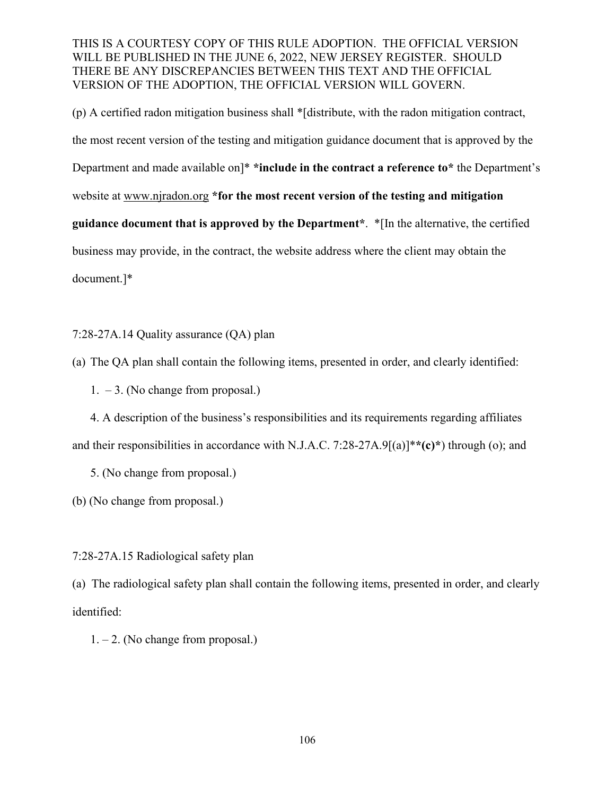(p) A certified radon mitigation business shall \*[distribute, with the radon mitigation contract, the most recent version of the testing and mitigation guidance document that is approved by the Department and made available on]\* **\*include in the contract a reference to\*** the Department's website at www.njradon.org **\*for the most recent version of the testing and mitigation guidance document that is approved by the Department\***. \*[In the alternative, the certified business may provide, in the contract, the website address where the client may obtain the document.]\*

7:28-27A.14 Quality assurance (QA) plan

(a) The QA plan shall contain the following items, presented in order, and clearly identified:

 $1. -3.$  (No change from proposal.)

4. A description of the business's responsibilities and its requirements regarding affiliates and their responsibilities in accordance with N.J.A.C. 7:28-27A.9[(a)]\***\*(c)\***) through (o); and

5. (No change from proposal.)

(b) (No change from proposal.)

7:28-27A.15 Radiological safety plan

(a) The radiological safety plan shall contain the following items, presented in order, and clearly identified:

 $1. - 2$ . (No change from proposal.)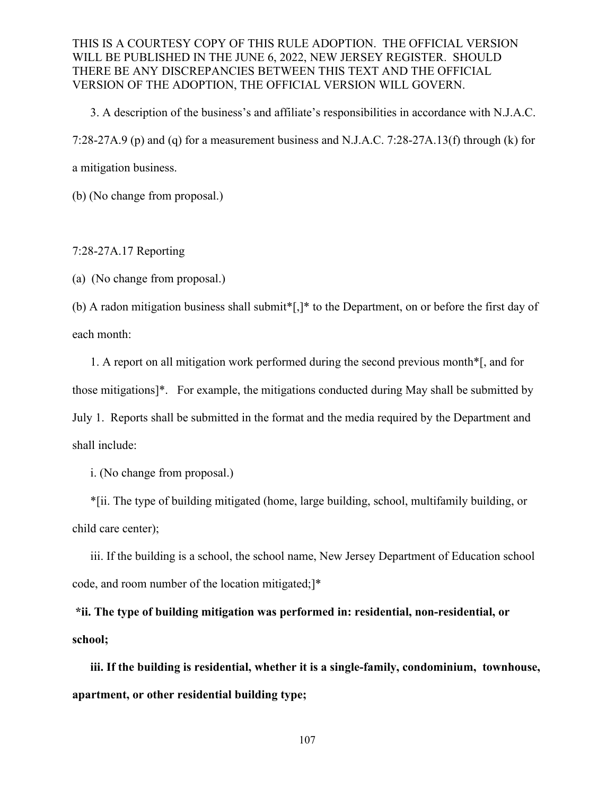3. A description of the business's and affiliate's responsibilities in accordance with N.J.A.C. 7:28-27A.9 (p) and (q) for a measurement business and N.J.A.C. 7:28-27A.13(f) through (k) for a mitigation business.

(b) (No change from proposal.)

#### 7:28-27A.17 Reporting

(a) (No change from proposal.)

(b) A radon mitigation business shall submit\*[,]\* to the Department, on or before the first day of each month:

1. A report on all mitigation work performed during the second previous month\*[, and for those mitigations]\*. For example, the mitigations conducted during May shall be submitted by July 1. Reports shall be submitted in the format and the media required by the Department and shall include:

i. (No change from proposal.)

\*[ii. The type of building mitigated (home, large building, school, multifamily building, or child care center);

iii. If the building is a school, the school name, New Jersey Department of Education school code, and room number of the location mitigated;]\*

**\*ii. The type of building mitigation was performed in: residential, non-residential, or school;**

**iii. If the building is residential, whether it is a single-family, condominium, townhouse, apartment, or other residential building type;**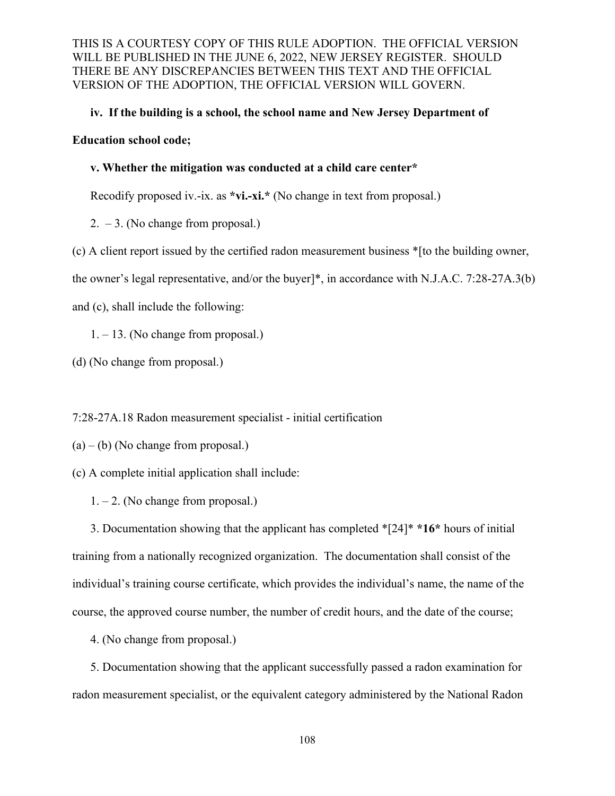#### **iv. If the building is a school, the school name and New Jersey Department of**

#### **Education school code;**

#### **v. Whether the mitigation was conducted at a child care center\***

Recodify proposed iv.-ix. as **\*vi.-xi.\*** (No change in text from proposal.)

2.  $-3$ . (No change from proposal.)

(c) A client report issued by the certified radon measurement business \*[to the building owner,

the owner's legal representative, and/or the buyer]\*, in accordance with N.J.A.C. 7:28-27A.3(b)

and (c), shall include the following:

1. – 13. (No change from proposal.)

(d) (No change from proposal.)

7:28-27A.18 Radon measurement specialist - initial certification

 $(a) - (b)$  (No change from proposal.)

(c) A complete initial application shall include:

1. – 2. (No change from proposal.)

3. Documentation showing that the applicant has completed \*[24]\* **\*16\*** hours of initial training from a nationally recognized organization. The documentation shall consist of the individual's training course certificate, which provides the individual's name, the name of the course, the approved course number, the number of credit hours, and the date of the course;

4. (No change from proposal.)

5. Documentation showing that the applicant successfully passed a radon examination for radon measurement specialist, or the equivalent category administered by the National Radon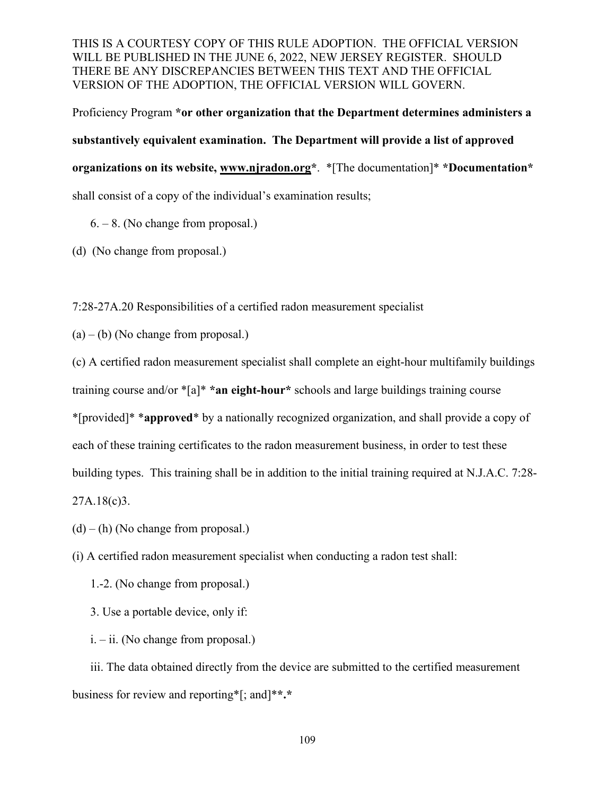Proficiency Program **\*or other organization that the Department determines administers a substantively equivalent examination. The Department will provide a list of approved organizations on its website, www.njradon.org\***. \*[The documentation]\* **\*Documentation\*** shall consist of a copy of the individual's examination results;

 $6. - 8$ . (No change from proposal.)

(d) (No change from proposal.)

7:28-27A.20 Responsibilities of a certified radon measurement specialist

 $(a) - (b)$  (No change from proposal.)

(c) A certified radon measurement specialist shall complete an eight-hour multifamily buildings training course and/or \*[a]\* **\*an eight-hour\*** schools and large buildings training course \*[provided]\* \***approved**\* by a nationally recognized organization, and shall provide a copy of each of these training certificates to the radon measurement business, in order to test these building types. This training shall be in addition to the initial training required at N.J.A.C. 7:28- 27A.18(c)3.

 $(d) - (h)$  (No change from proposal.)

(i) A certified radon measurement specialist when conducting a radon test shall:

1.-2. (No change from proposal.)

3. Use a portable device, only if:

i. – ii. (No change from proposal.)

 iii. The data obtained directly from the device are submitted to the certified measurement business for review and reporting\*[; and]\***\*.\***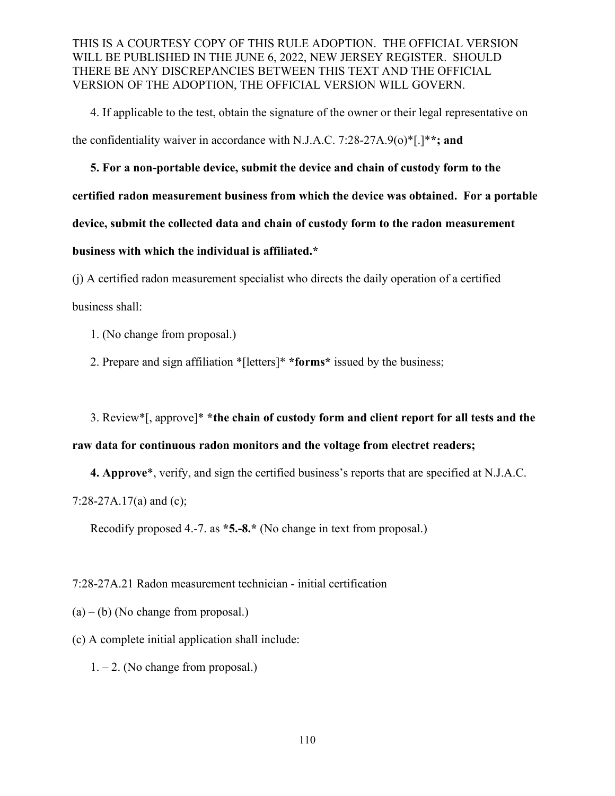4. If applicable to the test, obtain the signature of the owner or their legal representative on the confidentiality waiver in accordance with N.J.A.C. 7:28-27A.9(o)\*[.]\***\*; and**

**5. For a non-portable device, submit the device and chain of custody form to the certified radon measurement business from which the device was obtained. For a portable device, submit the collected data and chain of custody form to the radon measurement business with which the individual is affiliated.\***

(j) A certified radon measurement specialist who directs the daily operation of a certified business shall:

1. (No change from proposal.)

2. Prepare and sign affiliation \*[letters]\* **\*forms\*** issued by the business;

3. Review\*[, approve]\* **\*the chain of custody form and client report for all tests and the raw data for continuous radon monitors and the voltage from electret readers;** 

**4. Approve**\*, verify, and sign the certified business's reports that are specified at N.J.A.C. 7:28-27A.17(a) and (c);

Recodify proposed 4.-7. as **\*5.-8.\*** (No change in text from proposal.)

7:28-27A.21 Radon measurement technician - initial certification

 $(a) - (b)$  (No change from proposal.)

(c) A complete initial application shall include:

 $1. - 2$ . (No change from proposal.)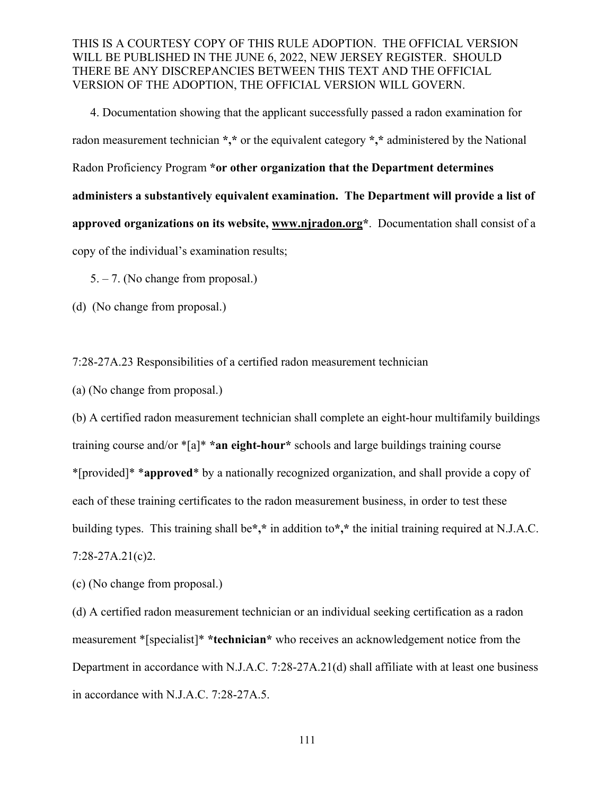4. Documentation showing that the applicant successfully passed a radon examination for radon measurement technician **\*,\*** or the equivalent category **\*,\*** administered by the National Radon Proficiency Program **\*or other organization that the Department determines administers a substantively equivalent examination. The Department will provide a list of approved organizations on its website, www.njradon.org\***. Documentation shall consist of a copy of the individual's examination results;

5. – 7. (No change from proposal.)

(d) (No change from proposal.)

7:28-27A.23 Responsibilities of a certified radon measurement technician

(a) (No change from proposal.)

(b) A certified radon measurement technician shall complete an eight-hour multifamily buildings training course and/or \*[a]\* **\*an eight-hour\*** schools and large buildings training course \*[provided]\* \***approved**\* by a nationally recognized organization, and shall provide a copy of each of these training certificates to the radon measurement business, in order to test these building types. This training shall be**\*,\*** in addition to**\*,\*** the initial training required at N.J.A.C. 7:28-27A.21(c)2.

(c) (No change from proposal.)

(d) A certified radon measurement technician or an individual seeking certification as a radon measurement \*[specialist]\* **\*technician\*** who receives an acknowledgement notice from the Department in accordance with N.J.A.C. 7:28-27A.21(d) shall affiliate with at least one business in accordance with N.J.A.C. 7:28-27A.5.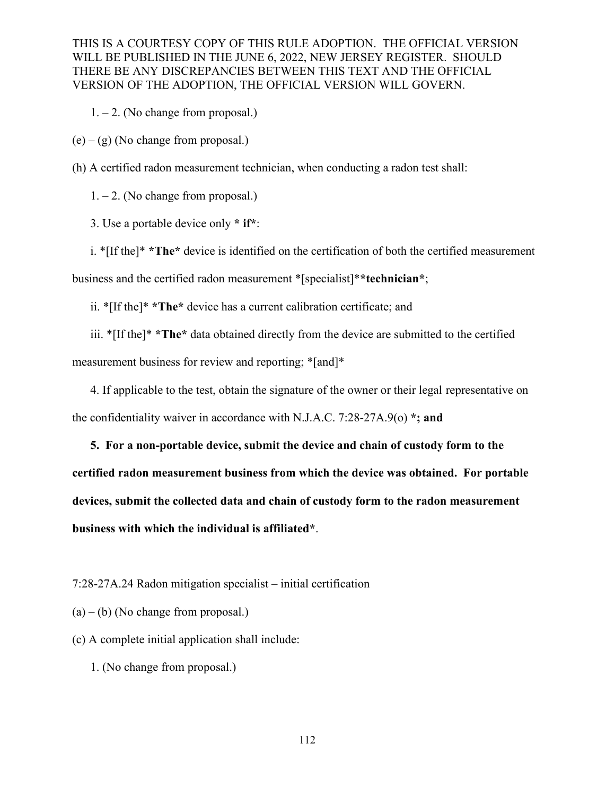$1. - 2$ . (No change from proposal.)

 $(e) - (g)$  (No change from proposal.)

(h) A certified radon measurement technician, when conducting a radon test shall:

 $1. - 2$ . (No change from proposal.)

3. Use a portable device only **\* if\***:

i. \*[If the]\* **\*The\*** device is identified on the certification of both the certified measurement business and the certified radon measurement \*[specialist]\***\*technician\***;

ii. \*[If the]\* **\*The\*** device has a current calibration certificate; and

iii. \*[If the]\* **\*The\*** data obtained directly from the device are submitted to the certified

measurement business for review and reporting; \*[and]\*

4. If applicable to the test, obtain the signature of the owner or their legal representative on the confidentiality waiver in accordance with N.J.A.C. 7:28-27A.9(o) **\*; and**

**5. For a non-portable device, submit the device and chain of custody form to the certified radon measurement business from which the device was obtained. For portable devices, submit the collected data and chain of custody form to the radon measurement business with which the individual is affiliated\***.

7:28-27A.24 Radon mitigation specialist – initial certification

 $(a) - (b)$  (No change from proposal.)

(c) A complete initial application shall include:

1. (No change from proposal.)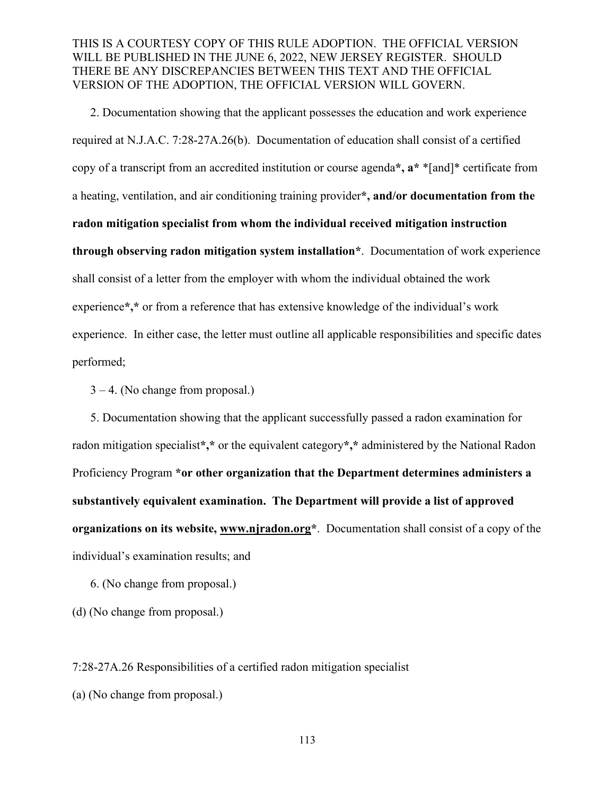2. Documentation showing that the applicant possesses the education and work experience required at N.J.A.C. 7:28-27A.26(b). Documentation of education shall consist of a certified copy of a transcript from an accredited institution or course agenda**\*, a\*** \*[and]\* certificate from a heating, ventilation, and air conditioning training provider**\*, and/or documentation from the radon mitigation specialist from whom the individual received mitigation instruction through observing radon mitigation system installation\***. Documentation of work experience shall consist of a letter from the employer with whom the individual obtained the work experience**\*,\*** or from a reference that has extensive knowledge of the individual's work experience. In either case, the letter must outline all applicable responsibilities and specific dates performed;

 $3 - 4$ . (No change from proposal.)

 5. Documentation showing that the applicant successfully passed a radon examination for radon mitigation specialist**\*,\*** or the equivalent category**\*,\*** administered by the National Radon Proficiency Program **\*or other organization that the Department determines administers a substantively equivalent examination. The Department will provide a list of approved organizations on its website, www.njradon.org\***. Documentation shall consist of a copy of the individual's examination results; and

6. (No change from proposal.)

(d) (No change from proposal.)

7:28-27A.26 Responsibilities of a certified radon mitigation specialist

(a) (No change from proposal.)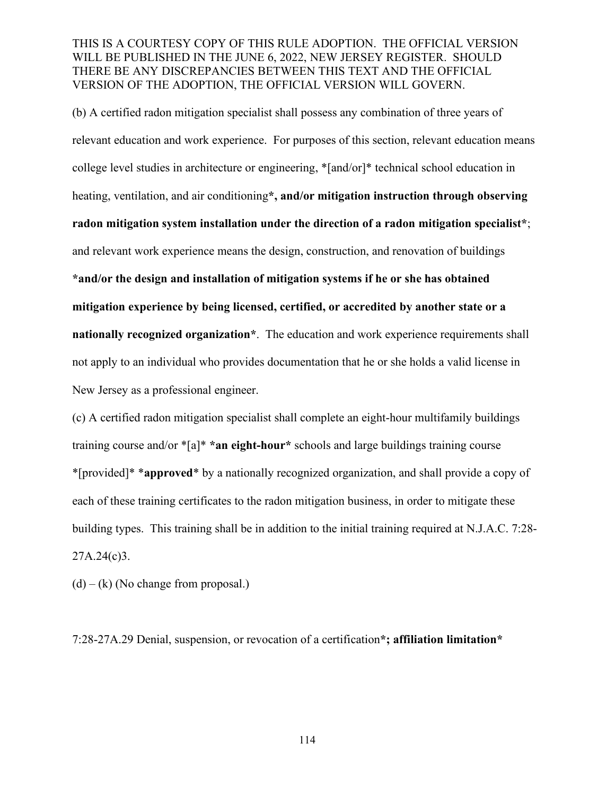(b) A certified radon mitigation specialist shall possess any combination of three years of relevant education and work experience. For purposes of this section, relevant education means college level studies in architecture or engineering, \*[and/or]\* technical school education in heating, ventilation, and air conditioning**\*, and/or mitigation instruction through observing radon mitigation system installation under the direction of a radon mitigation specialist\***; and relevant work experience means the design, construction, and renovation of buildings **\*and/or the design and installation of mitigation systems if he or she has obtained mitigation experience by being licensed, certified, or accredited by another state or a nationally recognized organization\***. The education and work experience requirements shall not apply to an individual who provides documentation that he or she holds a valid license in New Jersey as a professional engineer.

(c) A certified radon mitigation specialist shall complete an eight-hour multifamily buildings training course and/or \*[a]\* **\*an eight-hour\*** schools and large buildings training course \*[provided]\* \***approved**\* by a nationally recognized organization, and shall provide a copy of each of these training certificates to the radon mitigation business, in order to mitigate these building types. This training shall be in addition to the initial training required at N.J.A.C. 7:28-  $27A.24(c)3.$ 

 $(d) - (k)$  (No change from proposal.)

7:28-27A.29 Denial, suspension, or revocation of a certification**\*; affiliation limitation\***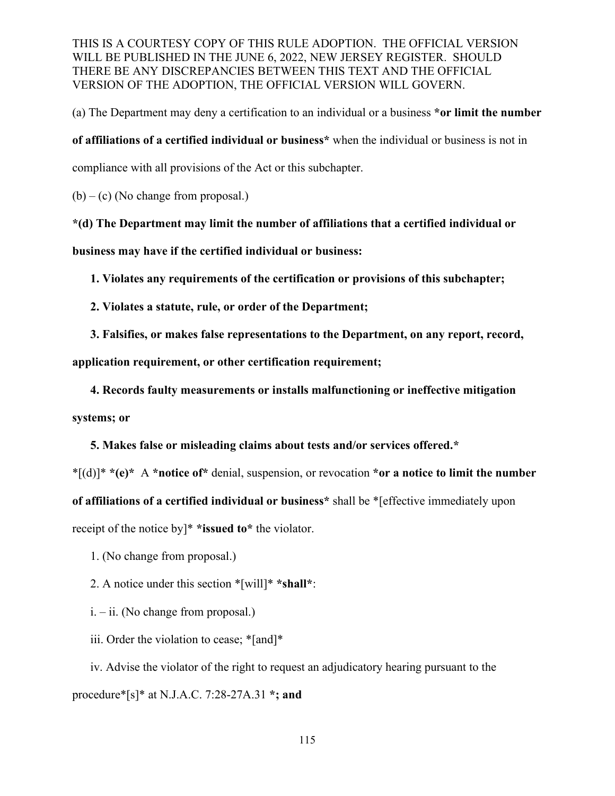(a) The Department may deny a certification to an individual or a business **\*or limit the number** 

**of affiliations of a certified individual or business\*** when the individual or business is not in

compliance with all provisions of the Act or this subchapter.

 $(b) - (c)$  (No change from proposal.)

**\*(d) The Department may limit the number of affiliations that a certified individual or business may have if the certified individual or business:**

**1. Violates any requirements of the certification or provisions of this subchapter;**

- **2. Violates a statute, rule, or order of the Department;**
- **3. Falsifies, or makes false representations to the Department, on any report, record,**

**application requirement, or other certification requirement;**

**4. Records faulty measurements or installs malfunctioning or ineffective mitigation** 

**systems; or**

**5. Makes false or misleading claims about tests and/or services offered.\***

\*[(d)]\* **\*(e)\*** A **\*notice of\*** denial, suspension, or revocation **\*or a notice to limit the number of affiliations of a certified individual or business\*** shall be \*[effective immediately upon receipt of the notice by]\* **\*issued to\*** the violator.

- 1. (No change from proposal.)
- 2. A notice under this section \*[will]\* **\*shall\***:
- i. ii. (No change from proposal.)
- iii. Order the violation to cease; \*[and]\*

iv. Advise the violator of the right to request an adjudicatory hearing pursuant to the procedure\*[s]\* at N.J.A.C. 7:28-27A.31 **\*; and**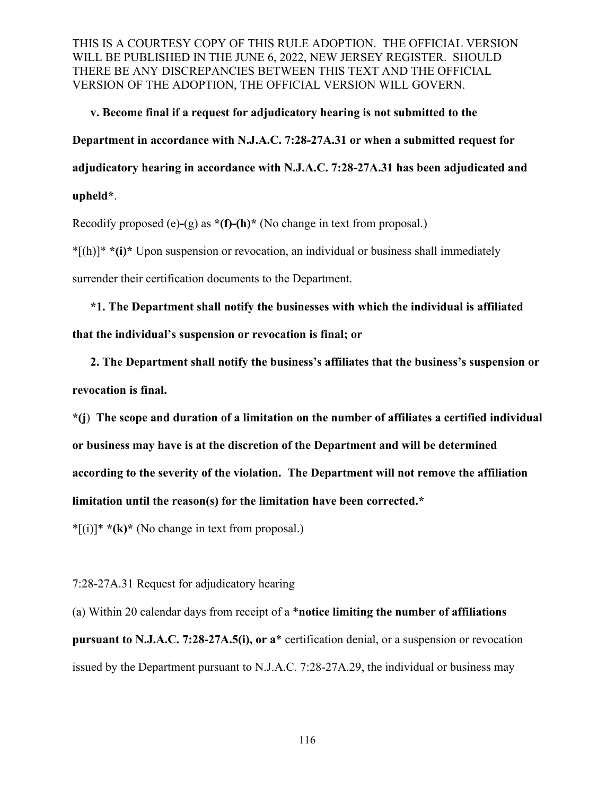**v. Become final if a request for adjudicatory hearing is not submitted to the Department in accordance with N.J.A.C. 7:28-27A.31 or when a submitted request for adjudicatory hearing in accordance with N.J.A.C. 7:28-27A.31 has been adjudicated and upheld\***.

Recodify proposed (e)**-**(g) as **\*(f)-(h)\*** (No change in text from proposal.)

\*[(h)]\* **\*(i)\*** Upon suspension or revocation, an individual or business shall immediately surrender their certification documents to the Department.

**\*1. The Department shall notify the businesses with which the individual is affiliated that the individual's suspension or revocation is final; or** 

**2. The Department shall notify the business's affiliates that the business's suspension or revocation is final.**

**\*(j**) **The scope and duration of a limitation on the number of affiliates a certified individual or business may have is at the discretion of the Department and will be determined according to the severity of the violation. The Department will not remove the affiliation limitation until the reason(s) for the limitation have been corrected.\***

\*[(i)]\* **\*(k)\*** (No change in text from proposal.)

7:28-27A.31 Request for adjudicatory hearing

(a) Within 20 calendar days from receipt of a \***notice limiting the number of affiliations pursuant to N.J.A.C. 7:28-27A.5(i), or a**\* certification denial, or a suspension or revocation issued by the Department pursuant to N.J.A.C. 7:28-27A.29, the individual or business may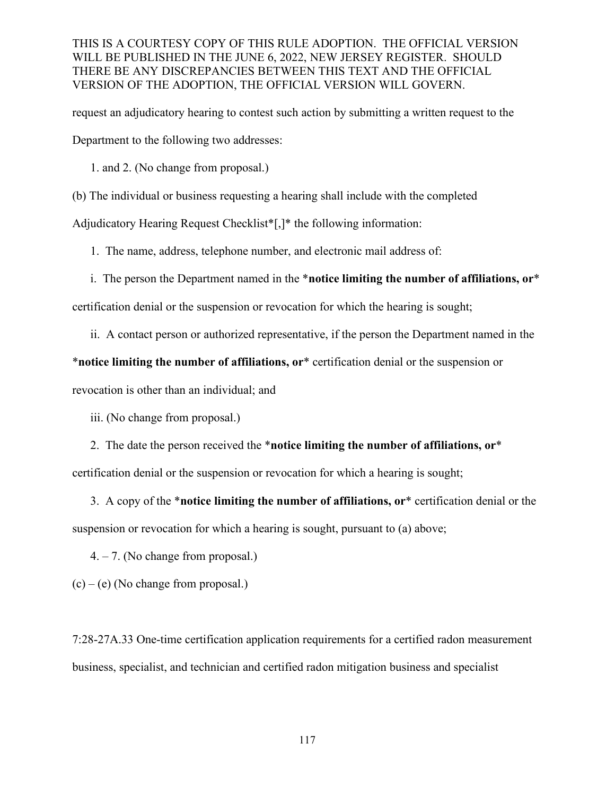request an adjudicatory hearing to contest such action by submitting a written request to the Department to the following two addresses:

1. and 2. (No change from proposal.)

(b) The individual or business requesting a hearing shall include with the completed

Adjudicatory Hearing Request Checklist\*[,]\* the following information:

1. The name, address, telephone number, and electronic mail address of:

i. The person the Department named in the \***notice limiting the number of affiliations, or**\*

certification denial or the suspension or revocation for which the hearing is sought;

ii. A contact person or authorized representative, if the person the Department named in the

## \***notice limiting the number of affiliations, or**\* certification denial or the suspension or

revocation is other than an individual; and

iii. (No change from proposal.)

2. The date the person received the \***notice limiting the number of affiliations, or**\*

certification denial or the suspension or revocation for which a hearing is sought;

3. A copy of the \***notice limiting the number of affiliations, or**\* certification denial or the suspension or revocation for which a hearing is sought, pursuant to (a) above;

4. – 7. (No change from proposal.)

 $(c) - (e)$  (No change from proposal.)

7:28-27A.33 One-time certification application requirements for a certified radon measurement business, specialist, and technician and certified radon mitigation business and specialist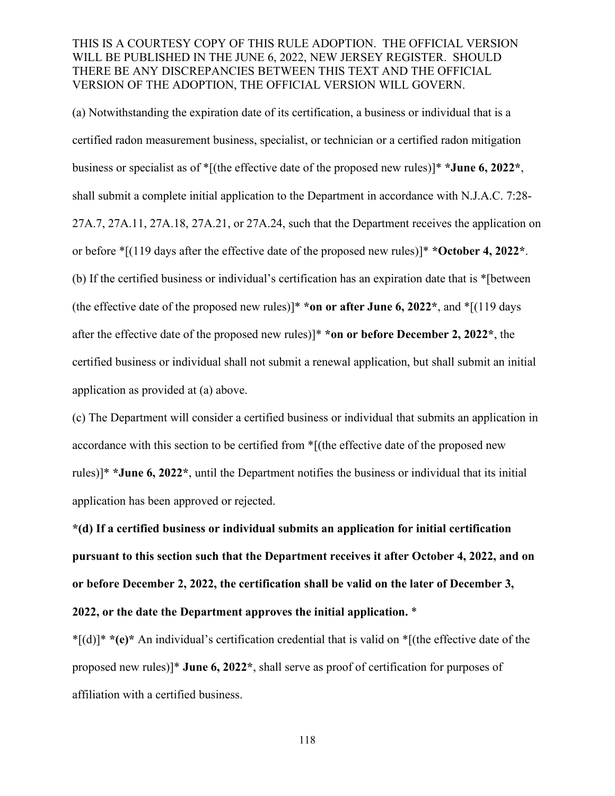(a) Notwithstanding the expiration date of its certification, a business or individual that is a certified radon measurement business, specialist, or technician or a certified radon mitigation business or specialist as of \*[(the effective date of the proposed new rules)]\* **\*June 6, 2022\***, shall submit a complete initial application to the Department in accordance with N.J.A.C. 7:28- 27A.7, 27A.11, 27A.18, 27A.21, or 27A.24, such that the Department receives the application on or before \*[(119 days after the effective date of the proposed new rules)]\* **\*October 4, 2022\***. (b) If the certified business or individual's certification has an expiration date that is \*[between (the effective date of the proposed new rules)]\* **\*on or after June 6, 2022\***, and \*[(119 days after the effective date of the proposed new rules)]\* **\*on or before December 2, 2022\***, the certified business or individual shall not submit a renewal application, but shall submit an initial application as provided at (a) above.

(c) The Department will consider a certified business or individual that submits an application in accordance with this section to be certified from \*[(the effective date of the proposed new rules)]\* **\*June 6, 2022\***, until the Department notifies the business or individual that its initial application has been approved or rejected.

**\*(d) If a certified business or individual submits an application for initial certification pursuant to this section such that the Department receives it after October 4, 2022, and on or before December 2, 2022, the certification shall be valid on the later of December 3, 2022, or the date the Department approves the initial application.** \*

\*[(d)]\* **\*(e)\*** An individual's certification credential that is valid on \*[(the effective date of the proposed new rules)]\* **June 6, 2022\***, shall serve as proof of certification for purposes of affiliation with a certified business.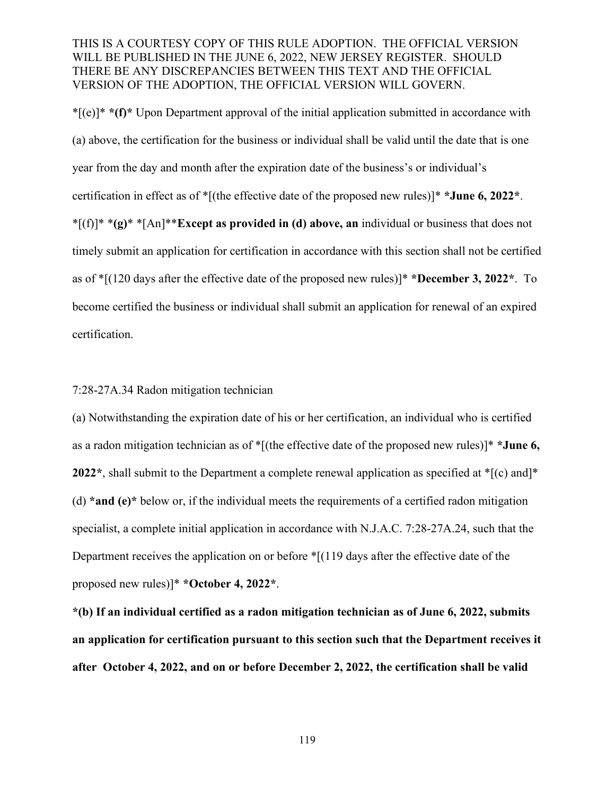\*[(e)]\* **\*(f)\*** Upon Department approval of the initial application submitted in accordance with (a) above, the certification for the business or individual shall be valid until the date that is one year from the day and month after the expiration date of the business's or individual's certification in effect as of \*[(the effective date of the proposed new rules)]\* **\*June 6, 2022\***. \*[(f)]\* \***(g)**\* \*[An]\*\***Except as provided in (d) above, an** individual or business that does not timely submit an application for certification in accordance with this section shall not be certified as of \*[(120 days after the effective date of the proposed new rules)]\* **\*December 3, 2022\***. To become certified the business or individual shall submit an application for renewal of an expired certification.

#### 7:28-27A.34 Radon mitigation technician

(a) Notwithstanding the expiration date of his or her certification, an individual who is certified as a radon mitigation technician as of \*[(the effective date of the proposed new rules)]\* **\*June 6, 2022\***, shall submit to the Department a complete renewal application as specified at \*[(c) and]\* (d) **\*and (e)\*** below or, if the individual meets the requirements of a certified radon mitigation specialist, a complete initial application in accordance with N.J.A.C. 7:28-27A.24, such that the Department receives the application on or before \*[(119 days after the effective date of the proposed new rules)]\* **\*October 4, 2022\***.

**\*(b) If an individual certified as a radon mitigation technician as of June 6, 2022, submits an application for certification pursuant to this section such that the Department receives it after October 4, 2022, and on or before December 2, 2022, the certification shall be valid**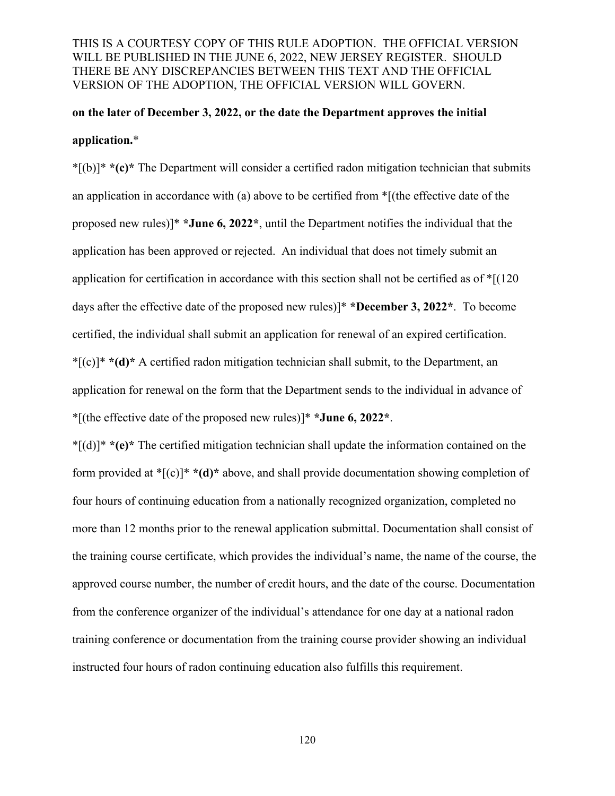# **on the later of December 3, 2022, or the date the Department approves the initial application.**\*

\*[(b)]\* **\*(c)\*** The Department will consider a certified radon mitigation technician that submits an application in accordance with (a) above to be certified from \*[(the effective date of the proposed new rules)]\* **\*June 6, 2022\***, until the Department notifies the individual that the application has been approved or rejected. An individual that does not timely submit an application for certification in accordance with this section shall not be certified as of  $\sqrt[*]{(120)}$ days after the effective date of the proposed new rules)]\* **\*December 3, 2022\***. To become certified, the individual shall submit an application for renewal of an expired certification. \*[(c)]\* **\*(d)\*** A certified radon mitigation technician shall submit, to the Department, an application for renewal on the form that the Department sends to the individual in advance of \*[(the effective date of the proposed new rules)]\* **\*June 6, 2022\***.

\*[(d)]\* **\*(e)\*** The certified mitigation technician shall update the information contained on the form provided at \*[(c)]\* **\*(d)\*** above, and shall provide documentation showing completion of four hours of continuing education from a nationally recognized organization, completed no more than 12 months prior to the renewal application submittal. Documentation shall consist of the training course certificate, which provides the individual's name, the name of the course, the approved course number, the number of credit hours, and the date of the course. Documentation from the conference organizer of the individual's attendance for one day at a national radon training conference or documentation from the training course provider showing an individual instructed four hours of radon continuing education also fulfills this requirement.